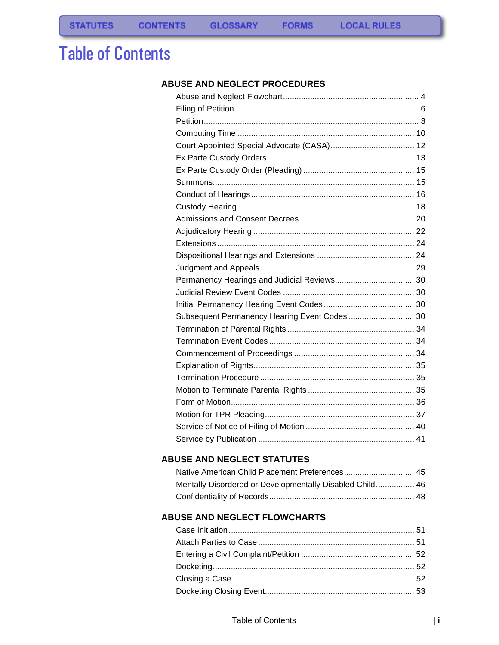# Table of Contents

### **[ABUSE AND NEGLECT PROCEDURES](#page-2-0)**

| Subsequent Permanency Hearing Event Codes  30 |  |
|-----------------------------------------------|--|
|                                               |  |
|                                               |  |
|                                               |  |
|                                               |  |
|                                               |  |
|                                               |  |
|                                               |  |
|                                               |  |
|                                               |  |
|                                               |  |

### **[ABUSE AND NEGLECT STATUTES](#page-46-0)**

| Mentally Disordered or Developmentally Disabled Child 46 |  |
|----------------------------------------------------------|--|
|                                                          |  |

### **[ABUSE AND NEGLECT FLOWCHARTS](#page-52-0)**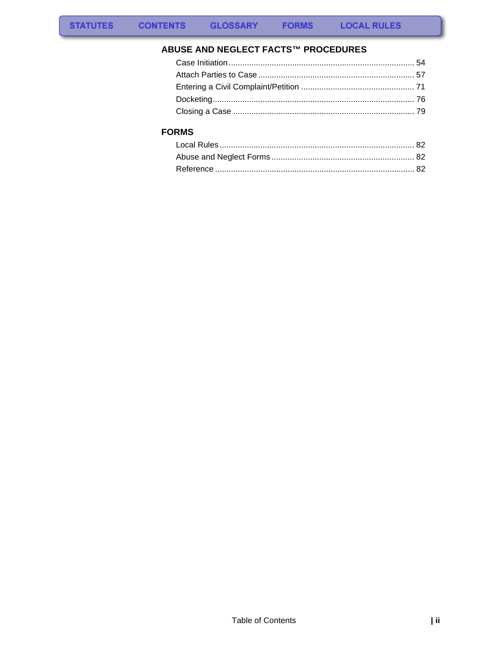### ABUSE AND NEGLECT FACTS™ PROCEDURES

### **FORMS**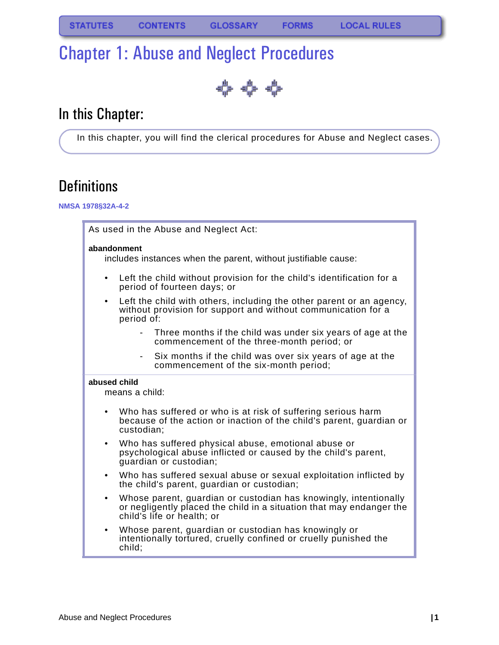# <span id="page-2-0"></span>Chapter 1: Abuse and Neglect Procedures

♣ ↔ ↔

# In this Chapter:

In this chapter, you will find the clerical procedures for Abuse and Neglect cases.

# **Definitions**

### **NMSA 1978§32A-4-2**

|                                                                                                                                                                 | As used in the Abuse and Neglect Act:                                                                                                                                  |                                                                                                                                       |  |  |
|-----------------------------------------------------------------------------------------------------------------------------------------------------------------|------------------------------------------------------------------------------------------------------------------------------------------------------------------------|---------------------------------------------------------------------------------------------------------------------------------------|--|--|
|                                                                                                                                                                 | abandonment<br>includes instances when the parent, without justifiable cause:                                                                                          |                                                                                                                                       |  |  |
| $\bullet$                                                                                                                                                       |                                                                                                                                                                        | Left the child without provision for the child's identification for a<br>period of fourteen days; or                                  |  |  |
| $\bullet$                                                                                                                                                       | period of:                                                                                                                                                             | Left the child with others, including the other parent or an agency,<br>without provision for support and without communication for a |  |  |
|                                                                                                                                                                 |                                                                                                                                                                        | Three months if the child was under six years of age at the<br>commencement of the three-month period; or                             |  |  |
|                                                                                                                                                                 | $\sim$                                                                                                                                                                 | Six months if the child was over six years of age at the<br>commencement of the six-month period;                                     |  |  |
| abused child                                                                                                                                                    | means a child:                                                                                                                                                         |                                                                                                                                       |  |  |
| Who has suffered or who is at risk of suffering serious harm<br>$\bullet$<br>because of the action or inaction of the child's parent, guardian or<br>custodian; |                                                                                                                                                                        |                                                                                                                                       |  |  |
| Who has suffered physical abuse, emotional abuse or<br>$\bullet$<br>psychological abuse inflicted or caused by the child's parent,<br>guardian or custodian;    |                                                                                                                                                                        |                                                                                                                                       |  |  |
| $\bullet$                                                                                                                                                       | Who has suffered sexual abuse or sexual exploitation inflicted by<br>the child's parent, guardian or custodian;                                                        |                                                                                                                                       |  |  |
| $\bullet$                                                                                                                                                       | Whose parent, guardian or custodian has knowingly, intentionally<br>or negligently placed the child in a situation that may endanger the<br>child's life or health; or |                                                                                                                                       |  |  |
| $\bullet$                                                                                                                                                       | child;                                                                                                                                                                 | Whose parent, guardian or custodian has knowingly or<br>intentionally tortured, cruelly confined or cruelly punished the              |  |  |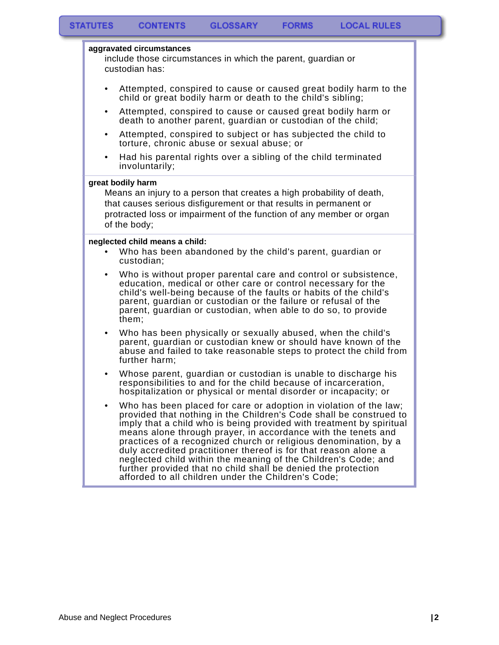#### **aggravated circumstances**

include those circumstances in which the parent, guardian or custodian has:

- Attempted, conspired to cause or caused great bodily harm to the child or great bodily harm or death to the child's sibling;
- Attempted, conspired to cause or caused great bodily harm or death to another parent, guardian or custodian of the child;
- Attempted, conspired to subject or has subjected the child to torture, chronic abuse or sexual abuse; or
- Had his parental rights over a sibling of the child terminated involuntarily;

#### **great bodily harm**

Means an injury to a person that creates a high probability of death, that causes serious disfigurement or that results in permanent or protracted loss or impairment of the function of any member or organ of the body;

#### **neglected child means a child:**

- Who has been abandoned by the child's parent, guardian or custodian;
- Who is without proper parental care and control or subsistence, education, medical or other care or control necessary for the child's well-being because of the faults or habits of the child's parent, guardian or custodian or the failure or refusal of the parent, guardian or custodian, when able to do so, to provide them;
- Who has been physically or sexually abused, when the child's parent, guardian or custodian knew or should have known of the abuse and failed to take reasonable steps to protect the child from further harm;
- Whose parent, guardian or custodian is unable to discharge his responsibilities to and for the child because of incarceration, hospitalization or physical or mental disorder or incapacity; or
- Who has been placed for care or adoption in violation of the law; provided that nothing in the Children's Code shall be construed to imply that a child who is being provided with treatment by spiritual means alone through prayer, in accordance with the tenets and practices of a recognized church or religious denomination, by a duly accredited practitioner thereof is for that reason alone a neglected child within the meaning of the Children's Code; and further provided that no child shall be denied the protection afforded to all children under the Children's Code;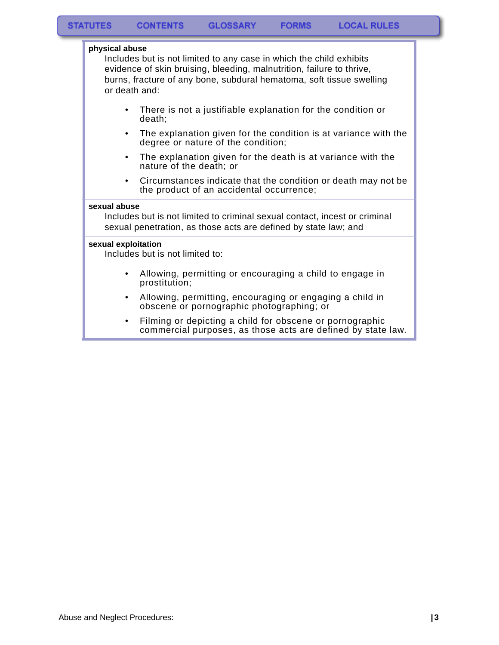| physical abuse<br>or death and:                        | Includes but is not limited to any case in which the child exhibits<br>evidence of skin bruising, bleeding, malnutrition, failure to thrive,<br>burns, fracture of any bone, subdural hematoma, soft tissue swelling |
|--------------------------------------------------------|----------------------------------------------------------------------------------------------------------------------------------------------------------------------------------------------------------------------|
| ٠<br>death:                                            | There is not a justifiable explanation for the condition or                                                                                                                                                          |
| ٠                                                      | The explanation given for the condition is at variance with the<br>degree or nature of the condition;                                                                                                                |
| ٠                                                      | The explanation given for the death is at variance with the<br>nature of the death; or                                                                                                                               |
| $\bullet$                                              | Circumstances indicate that the condition or death may not be<br>the product of an accidental occurrence;                                                                                                            |
| sexual abuse                                           | Includes but is not limited to criminal sexual contact, incest or criminal<br>sexual penetration, as those acts are defined by state law; and                                                                        |
| sexual exploitation<br>Includes but is not limited to: |                                                                                                                                                                                                                      |
| prostitution;                                          | Allowing, permitting or encouraging a child to engage in                                                                                                                                                             |
|                                                        | Allowing, permitting, encouraging or engaging a child in<br>obscene or pornographic photographing; or                                                                                                                |
|                                                        | Filming or depicting a child for obscene or pornographic<br>commercial purposes, as those acts are defined by state law.                                                                                             |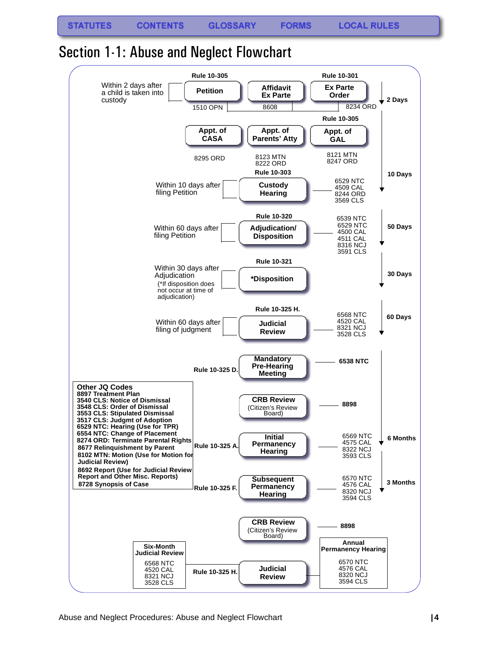**STATUTES** 

**FORMS** 

## <span id="page-5-0"></span>Section 1-1: Abuse and Neglect Flowchart

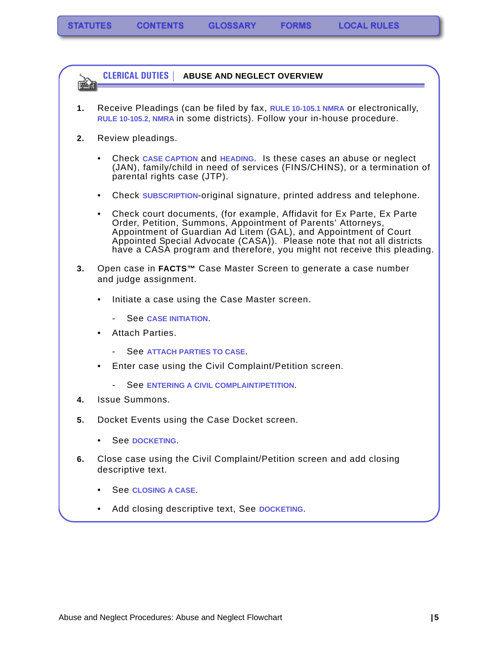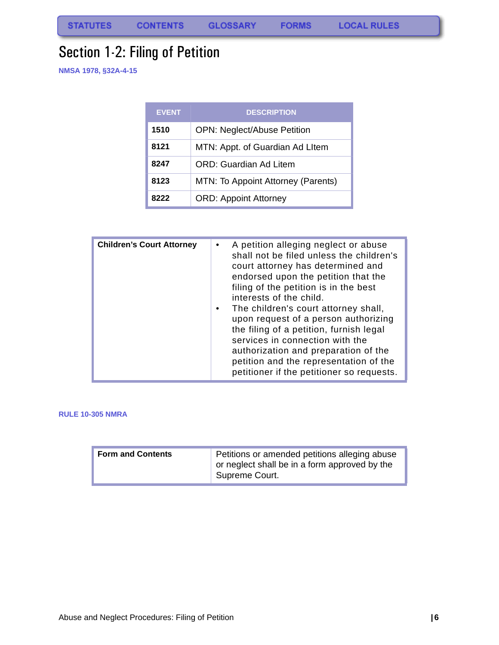**FORMS** 

# <span id="page-7-0"></span>Section 1-2: Filing of Petition

**NMSA 1978, §32A-4-15**

| <b>EVENT</b> | <b>DESCRIPTION</b>                 |
|--------------|------------------------------------|
| 1510         | <b>OPN: Neglect/Abuse Petition</b> |
| 8121         | MTN: Appt. of Guardian Ad LItem    |
| 8247         | ORD: Guardian Ad Litem             |
| 8123         | MTN: To Appoint Attorney (Parents) |
| 8222         | <b>ORD: Appoint Attorney</b>       |

| <b>Children's Court Attorney</b> | A petition alleging neglect or abuse<br>٠<br>shall not be filed unless the children's<br>court attorney has determined and<br>endorsed upon the petition that the<br>filing of the petition is in the best<br>interests of the child.<br>The children's court attorney shall,<br>upon request of a person authorizing<br>the filing of a petition, furnish legal<br>services in connection with the<br>authorization and preparation of the<br>petition and the representation of the |
|----------------------------------|---------------------------------------------------------------------------------------------------------------------------------------------------------------------------------------------------------------------------------------------------------------------------------------------------------------------------------------------------------------------------------------------------------------------------------------------------------------------------------------|
|                                  | petitioner if the petitioner so requests.                                                                                                                                                                                                                                                                                                                                                                                                                                             |

#### **RULE 10-305 NMRA**

| <b>Form and Contents</b> | Petitions or amended petitions alleging abuse<br>or neglect shall be in a form approved by the<br>Supreme Court. |
|--------------------------|------------------------------------------------------------------------------------------------------------------|
|--------------------------|------------------------------------------------------------------------------------------------------------------|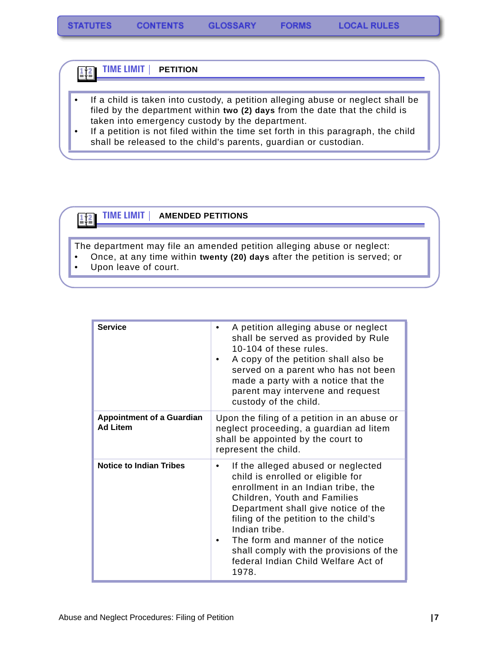#### **TIME LIMIT | PETITION**  $\frac{1}{2}$

- If a child is taken into custody, a petition alleging abuse or neglect shall be filed by the department within **two (2) days** from the date that the child is taken into emergency custody by the department.
- If a petition is not filed within the time set forth in this paragraph, the child shall be released to the child's parents, guardian or custodian.



### **TIME LIMIT | AMENDED PETITIONS**

The department may file an amended petition alleging abuse or neglect:

- Once, at any time within **twenty (20) days** after the petition is served; or
- Upon leave of court.

| <b>Service</b>                                      | A petition alleging abuse or neglect<br>shall be served as provided by Rule<br>10-104 of these rules.<br>A copy of the petition shall also be<br>$\bullet$<br>served on a parent who has not been<br>made a party with a notice that the<br>parent may intervene and request<br>custody of the child.                                                                          |
|-----------------------------------------------------|--------------------------------------------------------------------------------------------------------------------------------------------------------------------------------------------------------------------------------------------------------------------------------------------------------------------------------------------------------------------------------|
| <b>Appointment of a Guardian</b><br><b>Ad Litem</b> | Upon the filing of a petition in an abuse or<br>neglect proceeding, a guardian ad litem<br>shall be appointed by the court to<br>represent the child.                                                                                                                                                                                                                          |
| <b>Notice to Indian Tribes</b>                      | If the alleged abused or neglected<br>child is enrolled or eligible for<br>enrollment in an Indian tribe, the<br>Children, Youth and Families<br>Department shall give notice of the<br>filing of the petition to the child's<br>Indian tribe.<br>The form and manner of the notice<br>shall comply with the provisions of the<br>federal Indian Child Welfare Act of<br>1978. |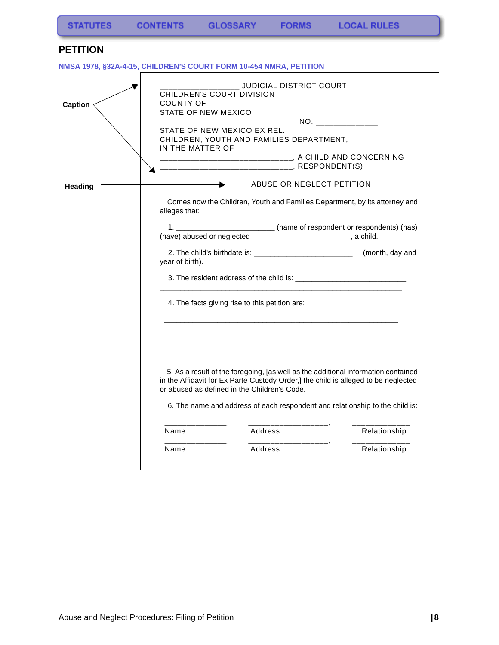### <span id="page-9-0"></span>**PETITION**

**NMSA 1978, §32A-4-15, CHILDREN'S COURT FORM 10-454 NMRA, PETITION**

<span id="page-9-2"></span><span id="page-9-1"></span>

| <b>Caption</b> | COUNTY OF ________<br>STATE OF NEW MEXICO<br>IN THE MATTER OF | JUDICIAL DISTRICT COURT<br>CHILDREN'S COURT DIVISION<br>STATE OF NEW MEXICO EX REL.<br>CHILDREN, YOUTH AND FAMILIES DEPARTMENT,                                                                                                                                                                                    | $NO.$ __________________ |
|----------------|---------------------------------------------------------------|--------------------------------------------------------------------------------------------------------------------------------------------------------------------------------------------------------------------------------------------------------------------------------------------------------------------|--------------------------|
| <b>Heading</b> | alleges that:                                                 | ABUSE OR NEGLECT PETITION<br>Comes now the Children, Youth and Families Department, by its attorney and<br>1. __________________________________ (name of respondent or respondents) (has)                                                                                                                         |                          |
|                | year of birth).                                               | (have) abused or neglected ________________________________, a child.<br>4. The facts giving rise to this petition are:                                                                                                                                                                                            |                          |
|                | _____________<br>Name                                         | 5. As a result of the foregoing, [as well as the additional information contained<br>in the Affidavit for Ex Parte Custody Order,] the child is alleged to be neglected<br>or abused as defined in the Children's Code.<br>6. The name and address of each respondent and relationship to the child is:<br>Address | Relationship             |
|                | Name                                                          | Address                                                                                                                                                                                                                                                                                                            | Relationship             |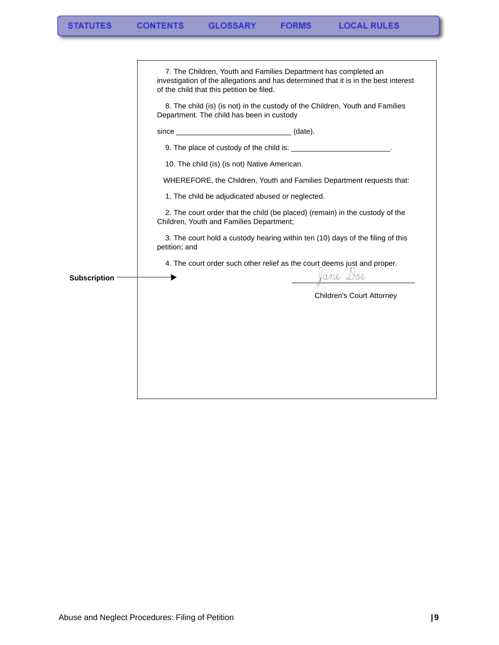<span id="page-10-0"></span>

|                     | of the child that this petition be filed. | 7. The Children, Youth and Families Department has completed an<br>investigation of the allegations and has determined that it is in the best interest |  |
|---------------------|-------------------------------------------|--------------------------------------------------------------------------------------------------------------------------------------------------------|--|
|                     | Department. The child has been in custody | 8. The child (is) (is not) in the custody of the Children, Youth and Families                                                                          |  |
|                     |                                           |                                                                                                                                                        |  |
|                     |                                           | 9. The place of custody of the child is: ________________________.                                                                                     |  |
|                     |                                           | 10. The child (is) (is not) Native American.                                                                                                           |  |
|                     |                                           | WHEREFORE, the Children, Youth and Families Department requests that:                                                                                  |  |
|                     |                                           | 1. The child be adjudicated abused or neglected.                                                                                                       |  |
|                     | Children, Youth and Families Department;  | 2. The court order that the child (be placed) (remain) in the custody of the                                                                           |  |
|                     | petition; and                             | 3. The court hold a custody hearing within ten (10) days of the filing of this                                                                         |  |
|                     |                                           | 4. The court order such other relief as the court deems just and proper.                                                                               |  |
| <b>Subscription</b> |                                           | <u>Jane</u> Doe                                                                                                                                        |  |
|                     |                                           | <b>Children's Court Attorney</b>                                                                                                                       |  |
|                     |                                           |                                                                                                                                                        |  |
|                     |                                           |                                                                                                                                                        |  |
|                     |                                           |                                                                                                                                                        |  |
|                     |                                           |                                                                                                                                                        |  |
|                     |                                           |                                                                                                                                                        |  |
|                     |                                           |                                                                                                                                                        |  |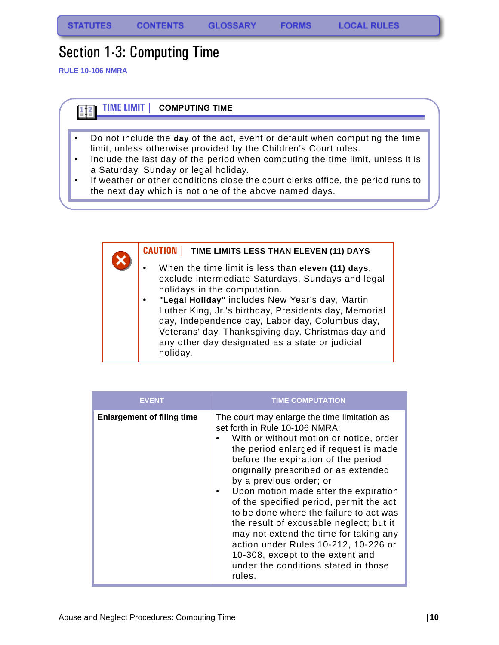**FORMS** 

# <span id="page-11-0"></span>Section 1-3: Computing Time

**RULE 10-106 NMRA**



| <b>CAUTION</b><br><b>TIME LIMITS LESS THAN ELEVEN (11) DAYS</b>                                                                                                                                                                                                                                                                                                                                                                          |
|------------------------------------------------------------------------------------------------------------------------------------------------------------------------------------------------------------------------------------------------------------------------------------------------------------------------------------------------------------------------------------------------------------------------------------------|
| When the time limit is less than eleven (11) days,<br>$\bullet$<br>exclude intermediate Saturdays, Sundays and legal<br>holidays in the computation.<br>"Legal Holiday" includes New Year's day, Martin<br>Luther King, Jr.'s birthday, Presidents day, Memorial<br>day, Independence day, Labor day, Columbus day,<br>Veterans' day, Thanksgiving day, Christmas day and<br>any other day designated as a state or judicial<br>holiday. |

| <b>EVENT</b>                      | <b>TIME COMPUTATION</b>                                                                                                                                                                                                                                                                                                                                                                                                                                                                                                                                                                                                         |
|-----------------------------------|---------------------------------------------------------------------------------------------------------------------------------------------------------------------------------------------------------------------------------------------------------------------------------------------------------------------------------------------------------------------------------------------------------------------------------------------------------------------------------------------------------------------------------------------------------------------------------------------------------------------------------|
| <b>Enlargement of filing time</b> | The court may enlarge the time limitation as<br>set forth in Rule 10-106 NMRA:<br>With or without motion or notice, order<br>the period enlarged if request is made<br>before the expiration of the period<br>originally prescribed or as extended<br>by a previous order; or<br>Upon motion made after the expiration<br>of the specified period, permit the act<br>to be done where the failure to act was<br>the result of excusable neglect; but it<br>may not extend the time for taking any<br>action under Rules 10-212, 10-226 or<br>10-308, except to the extent and<br>under the conditions stated in those<br>rules. |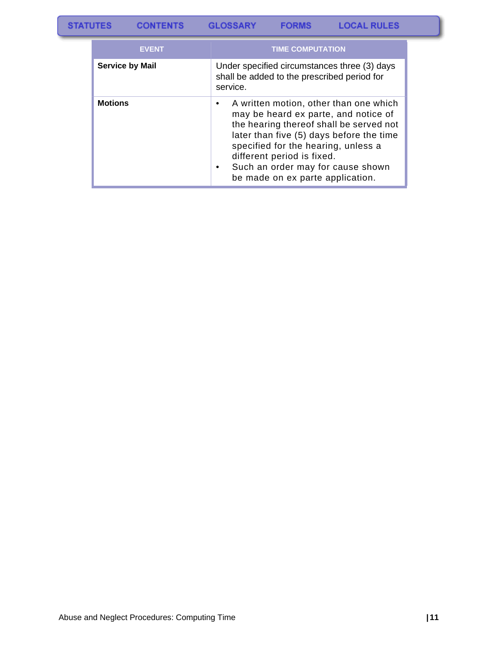| <b>STATUTES</b><br><b>GLOSSARY</b><br><b>CONTENTS</b> | <b>FORMS</b> | <b>LOCAL RULES</b> |
|-------------------------------------------------------|--------------|--------------------|
|-------------------------------------------------------|--------------|--------------------|

| <b>EVENT</b>           | <b>TIME COMPUTATION</b>                                                                                                                                                                                                                                                                                             |
|------------------------|---------------------------------------------------------------------------------------------------------------------------------------------------------------------------------------------------------------------------------------------------------------------------------------------------------------------|
| <b>Service by Mail</b> | Under specified circumstances three (3) days<br>shall be added to the prescribed period for<br>service.                                                                                                                                                                                                             |
| <b>Motions</b>         | A written motion, other than one which<br>may be heard ex parte, and notice of<br>the hearing thereof shall be served not<br>later than five (5) days before the time<br>specified for the hearing, unless a<br>different period is fixed.<br>Such an order may for cause shown<br>be made on ex parte application. |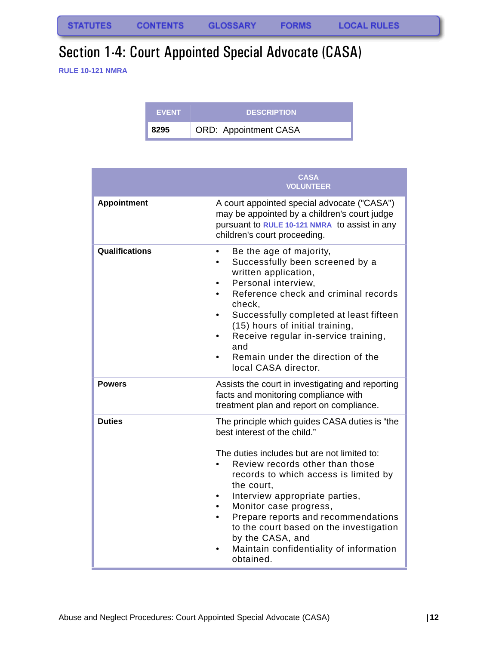# <span id="page-13-0"></span>Section 1-4: Court Appointed Special Advocate (CASA)

**RULE 10-121 NMRA**

| <b>EVENT</b> | <b>DESCRIPTION</b>           |
|--------------|------------------------------|
| 8295         | <b>ORD: Appointment CASA</b> |

|                    | <b>CASA</b><br><b>VOLUNTEER</b>                                                                                                                                                                                                                                                                                                                                                                                                                                                          |
|--------------------|------------------------------------------------------------------------------------------------------------------------------------------------------------------------------------------------------------------------------------------------------------------------------------------------------------------------------------------------------------------------------------------------------------------------------------------------------------------------------------------|
| <b>Appointment</b> | A court appointed special advocate ("CASA")<br>may be appointed by a children's court judge<br>pursuant to RULE 10-121 NMRA to assist in any<br>children's court proceeding.                                                                                                                                                                                                                                                                                                             |
| Qualifications     | Be the age of majority,<br>$\bullet$<br>Successfully been screened by a<br>$\bullet$<br>written application,<br>Personal interview,<br>$\bullet$<br>Reference check and criminal records<br>$\bullet$<br>check,<br>Successfully completed at least fifteen<br>$\bullet$<br>(15) hours of initial training,<br>Receive regular in-service training,<br>$\bullet$<br>and<br>Remain under the direction of the<br>local CASA director.                                                      |
| <b>Powers</b>      | Assists the court in investigating and reporting<br>facts and monitoring compliance with<br>treatment plan and report on compliance.                                                                                                                                                                                                                                                                                                                                                     |
| <b>Duties</b>      | The principle which guides CASA duties is "the<br>best interest of the child."<br>The duties includes but are not limited to:<br>Review records other than those<br>$\bullet$<br>records to which access is limited by<br>the court,<br>Interview appropriate parties,<br>Monitor case progress,<br>$\bullet$<br>Prepare reports and recommendations<br>$\bullet$<br>to the court based on the investigation<br>by the CASA, and<br>Maintain confidentiality of information<br>obtained. |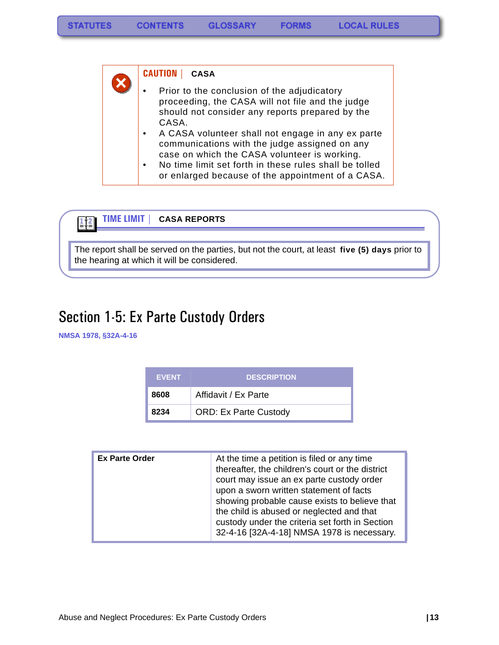**CAUTION | CASA**  Prior to the conclusion of the adjudicatory proceeding, the CASA will not file and the judge should not consider any reports prepared by the CASA. • A CASA volunteer shall not engage in any ex parte communications with the judge assigned on any case on which the CASA volunteer is working. • No time limit set forth in these rules shall be tolled or enlarged because of the appointment of a CASA.



The report shall be served on the parties, but not the court, at least **five (5) days** prior to the hearing at which it will be considered.

# <span id="page-14-0"></span>Section 1-5: Ex Parte Custody Orders

**NMSA 1978, §32A-4-16**

| <b>EVENT</b> | <b>DESCRIPTION</b>           |
|--------------|------------------------------|
| 8608         | Affidavit / Ex Parte         |
| 8234         | <b>ORD: Ex Parte Custody</b> |

| <b>Ex Parte Order</b> | At the time a petition is filed or any time<br>thereafter, the children's court or the district<br>court may issue an ex parte custody order<br>upon a sworn written statement of facts<br>showing probable cause exists to believe that<br>the child is abused or neglected and that<br>custody under the criteria set forth in Section |
|-----------------------|------------------------------------------------------------------------------------------------------------------------------------------------------------------------------------------------------------------------------------------------------------------------------------------------------------------------------------------|
|                       | 32-4-16 [32A-4-18] NMSA 1978 is necessary.                                                                                                                                                                                                                                                                                               |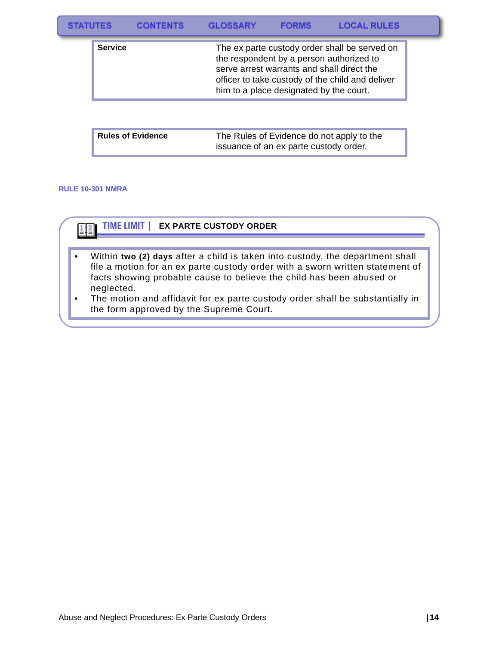| <b>STATUTES</b> | <b>CONTENTS</b> | <b>GLOSSARY</b> | <b>FORMS</b> | <b>LOCAL RULES</b> |
|-----------------|-----------------|-----------------|--------------|--------------------|
|-----------------|-----------------|-----------------|--------------|--------------------|

| <b>Service</b> | The ex parte custody order shall be served on<br>the respondent by a person authorized to<br>serve arrest warrants and shall direct the<br>officer to take custody of the child and deliver |
|----------------|---------------------------------------------------------------------------------------------------------------------------------------------------------------------------------------------|
|                | him to a place designated by the court.                                                                                                                                                     |

| <b>Rules of Evidence</b> | The Rules of Evidence do not apply to the |
|--------------------------|-------------------------------------------|
|                          | issuance of an ex parte custody order.    |

#### **RULE 10-301 NMRA**

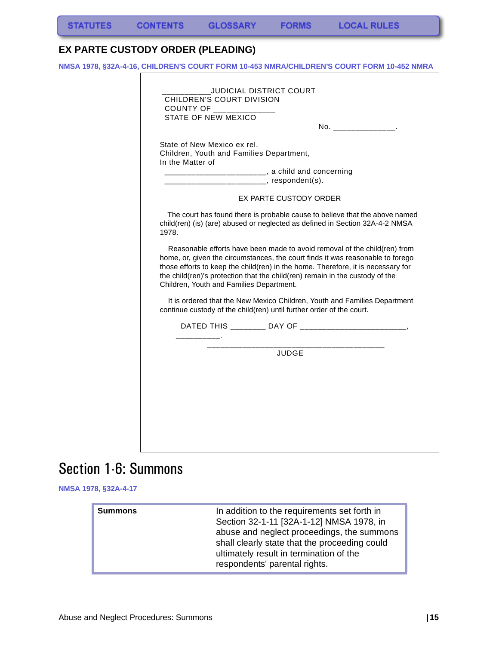### <span id="page-16-0"></span>**EX PARTE CUSTODY ORDER (PLEADING)**

r

**NMSA 1978, §32A-4-16, CHILDREN'S COURT FORM 10-453 NMRA/CHILDREN'S COURT FORM 10-452 NMRA**

| State of New Mexico ex rel.                                  | No. _________________.                                                                                                                                                                                                                                                                                                          |
|--------------------------------------------------------------|---------------------------------------------------------------------------------------------------------------------------------------------------------------------------------------------------------------------------------------------------------------------------------------------------------------------------------|
| Children, Youth and Families Department,<br>In the Matter of |                                                                                                                                                                                                                                                                                                                                 |
|                                                              | __________________________, a child and concerning<br>____________________, respondent(s).                                                                                                                                                                                                                                      |
|                                                              | EX PARTE CUSTODY ORDER                                                                                                                                                                                                                                                                                                          |
| 1978.                                                        | The court has found there is probable cause to believe that the above named<br>child(ren) (is) (are) abused or neglected as defined in Section 32A-4-2 NMSA                                                                                                                                                                     |
| Children, Youth and Families Department.                     | Reasonable efforts have been made to avoid removal of the child(ren) from<br>home, or, given the circumstances, the court finds it was reasonable to forego<br>those efforts to keep the child(ren) in the home. Therefore, it is necessary for<br>the child(ren)'s protection that the child(ren) remain in the custody of the |
|                                                              | It is ordered that the New Mexico Children, Youth and Families Department<br>continue custody of the child(ren) until further order of the court.                                                                                                                                                                               |
|                                                              |                                                                                                                                                                                                                                                                                                                                 |
|                                                              | JUDGE                                                                                                                                                                                                                                                                                                                           |
|                                                              |                                                                                                                                                                                                                                                                                                                                 |
|                                                              |                                                                                                                                                                                                                                                                                                                                 |

# <span id="page-16-1"></span>Section 1-6: Summons

**NMSA 1978, §32A-4-17**

| respondents' parental rights. |
|-------------------------------|
|-------------------------------|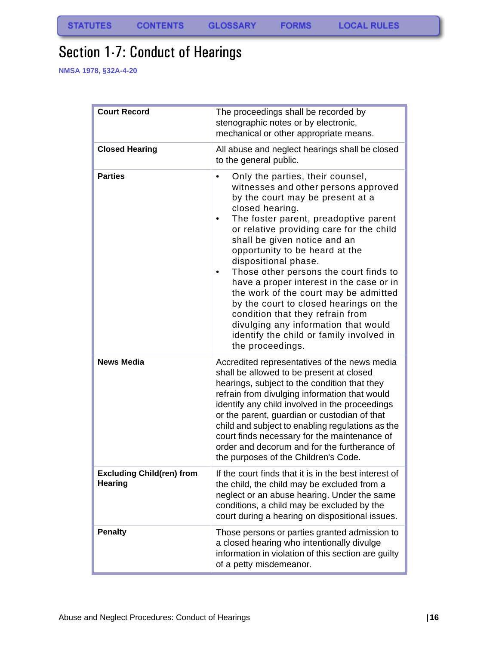# <span id="page-17-0"></span>Section 1-7: Conduct of Hearings

**NMSA 1978, §32A-4-20**

| <b>Court Record</b>                                | The proceedings shall be recorded by<br>stenographic notes or by electronic,<br>mechanical or other appropriate means.                                                                                                                                                                                                                                                                                                                                                                                                                                                                                                                           |
|----------------------------------------------------|--------------------------------------------------------------------------------------------------------------------------------------------------------------------------------------------------------------------------------------------------------------------------------------------------------------------------------------------------------------------------------------------------------------------------------------------------------------------------------------------------------------------------------------------------------------------------------------------------------------------------------------------------|
| <b>Closed Hearing</b>                              | All abuse and neglect hearings shall be closed<br>to the general public.                                                                                                                                                                                                                                                                                                                                                                                                                                                                                                                                                                         |
| <b>Parties</b>                                     | Only the parties, their counsel,<br>$\bullet$<br>witnesses and other persons approved<br>by the court may be present at a<br>closed hearing.<br>The foster parent, preadoptive parent<br>or relative providing care for the child<br>shall be given notice and an<br>opportunity to be heard at the<br>dispositional phase.<br>Those other persons the court finds to<br>have a proper interest in the case or in<br>the work of the court may be admitted<br>by the court to closed hearings on the<br>condition that they refrain from<br>divulging any information that would<br>identify the child or family involved in<br>the proceedings. |
| <b>News Media</b>                                  | Accredited representatives of the news media<br>shall be allowed to be present at closed<br>hearings, subject to the condition that they<br>refrain from divulging information that would<br>identify any child involved in the proceedings<br>or the parent, guardian or custodian of that<br>child and subject to enabling regulations as the<br>court finds necessary for the maintenance of<br>order and decorum and for the furtherance of<br>the purposes of the Children's Code.                                                                                                                                                          |
| <b>Excluding Child(ren) from</b><br><b>Hearing</b> | If the court finds that it is in the best interest of<br>the child, the child may be excluded from a<br>neglect or an abuse hearing. Under the same<br>conditions, a child may be excluded by the<br>court during a hearing on dispositional issues.                                                                                                                                                                                                                                                                                                                                                                                             |
| <b>Penalty</b>                                     | Those persons or parties granted admission to<br>a closed hearing who intentionally divulge<br>information in violation of this section are guilty<br>of a petty misdemeanor.                                                                                                                                                                                                                                                                                                                                                                                                                                                                    |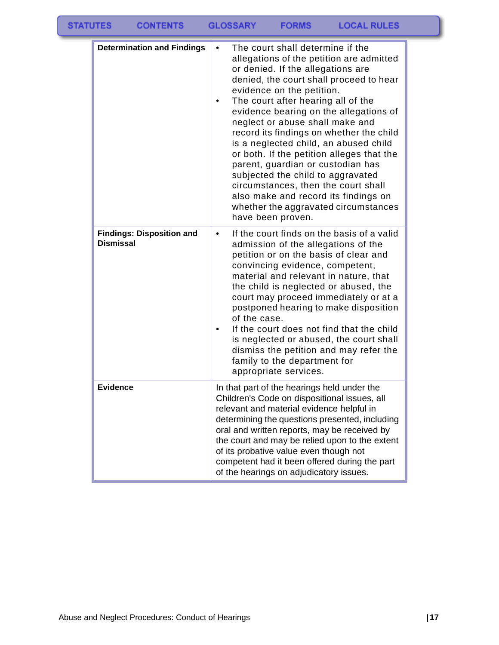| <b>STATUTES</b><br><b>CONTENTS</b>                   | <b>GLOSSARY</b><br><b>LOCAL RULES</b><br><b>FORMS</b>                                                                                                                                                                                                                                                                                                                                                                                                                                                                                                                                                                                                                |
|------------------------------------------------------|----------------------------------------------------------------------------------------------------------------------------------------------------------------------------------------------------------------------------------------------------------------------------------------------------------------------------------------------------------------------------------------------------------------------------------------------------------------------------------------------------------------------------------------------------------------------------------------------------------------------------------------------------------------------|
| <b>Determination and Findings</b>                    | The court shall determine if the<br>allegations of the petition are admitted<br>or denied. If the allegations are<br>denied, the court shall proceed to hear<br>evidence on the petition.<br>The court after hearing all of the<br>evidence bearing on the allegations of<br>neglect or abuse shall make and<br>record its findings on whether the child<br>is a neglected child, an abused child<br>or both. If the petition alleges that the<br>parent, guardian or custodian has<br>subjected the child to aggravated<br>circumstances, then the court shall<br>also make and record its findings on<br>whether the aggravated circumstances<br>have been proven. |
| <b>Findings: Disposition and</b><br><b>Dismissal</b> | If the court finds on the basis of a valid<br>$\bullet$<br>admission of the allegations of the<br>petition or on the basis of clear and<br>convincing evidence, competent,<br>material and relevant in nature, that<br>the child is neglected or abused, the<br>court may proceed immediately or at a<br>postponed hearing to make disposition<br>of the case.<br>If the court does not find that the child<br>is neglected or abused, the court shall<br>dismiss the petition and may refer the<br>family to the department for<br>appropriate services.                                                                                                            |
| <b>Evidence</b>                                      | In that part of the hearings held under the<br>Children's Code on dispositional issues, all<br>relevant and material evidence helpful in<br>determining the questions presented, including<br>oral and written reports, may be received by<br>the court and may be relied upon to the extent<br>of its probative value even though not<br>competent had it been offered during the part<br>of the hearings on adjudicatory issues.                                                                                                                                                                                                                                   |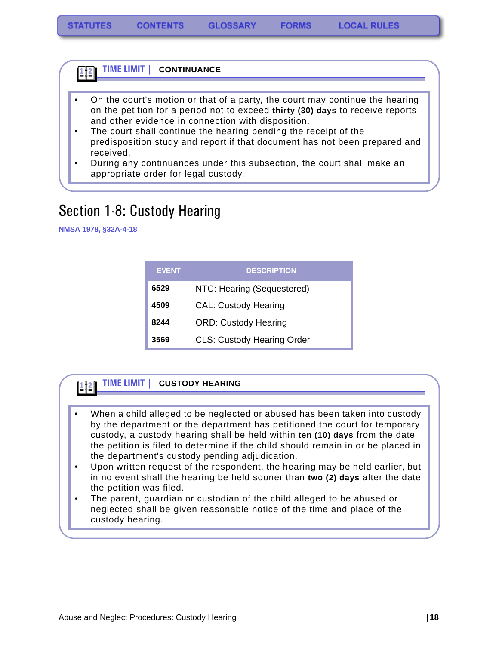#### **TIME LIMIT | CONTINUANCE** 1‡≧

- On the court's motion or that of a party, the court may continue the hearing on the petition for a period not to exceed **thirty (30) days** to receive reports and other evidence in connection with disposition.
- The court shall continue the hearing pending the receipt of the predisposition study and report if that document has not been prepared and received.
- During any continuances under this subsection, the court shall make an appropriate order for legal custody.

## <span id="page-19-0"></span>Section 1-8: Custody Hearing

**NMSA 1978, §32A-4-18**

| <b>EVENT</b> | <b>DESCRIPTION</b>                |  |  |
|--------------|-----------------------------------|--|--|
| 6529         | NTC: Hearing (Sequestered)        |  |  |
| 4509         | <b>CAL: Custody Hearing</b>       |  |  |
| 8244         | <b>ORD: Custody Hearing</b>       |  |  |
| 3569         | <b>CLS: Custody Hearing Order</b> |  |  |

#### **TIME LIMIT | CUSTODY HEARING**  $112$

- When a child alleged to be neglected or abused has been taken into custody by the department or the department has petitioned the court for temporary custody, a custody hearing shall be held within **ten (10) days** from the date the petition is filed to determine if the child should remain in or be placed in the department's custody pending adjudication.
- Upon written request of the respondent, the hearing may be held earlier, but in no event shall the hearing be held sooner than **two (2) days** after the date the petition was filed.
- The parent, guardian or custodian of the child alleged to be abused or neglected shall be given reasonable notice of the time and place of the custody hearing.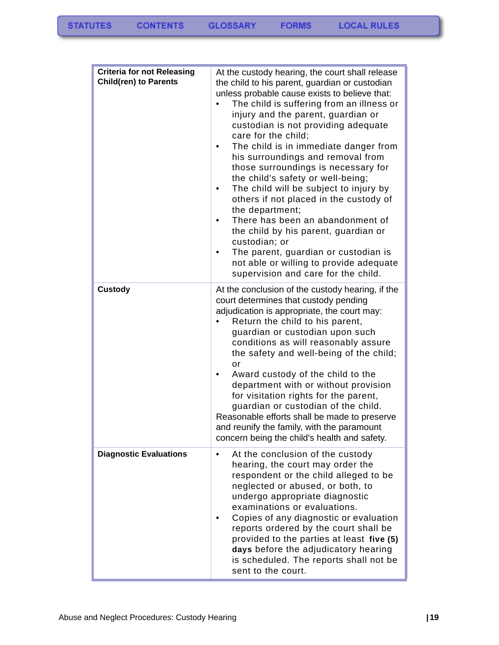| <b>Criteria for not Releasing</b><br><b>Child(ren) to Parents</b> | At the custody hearing, the court shall release<br>the child to his parent, guardian or custodian<br>unless probable cause exists to believe that:<br>The child is suffering from an illness or<br>injury and the parent, guardian or<br>custodian is not providing adequate<br>care for the child;<br>The child is in immediate danger from<br>his surroundings and removal from<br>those surroundings is necessary for<br>the child's safety or well-being;<br>The child will be subject to injury by<br>٠<br>others if not placed in the custody of<br>the department;<br>There has been an abandonment of<br>the child by his parent, guardian or<br>custodian; or<br>The parent, guardian or custodian is<br>not able or willing to provide adequate<br>supervision and care for the child. |
|-------------------------------------------------------------------|--------------------------------------------------------------------------------------------------------------------------------------------------------------------------------------------------------------------------------------------------------------------------------------------------------------------------------------------------------------------------------------------------------------------------------------------------------------------------------------------------------------------------------------------------------------------------------------------------------------------------------------------------------------------------------------------------------------------------------------------------------------------------------------------------|
| <b>Custody</b>                                                    | At the conclusion of the custody hearing, if the<br>court determines that custody pending<br>adjudication is appropriate, the court may:<br>Return the child to his parent,<br>guardian or custodian upon such<br>conditions as will reasonably assure<br>the safety and well-being of the child;<br>or<br>Award custody of the child to the<br>department with or without provision<br>for visitation rights for the parent,<br>guardian or custodian of the child.<br>Reasonable efforts shall be made to preserve<br>and reunify the family, with the paramount<br>concern being the child's health and safety.                                                                                                                                                                               |
| <b>Diagnostic Evaluations</b>                                     | At the conclusion of the custody<br>$\bullet$<br>hearing, the court may order the<br>respondent or the child alleged to be<br>neglected or abused, or both, to<br>undergo appropriate diagnostic<br>examinations or evaluations.<br>Copies of any diagnostic or evaluation<br>reports ordered by the court shall be<br>provided to the parties at least five (5)<br>days before the adjudicatory hearing<br>is scheduled. The reports shall not be<br>sent to the court.                                                                                                                                                                                                                                                                                                                         |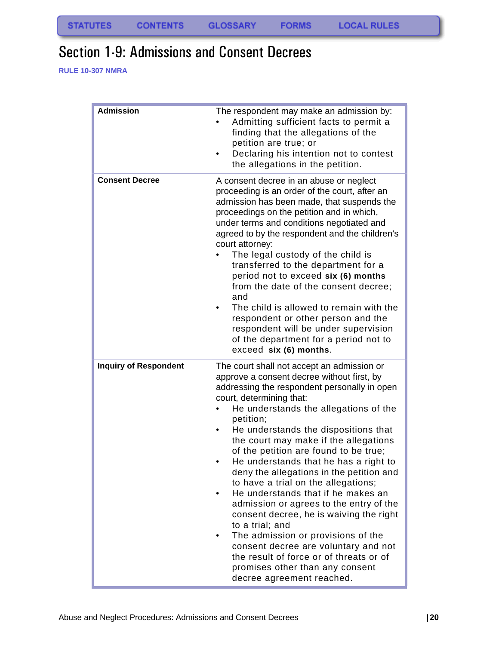# <span id="page-21-0"></span>Section 1-9: Admissions and Consent Decrees

**RULE 10-307 NMRA**

| <b>Admission</b>             | The respondent may make an admission by:<br>Admitting sufficient facts to permit a<br>finding that the allegations of the<br>petition are true; or<br>Declaring his intention not to contest<br>the allegations in the petition.                                                                                                                                                                                                                                                                                                                                                                                                                                                                                                                                                                                         |
|------------------------------|--------------------------------------------------------------------------------------------------------------------------------------------------------------------------------------------------------------------------------------------------------------------------------------------------------------------------------------------------------------------------------------------------------------------------------------------------------------------------------------------------------------------------------------------------------------------------------------------------------------------------------------------------------------------------------------------------------------------------------------------------------------------------------------------------------------------------|
| <b>Consent Decree</b>        | A consent decree in an abuse or neglect<br>proceeding is an order of the court, after an<br>admission has been made, that suspends the<br>proceedings on the petition and in which,<br>under terms and conditions negotiated and<br>agreed to by the respondent and the children's<br>court attorney:<br>The legal custody of the child is<br>transferred to the department for a<br>period not to exceed six (6) months<br>from the date of the consent decree;<br>and<br>The child is allowed to remain with the<br>respondent or other person and the<br>respondent will be under supervision<br>of the department for a period not to<br>exceed six (6) months.                                                                                                                                                      |
| <b>Inquiry of Respondent</b> | The court shall not accept an admission or<br>approve a consent decree without first, by<br>addressing the respondent personally in open<br>court, determining that:<br>He understands the allegations of the<br>petition;<br>He understands the dispositions that<br>the court may make if the allegations<br>of the petition are found to be true;<br>He understands that he has a right to<br>deny the allegations in the petition and<br>to have a trial on the allegations;<br>He understands that if he makes an<br>admission or agrees to the entry of the<br>consent decree, he is waiving the right<br>to a trial; and<br>The admission or provisions of the<br>consent decree are voluntary and not<br>the result of force or of threats or of<br>promises other than any consent<br>decree agreement reached. |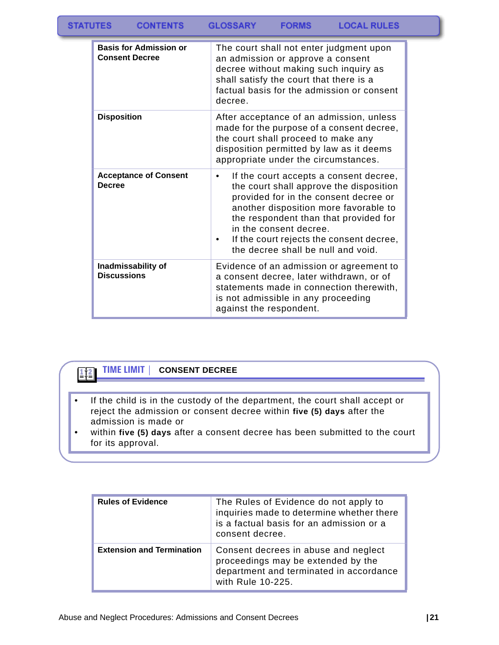| <b>STATUTES</b> | <b>CONTENTS</b> | <b>GLOSSARY</b> | <b>FORMS</b> | <b>LOCAL RULES</b> |
|-----------------|-----------------|-----------------|--------------|--------------------|
|-----------------|-----------------|-----------------|--------------|--------------------|

| <b>Basis for Admission or</b><br><b>Consent Decree</b> | The court shall not enter judgment upon<br>an admission or approve a consent<br>decree without making such inquiry as<br>shall satisfy the court that there is a<br>factual basis for the admission or consent                                                                                                                |
|--------------------------------------------------------|-------------------------------------------------------------------------------------------------------------------------------------------------------------------------------------------------------------------------------------------------------------------------------------------------------------------------------|
|                                                        | decree.                                                                                                                                                                                                                                                                                                                       |
| <b>Disposition</b>                                     | After acceptance of an admission, unless<br>made for the purpose of a consent decree,<br>the court shall proceed to make any<br>disposition permitted by law as it deems<br>appropriate under the circumstances.                                                                                                              |
| <b>Acceptance of Consent</b><br><b>Decree</b>          | If the court accepts a consent decree,<br>٠<br>the court shall approve the disposition<br>provided for in the consent decree or<br>another disposition more favorable to<br>the respondent than that provided for<br>in the consent decree.<br>If the court rejects the consent decree,<br>the decree shall be null and void. |
| Inadmissability of<br><b>Discussions</b>               | Evidence of an admission or agreement to<br>a consent decree, later withdrawn, or of<br>statements made in connection therewith,<br>is not admissible in any proceeding<br>against the respondent.                                                                                                                            |

### $\frac{1}{2}$

#### **TIME LIMIT | CONSENT DECREE**

- If the child is in the custody of the department, the court shall accept or reject the admission or consent decree within **five (5) days** after the admission is made or
- within **five (5) days** after a consent decree has been submitted to the court for its approval.

| <b>Rules of Evidence</b>         | The Rules of Evidence do not apply to<br>inquiries made to determine whether there<br>is a factual basis for an admission or a<br>consent decree. |
|----------------------------------|---------------------------------------------------------------------------------------------------------------------------------------------------|
| <b>Extension and Termination</b> | Consent decrees in abuse and neglect<br>proceedings may be extended by the<br>department and terminated in accordance<br>with Rule 10-225.        |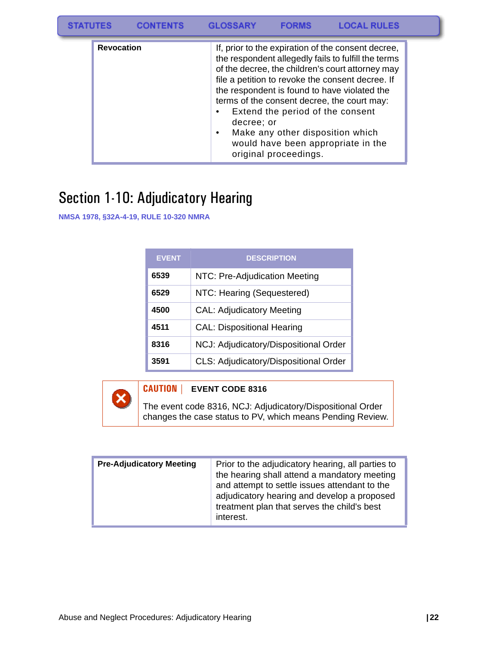| <b>STATUTES</b> |                   | <b>GLOSSARY</b> |                                                                                               | <b>LOCAL RULES</b>                                                                                                                                                                                                                                                                                                                                     |  |
|-----------------|-------------------|-----------------|-----------------------------------------------------------------------------------------------|--------------------------------------------------------------------------------------------------------------------------------------------------------------------------------------------------------------------------------------------------------------------------------------------------------------------------------------------------------|--|
|                 | <b>Revocation</b> | decree: or      | Extend the period of the consent<br>Make any other disposition which<br>original proceedings. | If, prior to the expiration of the consent decree,<br>the respondent allegedly fails to fulfill the terms<br>of the decree, the children's court attorney may<br>file a petition to revoke the consent decree. If<br>the respondent is found to have violated the<br>terms of the consent decree, the court may:<br>would have been appropriate in the |  |

# <span id="page-23-0"></span>Section 1-10: Adjudicatory Hearing

**NMSA 1978, §32A-4-19, RULE 10-320 NMRA**

| <b>EVENT</b> | <b>DESCRIPTION</b>                    |
|--------------|---------------------------------------|
| 6539         | NTC: Pre-Adjudication Meeting         |
| 6529         | NTC: Hearing (Sequestered)            |
| 4500         | <b>CAL: Adjudicatory Meeting</b>      |
| 4511         | <b>CAL: Dispositional Hearing</b>     |
| 8316         | NCJ: Adjudicatory/Dispositional Order |
| 3591         | CLS: Adjudicatory/Dispositional Order |



| <b>Pre-Adjudicatory Meeting</b> | Prior to the adjudicatory hearing, all parties to<br>the hearing shall attend a mandatory meeting<br>and attempt to settle issues attendant to the<br>adjudicatory hearing and develop a proposed<br>treatment plan that serves the child's best<br>interest. |
|---------------------------------|---------------------------------------------------------------------------------------------------------------------------------------------------------------------------------------------------------------------------------------------------------------|
|---------------------------------|---------------------------------------------------------------------------------------------------------------------------------------------------------------------------------------------------------------------------------------------------------------|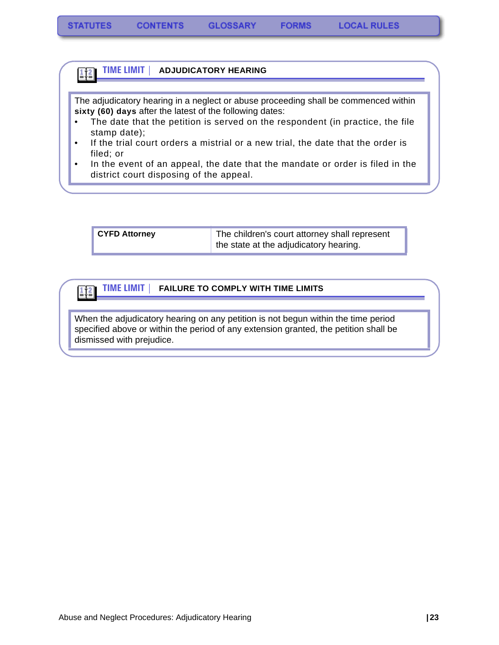#### **TIME LIMIT | ADJUDICATORY HEARING**  $\frac{1}{2}$

The adjudicatory hearing in a neglect or abuse proceeding shall be commenced within **sixty (60) days** after the latest of the following dates:

- The date that the petition is served on the respondent (in practice, the file stamp date);
- If the trial court orders a mistrial or a new trial, the date that the order is filed; or
- In the event of an appeal, the date that the mandate or order is filed in the district court disposing of the appeal.

| <b>CYFD Attorney</b> | The children's court attorney shall represent |
|----------------------|-----------------------------------------------|
|                      | the state at the adjudicatory hearing.        |

#### **TIME LIMIT | FAILURE TO COMPLY WITH TIME LIMITS**  $\left| \frac{1}{2} \right|$

When the adjudicatory hearing on any petition is not begun within the time period specified above or within the period of any extension granted, the petition shall be dismissed with prejudice.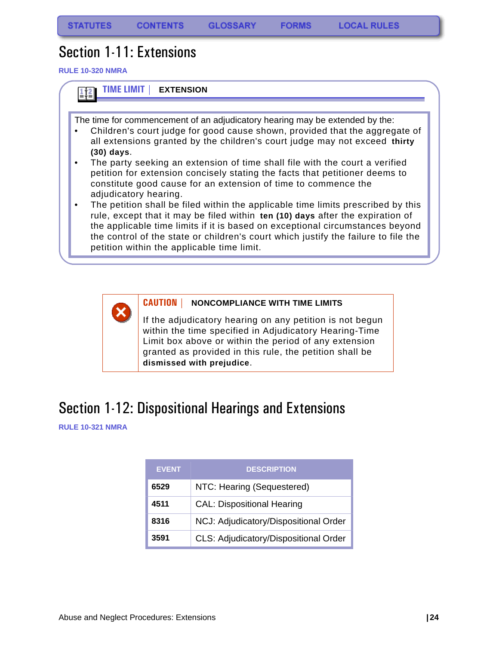**FORMS** 

## <span id="page-25-0"></span>Section 1-11: Extensions

**RULE 10-320 NMRA**





### **CAUTION | NONCOMPLIANCE WITH TIME LIMITS**

If the adjudicatory hearing on any petition is not begun within the time specified in Adjudicatory Hearing-Time Limit box above or within the period of any extension granted as provided in this rule, the petition shall be **dismissed with prejudice**.

## <span id="page-25-1"></span>Section 1-12: Dispositional Hearings and Extensions

**RULE 10-321 NMRA**

| <b>EVENT</b> | <b>DESCRIPTION</b>                    |
|--------------|---------------------------------------|
| 6529         | NTC: Hearing (Sequestered)            |
| 4511         | <b>CAL: Dispositional Hearing</b>     |
| 8316         | NCJ: Adjudicatory/Dispositional Order |
| 3591         | CLS: Adjudicatory/Dispositional Order |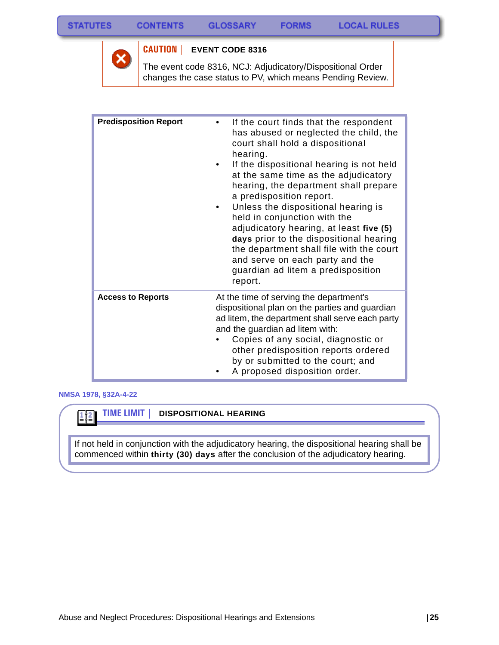

### **CAUTION | EVENT CODE 8316**

The event code 8316, NCJ: Adjudicatory/Dispositional Order changes the case status to PV, which means Pending Review.

| <b>Predisposition Report</b> | If the court finds that the respondent<br>has abused or neglected the child, the<br>court shall hold a dispositional<br>hearing.<br>If the dispositional hearing is not held<br>at the same time as the adjudicatory                                                                                                                                           |
|------------------------------|----------------------------------------------------------------------------------------------------------------------------------------------------------------------------------------------------------------------------------------------------------------------------------------------------------------------------------------------------------------|
|                              | hearing, the department shall prepare<br>a predisposition report.<br>Unless the dispositional hearing is<br>held in conjunction with the<br>adjudicatory hearing, at least five (5)<br>days prior to the dispositional hearing<br>the department shall file with the court<br>and serve on each party and the<br>guardian ad litem a predisposition<br>report. |
| <b>Access to Reports</b>     | At the time of serving the department's<br>dispositional plan on the parties and guardian<br>ad litem, the department shall serve each party<br>and the guardian ad litem with:<br>Copies of any social, diagnostic or<br>other predisposition reports ordered<br>by or submitted to the court; and<br>A proposed disposition order.                           |

### **NMSA 1978, §32A-4-22**

 $\frac{1}{2}$ 

**TIME LIMIT | DISPOSITIONAL HEARING**

If not held in conjunction with the adjudicatory hearing, the dispositional hearing shall be commenced within **thirty (30) days** after the conclusion of the adjudicatory hearing.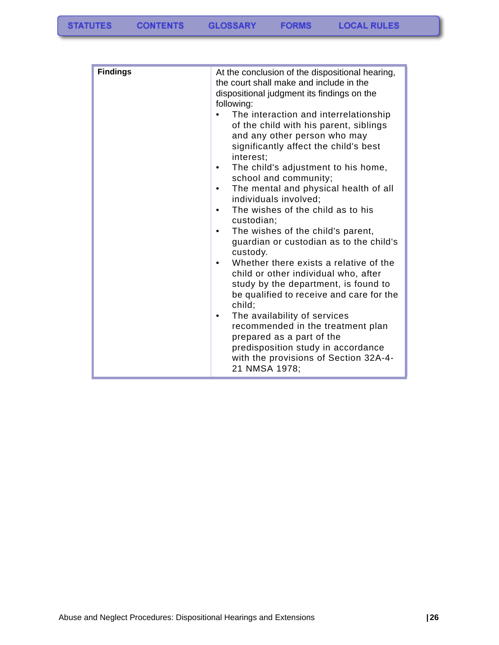| <b>Findings</b> | At the conclusion of the dispositional hearing,<br>the court shall make and include in the<br>dispositional judgment its findings on the<br>following:                |
|-----------------|-----------------------------------------------------------------------------------------------------------------------------------------------------------------------|
|                 | The interaction and interrelationship<br>of the child with his parent, siblings<br>and any other person who may<br>significantly affect the child's best<br>interest; |
|                 | The child's adjustment to his home,<br>٠<br>school and community;                                                                                                     |
|                 | The mental and physical health of all<br>$\bullet$<br>individuals involved;                                                                                           |
|                 | The wishes of the child as to his<br>$\bullet$<br>custodian;                                                                                                          |
|                 | The wishes of the child's parent,<br>guardian or custodian as to the child's<br>custody.                                                                              |
|                 | Whether there exists a relative of the<br>$\bullet$<br>child or other individual who, after                                                                           |
|                 | study by the department, is found to<br>be qualified to receive and care for the<br>child;                                                                            |
|                 | The availability of services                                                                                                                                          |
|                 | recommended in the treatment plan<br>prepared as a part of the                                                                                                        |
|                 | predisposition study in accordance<br>with the provisions of Section 32A-4-<br>21 NMSA 1978;                                                                          |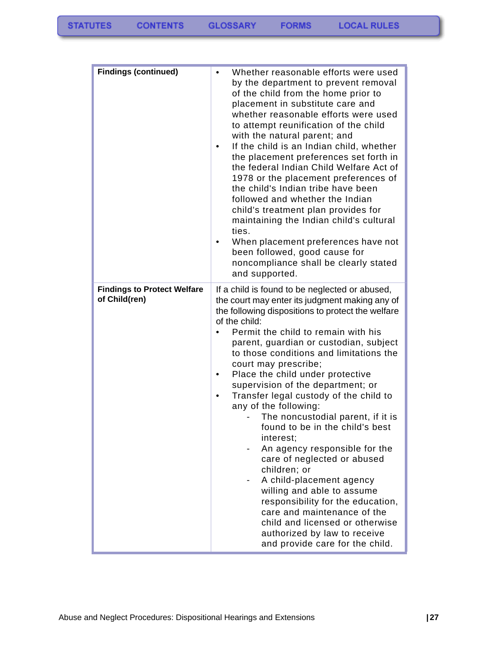| <b>Findings (continued)</b>                         | Whether reasonable efforts were used<br>by the department to prevent removal<br>of the child from the home prior to<br>placement in substitute care and<br>whether reasonable efforts were used<br>to attempt reunification of the child<br>with the natural parent; and<br>If the child is an Indian child, whether<br>the placement preferences set forth in<br>the federal Indian Child Welfare Act of<br>1978 or the placement preferences of<br>the child's Indian tribe have been<br>followed and whether the Indian<br>child's treatment plan provides for<br>maintaining the Indian child's cultural<br>ties.<br>When placement preferences have not<br>been followed, good cause for<br>noncompliance shall be clearly stated<br>and supported.                                                                                                                        |
|-----------------------------------------------------|---------------------------------------------------------------------------------------------------------------------------------------------------------------------------------------------------------------------------------------------------------------------------------------------------------------------------------------------------------------------------------------------------------------------------------------------------------------------------------------------------------------------------------------------------------------------------------------------------------------------------------------------------------------------------------------------------------------------------------------------------------------------------------------------------------------------------------------------------------------------------------|
| <b>Findings to Protect Welfare</b><br>of Child(ren) | If a child is found to be neglected or abused,<br>the court may enter its judgment making any of<br>the following dispositions to protect the welfare<br>of the child:<br>Permit the child to remain with his<br>parent, guardian or custodian, subject<br>to those conditions and limitations the<br>court may prescribe;<br>Place the child under protective<br>supervision of the department; or<br>Transfer legal custody of the child to<br>any of the following:<br>The noncustodial parent, if it is<br>found to be in the child's best<br>interest;<br>An agency responsible for the<br>care of neglected or abused<br>children; or<br>A child-placement agency<br>willing and able to assume<br>responsibility for the education,<br>care and maintenance of the<br>child and licensed or otherwise<br>authorized by law to receive<br>and provide care for the child. |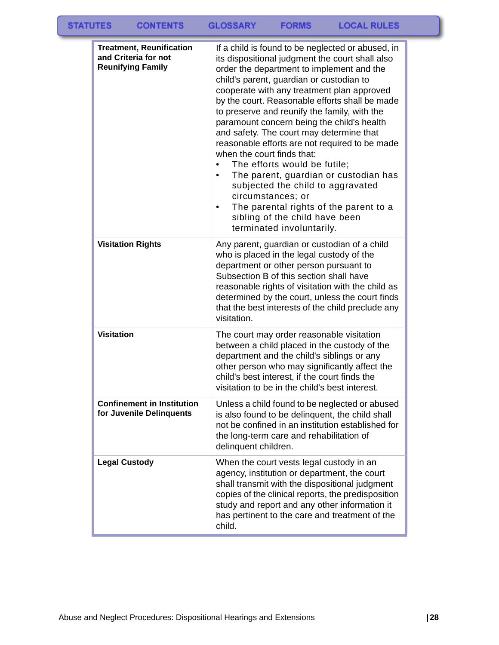| <b>Treatment, Reunification</b><br>and Criteria for not<br><b>Reunifying Family</b> | If a child is found to be neglected or abused, in<br>its dispositional judgment the court shall also<br>order the department to implement and the<br>child's parent, guardian or custodian to<br>cooperate with any treatment plan approved<br>by the court. Reasonable efforts shall be made<br>to preserve and reunify the family, with the<br>paramount concern being the child's health<br>and safety. The court may determine that<br>reasonable efforts are not required to be made<br>when the court finds that:<br>The efforts would be futile;<br>The parent, guardian or custodian has<br>subjected the child to aggravated<br>circumstances; or<br>The parental rights of the parent to a<br>sibling of the child have been<br>terminated involuntarily. |
|-------------------------------------------------------------------------------------|---------------------------------------------------------------------------------------------------------------------------------------------------------------------------------------------------------------------------------------------------------------------------------------------------------------------------------------------------------------------------------------------------------------------------------------------------------------------------------------------------------------------------------------------------------------------------------------------------------------------------------------------------------------------------------------------------------------------------------------------------------------------|
| <b>Visitation Rights</b>                                                            | Any parent, guardian or custodian of a child<br>who is placed in the legal custody of the<br>department or other person pursuant to<br>Subsection B of this section shall have<br>reasonable rights of visitation with the child as<br>determined by the court, unless the court finds<br>that the best interests of the child preclude any<br>visitation.                                                                                                                                                                                                                                                                                                                                                                                                          |
| <b>Visitation</b>                                                                   | The court may order reasonable visitation<br>between a child placed in the custody of the<br>department and the child's siblings or any<br>other person who may significantly affect the<br>child's best interest, if the court finds the<br>visitation to be in the child's best interest.                                                                                                                                                                                                                                                                                                                                                                                                                                                                         |
| <b>Confinement in Institution</b><br>for Juvenile Delinquents                       | Unless a child found to be neglected or abused<br>is also found to be delinquent, the child shall<br>not be confined in an institution established for<br>the long-term care and rehabilitation of<br>delinquent children.                                                                                                                                                                                                                                                                                                                                                                                                                                                                                                                                          |
| <b>Legal Custody</b>                                                                | When the court vests legal custody in an<br>agency, institution or department, the court<br>shall transmit with the dispositional judgment<br>copies of the clinical reports, the predisposition<br>study and report and any other information it<br>has pertinent to the care and treatment of the<br>child.                                                                                                                                                                                                                                                                                                                                                                                                                                                       |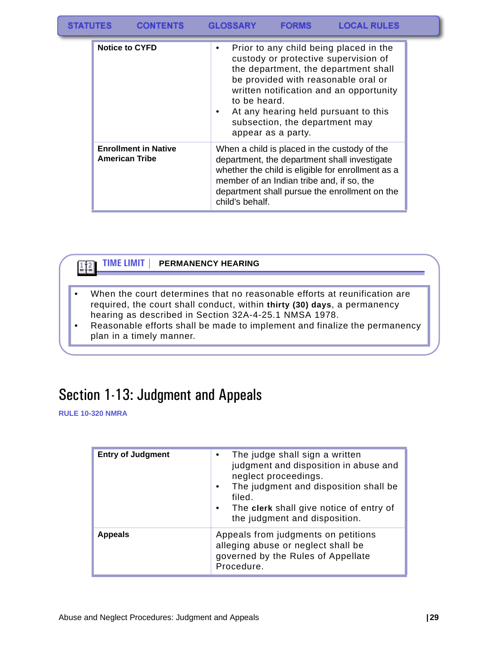| <b>STATUTES</b><br><b>LOCAL RULES</b><br><b>CONTENTS</b><br><b>GLOSSARY</b><br><b>FORMS</b> |  |
|---------------------------------------------------------------------------------------------|--|
|---------------------------------------------------------------------------------------------|--|

| <b>Notice to CYFD</b>                                | Prior to any child being placed in the<br>$\bullet$<br>custody or protective supervision of<br>the department, the department shall<br>be provided with reasonable oral or<br>written notification and an opportunity<br>to be heard.<br>At any hearing held pursuant to this<br>$\bullet$<br>subsection, the department may<br>appear as a party. |
|------------------------------------------------------|----------------------------------------------------------------------------------------------------------------------------------------------------------------------------------------------------------------------------------------------------------------------------------------------------------------------------------------------------|
| <b>Enrollment in Native</b><br><b>American Tribe</b> | When a child is placed in the custody of the<br>department, the department shall investigate<br>whether the child is eligible for enrollment as a<br>member of an Indian tribe and, if so, the<br>department shall pursue the enrollment on the<br>child's behalf.                                                                                 |

### $\left| \frac{1}{2} \right|$

#### **TIME LIMIT | PERMANENCY HEARING**

- When the court determines that no reasonable efforts at reunification are required, the court shall conduct, within **thirty (30) days**, a permanency hearing as described in Section 32A-4-25.1 NMSA 1978.
- Reasonable efforts shall be made to implement and finalize the permanency plan in a timely manner.

# <span id="page-30-0"></span>Section 1-13: Judgment and Appeals

**RULE 10-320 NMRA**

| <b>Entry of Judgment</b> | The judge shall sign a written<br>judgment and disposition in abuse and<br>neglect proceedings.<br>The judgment and disposition shall be<br>filed.<br>The clerk shall give notice of entry of<br>the judgment and disposition. |
|--------------------------|--------------------------------------------------------------------------------------------------------------------------------------------------------------------------------------------------------------------------------|
| <b>Appeals</b>           | Appeals from judgments on petitions<br>alleging abuse or neglect shall be<br>governed by the Rules of Appellate<br>Procedure.                                                                                                  |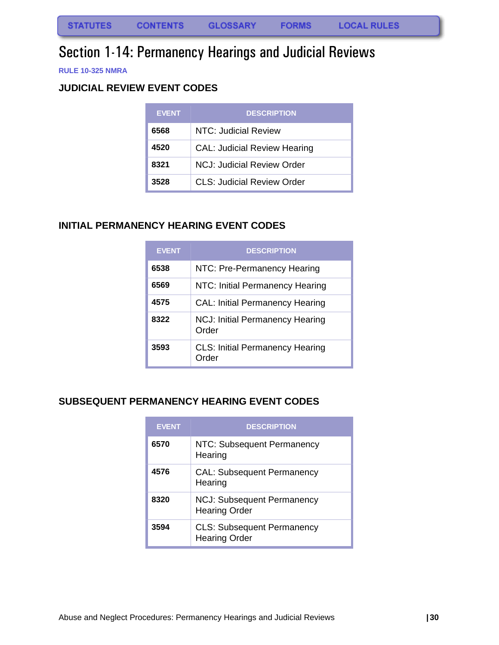# <span id="page-31-0"></span>Section 1-14: Permanency Hearings and Judicial Reviews

**RULE 10-325 NMRA**

### <span id="page-31-1"></span>**JUDICIAL REVIEW EVENT CODES**

| <b>EVENT</b> | <b>DESCRIPTION</b>                  |
|--------------|-------------------------------------|
| 6568         | NTC: Judicial Review                |
| 4520         | <b>CAL: Judicial Review Hearing</b> |
| 8321         | NCJ: Judicial Review Order          |
| 3528         | CLS: Judicial Review Order          |

### <span id="page-31-2"></span>**INITIAL PERMANENCY HEARING EVENT CODES**

| <b>EVENT</b> | <b>DESCRIPTION</b>                              |
|--------------|-------------------------------------------------|
| 6538         | NTC: Pre-Permanency Hearing                     |
| 6569         | NTC: Initial Permanency Hearing                 |
| 4575         | <b>CAL: Initial Permanency Hearing</b>          |
| 8322         | <b>NCJ: Initial Permanency Hearing</b><br>Order |
| 3593         | <b>CLS: Initial Permanency Hearing</b><br>Order |

### <span id="page-31-3"></span>**SUBSEQUENT PERMANENCY HEARING EVENT CODES**

| <b>EVENT</b> | <b>DESCRIPTION</b>                                        |
|--------------|-----------------------------------------------------------|
| 6570         | NTC: Subsequent Permanency<br>Hearing                     |
| 4576         | <b>CAL: Subsequent Permanency</b><br>Hearing              |
| 8320         | <b>NCJ: Subsequent Permanency</b><br><b>Hearing Order</b> |
| 3594         | <b>CLS: Subsequent Permanency</b><br><b>Hearing Order</b> |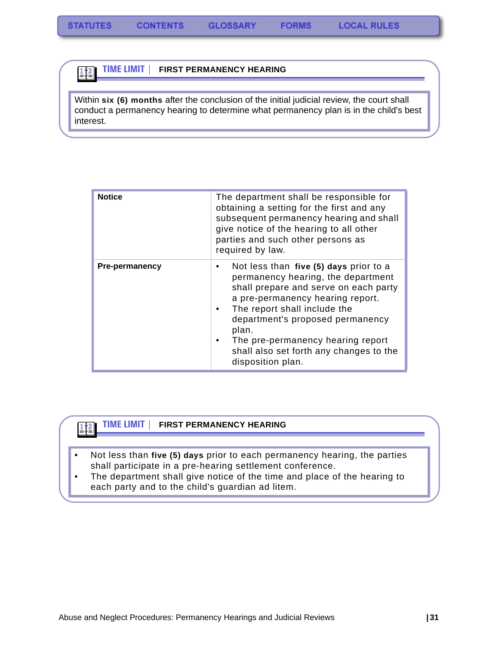$\frac{1}{2}$  $\frac{2}{2}$ 

 $\frac{1}{2}$ 

#### **TIME LIMIT | FIRST PERMANENCY HEARING**

Within **six (6) months** after the conclusion of the initial judicial review, the court shall conduct a permanency hearing to determine what permanency plan is in the child's best interest.

| <b>Notice</b>         | The department shall be responsible for<br>obtaining a setting for the first and any<br>subsequent permanency hearing and shall<br>give notice of the hearing to all other<br>parties and such other persons as<br>required by law.                                                                                                              |
|-----------------------|--------------------------------------------------------------------------------------------------------------------------------------------------------------------------------------------------------------------------------------------------------------------------------------------------------------------------------------------------|
| <b>Pre-permanency</b> | Not less than five (5) days prior to a<br>٠<br>permanency hearing, the department<br>shall prepare and serve on each party<br>a pre-permanency hearing report.<br>The report shall include the<br>department's proposed permanency<br>plan.<br>The pre-permanency hearing report<br>shall also set forth any changes to the<br>disposition plan. |

#### **TIME LIMIT | FIRST PERMANENCY HEARING**

- Not less than **five (5) days** prior to each permanency hearing, the parties shall participate in a pre-hearing settlement conference.
- The department shall give notice of the time and place of the hearing to each party and to the child's guardian ad litem.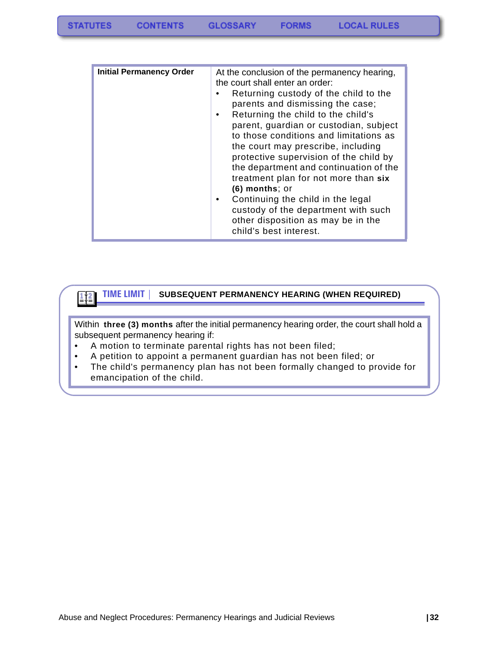#### **TIME LIMIT | SUBSEQUENT PERMANENCY HEARING (WHEN REQUIRED)**

Within **three (3) months** after the initial permanency hearing order, the court shall hold a subsequent permanency hearing if:

• A motion to terminate parental rights has not been filed;

 $\frac{1}{2}$ 

- A petition to appoint a permanent guardian has not been filed; or
- The child's permanency plan has not been formally changed to provide for emancipation of the child.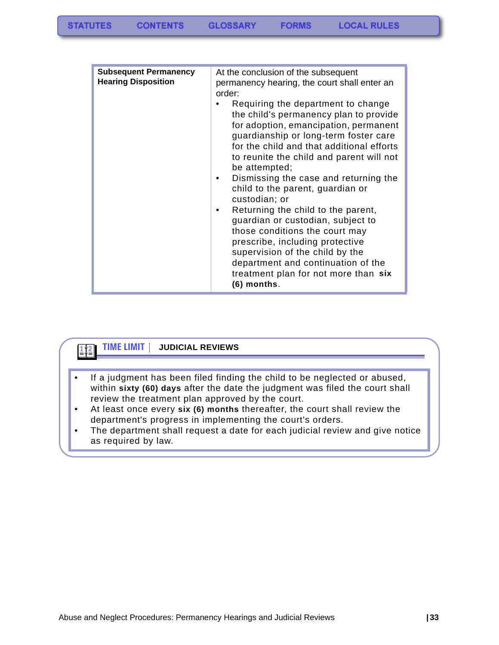| <b>Subsequent Permanency</b><br><b>Hearing Disposition</b> | At the conclusion of the subsequent<br>permanency hearing, the court shall enter an<br>order:<br>Requiring the department to change<br>the child's permanency plan to provide<br>for adoption, emancipation, permanent<br>guardianship or long-term foster care<br>for the child and that additional efforts<br>to reunite the child and parent will not<br>be attempted;<br>Dismissing the case and returning the<br>child to the parent, guardian or<br>custodian; or<br>Returning the child to the parent,<br>٠<br>guardian or custodian, subject to<br>those conditions the court may<br>prescribe, including protective<br>supervision of the child by the<br>department and continuation of the |
|------------------------------------------------------------|-------------------------------------------------------------------------------------------------------------------------------------------------------------------------------------------------------------------------------------------------------------------------------------------------------------------------------------------------------------------------------------------------------------------------------------------------------------------------------------------------------------------------------------------------------------------------------------------------------------------------------------------------------------------------------------------------------|
|                                                            | treatment plan for not more than six<br>$(6)$ months.                                                                                                                                                                                                                                                                                                                                                                                                                                                                                                                                                                                                                                                 |

### **TIME LIMIT | JUDICIAL REVIEWS**

 $\frac{1}{2}$  $\frac{2}{2}$ 

- If a judgment has been filed finding the child to be neglected or abused, within **sixty (60) days** after the date the judgment was filed the court shall review the treatment plan approved by the court.
- At least once every **six (6) months** thereafter, the court shall review the department's progress in implementing the court's orders.
- The department shall request a date for each judicial review and give notice as required by law.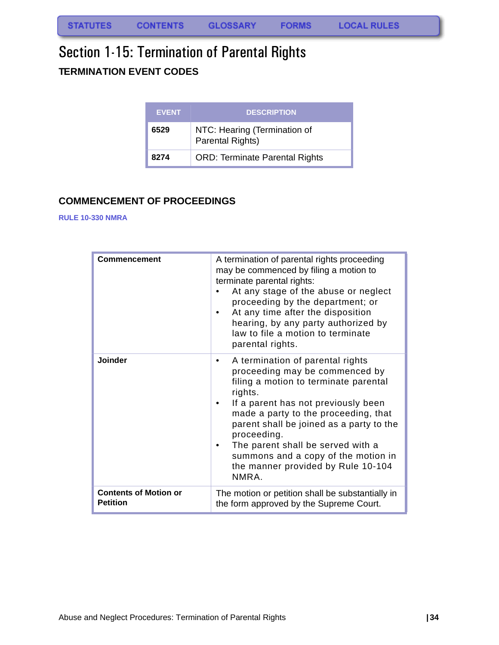# <span id="page-35-1"></span><span id="page-35-0"></span>Section 1-15: Termination of Parental Rights **TERMINATION EVENT CODES**

| <b>EVENT</b> | <b>DESCRIPTION</b>                               |
|--------------|--------------------------------------------------|
| 6529         | NTC: Hearing (Termination of<br>Parental Rights) |
| 8274         | <b>ORD: Terminate Parental Rights</b>            |

### <span id="page-35-2"></span>**COMMENCEMENT OF PROCEEDINGS**

#### **RULE 10-330 NMRA**

| <b>Commencement</b>                             | A termination of parental rights proceeding<br>may be commenced by filing a motion to<br>terminate parental rights:<br>At any stage of the abuse or neglect<br>proceeding by the department; or<br>At any time after the disposition<br>hearing, by any party authorized by<br>law to file a motion to terminate<br>parental rights.                                                                     |
|-------------------------------------------------|----------------------------------------------------------------------------------------------------------------------------------------------------------------------------------------------------------------------------------------------------------------------------------------------------------------------------------------------------------------------------------------------------------|
| Joinder                                         | A termination of parental rights<br>$\bullet$<br>proceeding may be commenced by<br>filing a motion to terminate parental<br>rights.<br>If a parent has not previously been<br>made a party to the proceeding, that<br>parent shall be joined as a party to the<br>proceeding.<br>The parent shall be served with a<br>summons and a copy of the motion in<br>the manner provided by Rule 10-104<br>NMRA. |
| <b>Contents of Motion or</b><br><b>Petition</b> | The motion or petition shall be substantially in<br>the form approved by the Supreme Court.                                                                                                                                                                                                                                                                                                              |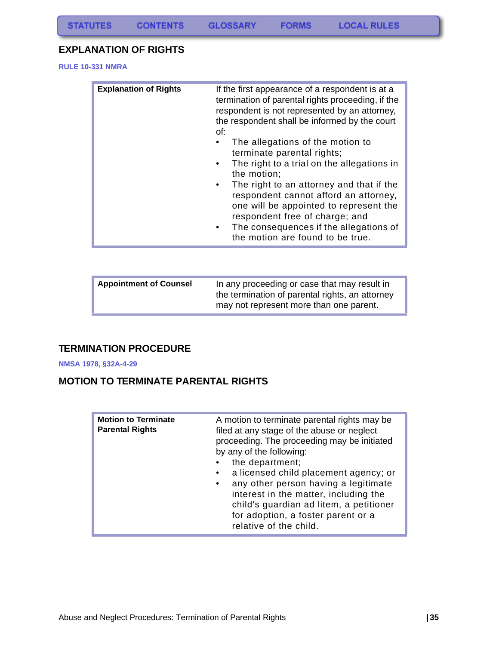### **EXPLANATION OF RIGHTS**

**RULE 10-331 NMRA**

| <b>Explanation of Rights</b><br>of: | If the first appearance of a respondent is at a<br>termination of parental rights proceeding, if the<br>respondent is not represented by an attorney,<br>the respondent shall be informed by the court<br>The allegations of the motion to<br>terminate parental rights;<br>The right to a trial on the allegations in<br>the motion;<br>The right to an attorney and that if the<br>respondent cannot afford an attorney,<br>one will be appointed to represent the<br>respondent free of charge; and<br>The consequences if the allegations of<br>the motion are found to be true. |
|-------------------------------------|--------------------------------------------------------------------------------------------------------------------------------------------------------------------------------------------------------------------------------------------------------------------------------------------------------------------------------------------------------------------------------------------------------------------------------------------------------------------------------------------------------------------------------------------------------------------------------------|
|-------------------------------------|--------------------------------------------------------------------------------------------------------------------------------------------------------------------------------------------------------------------------------------------------------------------------------------------------------------------------------------------------------------------------------------------------------------------------------------------------------------------------------------------------------------------------------------------------------------------------------------|

| <b>Appointment of Counsel</b> | In any proceeding or case that may result in<br>the termination of parental rights, an attorney<br>may not represent more than one parent. |
|-------------------------------|--------------------------------------------------------------------------------------------------------------------------------------------|
|                               |                                                                                                                                            |

### **TERMINATION PROCEDURE**

**NMSA 1978, §32A-4-29**

### **MOTION TO TERMINATE PARENTAL RIGHTS**

| <b>Motion to Terminate</b><br><b>Parental Rights</b> | A motion to terminate parental rights may be<br>filed at any stage of the abuse or neglect<br>proceeding. The proceeding may be initiated<br>by any of the following:<br>the department;<br>a licensed child placement agency; or<br>any other person having a legitimate<br>$\bullet$ |
|------------------------------------------------------|----------------------------------------------------------------------------------------------------------------------------------------------------------------------------------------------------------------------------------------------------------------------------------------|
|                                                      | interest in the matter, including the<br>child's guardian ad litem, a petitioner<br>for adoption, a foster parent or a<br>relative of the child.                                                                                                                                       |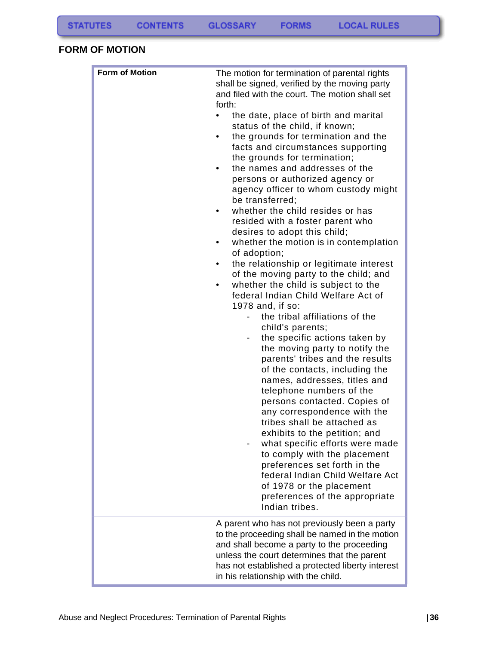### **FORM OF MOTION**

| <b>Form of Motion</b> | The motion for termination of parental rights<br>shall be signed, verified by the moving party<br>and filed with the court. The motion shall set<br>forth:<br>the date, place of birth and marital<br>$\bullet$<br>status of the child, if known;<br>the grounds for termination and the<br>$\bullet$<br>facts and circumstances supporting<br>the grounds for termination;<br>the names and addresses of the<br>$\bullet$<br>persons or authorized agency or<br>agency officer to whom custody might<br>be transferred;<br>whether the child resides or has<br>$\bullet$<br>resided with a foster parent who<br>desires to adopt this child;<br>whether the motion is in contemplation<br>٠<br>of adoption;<br>the relationship or legitimate interest<br>$\bullet$<br>of the moving party to the child; and<br>whether the child is subject to the<br>$\bullet$<br>federal Indian Child Welfare Act of<br>1978 and, if so:<br>the tribal affiliations of the<br>child's parents;<br>the specific actions taken by<br>the moving party to notify the<br>parents' tribes and the results<br>of the contacts, including the<br>names, addresses, titles and<br>telephone numbers of the<br>persons contacted. Copies of<br>any correspondence with the<br>tribes shall be attached as<br>exhibits to the petition; and<br>what specific efforts were made<br>to comply with the placement<br>preferences set forth in the<br>federal Indian Child Welfare Act<br>of 1978 or the placement |
|-----------------------|------------------------------------------------------------------------------------------------------------------------------------------------------------------------------------------------------------------------------------------------------------------------------------------------------------------------------------------------------------------------------------------------------------------------------------------------------------------------------------------------------------------------------------------------------------------------------------------------------------------------------------------------------------------------------------------------------------------------------------------------------------------------------------------------------------------------------------------------------------------------------------------------------------------------------------------------------------------------------------------------------------------------------------------------------------------------------------------------------------------------------------------------------------------------------------------------------------------------------------------------------------------------------------------------------------------------------------------------------------------------------------------------------------------------------------------------------------------------------------------|
|                       | preferences of the appropriate<br>Indian tribes.                                                                                                                                                                                                                                                                                                                                                                                                                                                                                                                                                                                                                                                                                                                                                                                                                                                                                                                                                                                                                                                                                                                                                                                                                                                                                                                                                                                                                                         |
|                       | A parent who has not previously been a party<br>to the proceeding shall be named in the motion<br>and shall become a party to the proceeding<br>unless the court determines that the parent<br>has not established a protected liberty interest<br>in his relationship with the child.                                                                                                                                                                                                                                                                                                                                                                                                                                                                                                                                                                                                                                                                                                                                                                                                                                                                                                                                                                                                                                                                                                                                                                                                   |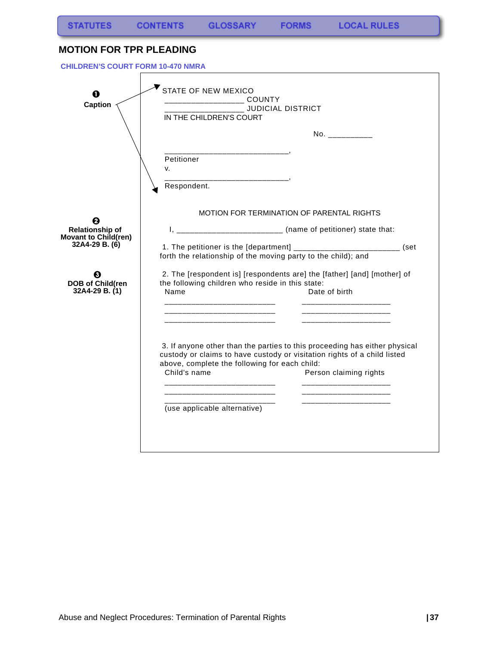### **MOTION FOR TPR PLEADING**

 **CHILDREN'S COURT FORM 10-470 NMRA**

| O<br><b>Caption</b>                                        | <b>STATE OF NEW MEXICO</b><br>JUDICIAL DISTRICT<br>IN THE CHILDREN'S COURT                                                                                                                                                                        |
|------------------------------------------------------------|---------------------------------------------------------------------------------------------------------------------------------------------------------------------------------------------------------------------------------------------------|
|                                                            | No. ___________                                                                                                                                                                                                                                   |
|                                                            | Petitioner<br>v.<br>______________________________<br>Respondent.                                                                                                                                                                                 |
|                                                            | MOTION FOR TERMINATION OF PARENTAL RIGHTS                                                                                                                                                                                                         |
| Ø<br><b>Relationship of</b><br><b>Movant to Child(ren)</b> | I, _________________________ (name of petitioner) state that:                                                                                                                                                                                     |
| 32A4-29 B. (6)                                             | 1. The petitioner is the [department] ____________________________ (set<br>forth the relationship of the moving party to the child); and                                                                                                          |
| Ø<br><b>DOB of Child(ren</b><br>32A4-29 B. (1)             | 2. The [respondent is] [respondents are] the [father] [and] [mother] of<br>the following children who reside in this state:<br>Name<br>Date of birth                                                                                              |
|                                                            | 3. If anyone other than the parties to this proceeding has either physical<br>custody or claims to have custody or visitation rights of a child listed<br>above, complete the following for each child:<br>Child's name<br>Person claiming rights |
|                                                            | (use applicable alternative)                                                                                                                                                                                                                      |
|                                                            |                                                                                                                                                                                                                                                   |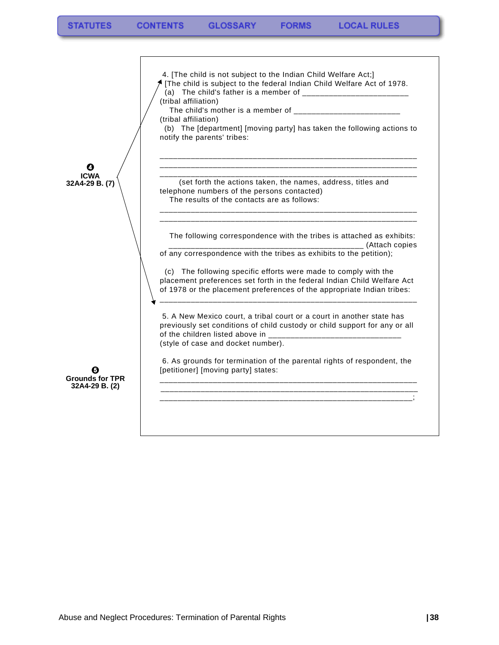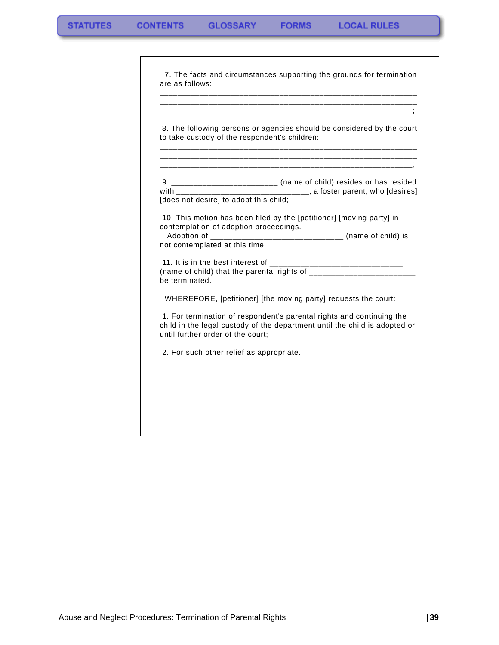| to take custody of the respondent's children:                            | 8. The following persons or agencies should be considered by the court                                                                              |
|--------------------------------------------------------------------------|-----------------------------------------------------------------------------------------------------------------------------------------------------|
| [does not desire] to adopt this child:                                   | 9. _________________________ (name of child) resides or has resided<br>with __________________________________, a foster parent, who [desires]      |
| contemplation of adoption proceedings.<br>not contemplated at this time; | 10. This motion has been filed by the [petitioner] [moving party] in<br>Adoption of _________________________________ (name of child) is            |
| be terminated.                                                           |                                                                                                                                                     |
|                                                                          | WHEREFORE, [petitioner] [the moving party] requests the court:                                                                                      |
| until further order of the court;                                        | 1. For termination of respondent's parental rights and continuing the<br>child in the legal custody of the department until the child is adopted or |
| 2. For such other relief as appropriate.                                 |                                                                                                                                                     |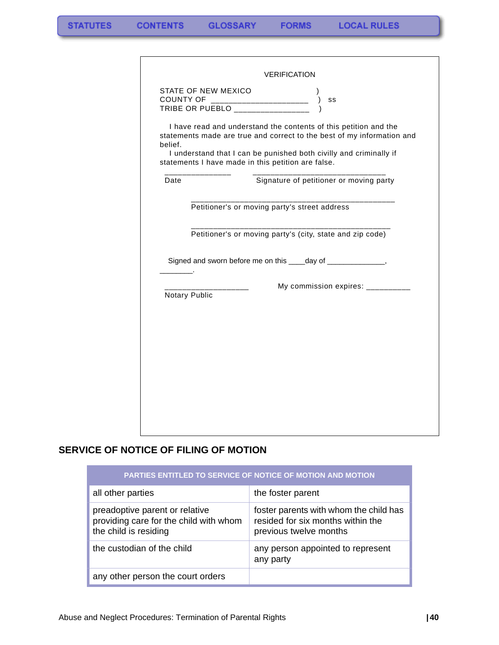|               | STATE OF NEW MEXICO<br>SS                                                                                                                  |
|---------------|--------------------------------------------------------------------------------------------------------------------------------------------|
| belief.       | I have read and understand the contents of this petition and the<br>statements made are true and correct to the best of my information and |
|               | I understand that I can be punished both civilly and criminally if<br>statements I have made in this petition are false.                   |
| Date          | Signature of petitioner or moving party                                                                                                    |
|               | Petitioner's or moving party's street address                                                                                              |
|               | Petitioner's or moving party's (city, state and zip code)                                                                                  |
|               | Signed and sworn before me on this ____day of _______________,                                                                             |
| Notary Public | My commission expires: __________                                                                                                          |
|               |                                                                                                                                            |
|               |                                                                                                                                            |
|               |                                                                                                                                            |
|               |                                                                                                                                            |
|               |                                                                                                                                            |

### **SERVICE OF NOTICE OF FILING OF MOTION**

| PARTIES ENTITLED TO SERVICE OF NOTICE OF MOTION AND MOTION                                        |                                                                                                       |
|---------------------------------------------------------------------------------------------------|-------------------------------------------------------------------------------------------------------|
| all other parties                                                                                 | the foster parent                                                                                     |
| preadoptive parent or relative<br>providing care for the child with whom<br>the child is residing | foster parents with whom the child has<br>resided for six months within the<br>previous twelve months |
| the custodian of the child                                                                        | any person appointed to represent<br>any party                                                        |
| any other person the court orders                                                                 |                                                                                                       |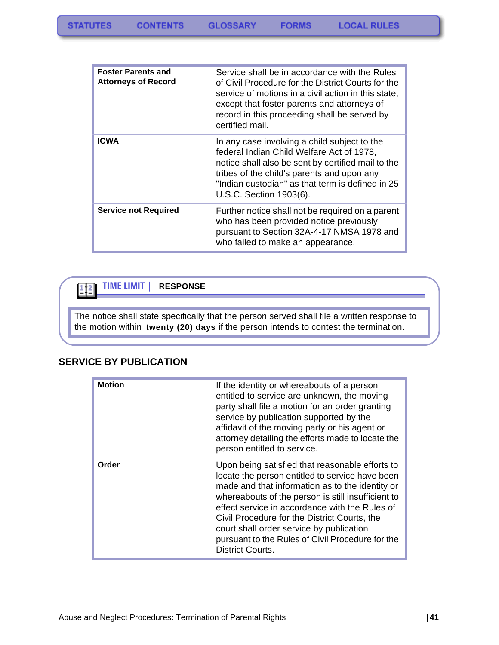| <b>Foster Parents and</b><br><b>Attorneys of Record</b> | Service shall be in accordance with the Rules<br>of Civil Procedure for the District Courts for the<br>service of motions in a civil action in this state.<br>except that foster parents and attorneys of<br>record in this proceeding shall be served by<br>certified mail. |
|---------------------------------------------------------|------------------------------------------------------------------------------------------------------------------------------------------------------------------------------------------------------------------------------------------------------------------------------|
| <b>ICWA</b>                                             | In any case involving a child subject to the<br>federal Indian Child Welfare Act of 1978,<br>notice shall also be sent by certified mail to the<br>tribes of the child's parents and upon any<br>"Indian custodian" as that term is defined in 25<br>U.S.C. Section 1903(6). |
| <b>Service not Required</b>                             | Further notice shall not be required on a parent<br>who has been provided notice previously<br>pursuant to Section 32A-4-17 NMSA 1978 and<br>who failed to make an appearance.                                                                                               |

#### **TIME LIMIT | RESPONSE**  $\frac{1}{2}$

The notice shall state specifically that the person served shall file a written response to the motion within **twenty (20) days** if the person intends to contest the termination.

#### **SERVICE BY PUBLICATION**

| <b>Motion</b> | If the identity or whereabouts of a person<br>entitled to service are unknown, the moving<br>party shall file a motion for an order granting<br>service by publication supported by the<br>affidavit of the moving party or his agent or<br>attorney detailing the efforts made to locate the<br>person entitled to service.                                                                                                             |
|---------------|------------------------------------------------------------------------------------------------------------------------------------------------------------------------------------------------------------------------------------------------------------------------------------------------------------------------------------------------------------------------------------------------------------------------------------------|
| Order         | Upon being satisfied that reasonable efforts to<br>locate the person entitled to service have been<br>made and that information as to the identity or<br>whereabouts of the person is still insufficient to<br>effect service in accordance with the Rules of<br>Civil Procedure for the District Courts, the<br>court shall order service by publication<br>pursuant to the Rules of Civil Procedure for the<br><b>District Courts.</b> |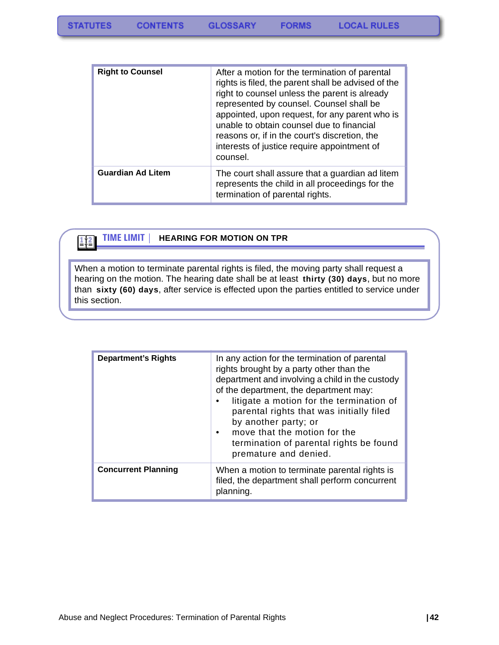| <b>Right to Counsel</b>  | After a motion for the termination of parental<br>rights is filed, the parent shall be advised of the<br>right to counsel unless the parent is already<br>represented by counsel. Counsel shall be<br>appointed, upon request, for any parent who is<br>unable to obtain counsel due to financial<br>reasons or, if in the court's discretion, the<br>interests of justice require appointment of<br>counsel. |
|--------------------------|---------------------------------------------------------------------------------------------------------------------------------------------------------------------------------------------------------------------------------------------------------------------------------------------------------------------------------------------------------------------------------------------------------------|
| <b>Guardian Ad Litem</b> | The court shall assure that a guardian ad litem<br>represents the child in all proceedings for the<br>termination of parental rights.                                                                                                                                                                                                                                                                         |

### $\frac{1}{2}$

#### **TIME LIMIT | HEARING FOR MOTION ON TPR**

When a motion to terminate parental rights is filed, the moving party shall request a hearing on the motion. The hearing date shall be at least **thirty (30) days**, but no more than **sixty (60) days**, after service is effected upon the parties entitled to service under this section.

| <b>Department's Rights</b> | In any action for the termination of parental<br>rights brought by a party other than the<br>department and involving a child in the custody<br>of the department, the department may:<br>litigate a motion for the termination of<br>parental rights that was initially filed<br>by another party; or<br>move that the motion for the<br>$\bullet$<br>termination of parental rights be found<br>premature and denied. |
|----------------------------|-------------------------------------------------------------------------------------------------------------------------------------------------------------------------------------------------------------------------------------------------------------------------------------------------------------------------------------------------------------------------------------------------------------------------|
| <b>Concurrent Planning</b> | When a motion to terminate parental rights is<br>filed, the department shall perform concurrent<br>planning.                                                                                                                                                                                                                                                                                                            |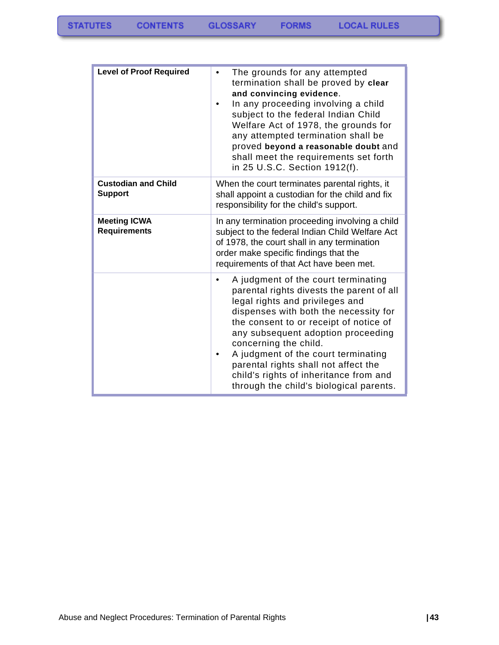| <b>Level of Proof Required</b>               | The grounds for any attempted<br>$\bullet$<br>termination shall be proved by clear<br>and convincing evidence.<br>In any proceeding involving a child<br>subject to the federal Indian Child<br>Welfare Act of 1978, the grounds for<br>any attempted termination shall be<br>proved beyond a reasonable doubt and<br>shall meet the requirements set forth<br>in 25 U.S.C. Section 1912(f).                                                           |  |
|----------------------------------------------|--------------------------------------------------------------------------------------------------------------------------------------------------------------------------------------------------------------------------------------------------------------------------------------------------------------------------------------------------------------------------------------------------------------------------------------------------------|--|
| <b>Custodian and Child</b><br><b>Support</b> | When the court terminates parental rights, it<br>shall appoint a custodian for the child and fix<br>responsibility for the child's support.                                                                                                                                                                                                                                                                                                            |  |
| <b>Meeting ICWA</b><br><b>Requirements</b>   | In any termination proceeding involving a child<br>subject to the federal Indian Child Welfare Act<br>of 1978, the court shall in any termination<br>order make specific findings that the<br>requirements of that Act have been met.                                                                                                                                                                                                                  |  |
|                                              | A judgment of the court terminating<br>$\bullet$<br>parental rights divests the parent of all<br>legal rights and privileges and<br>dispenses with both the necessity for<br>the consent to or receipt of notice of<br>any subsequent adoption proceeding<br>concerning the child.<br>A judgment of the court terminating<br>parental rights shall not affect the<br>child's rights of inheritance from and<br>through the child's biological parents. |  |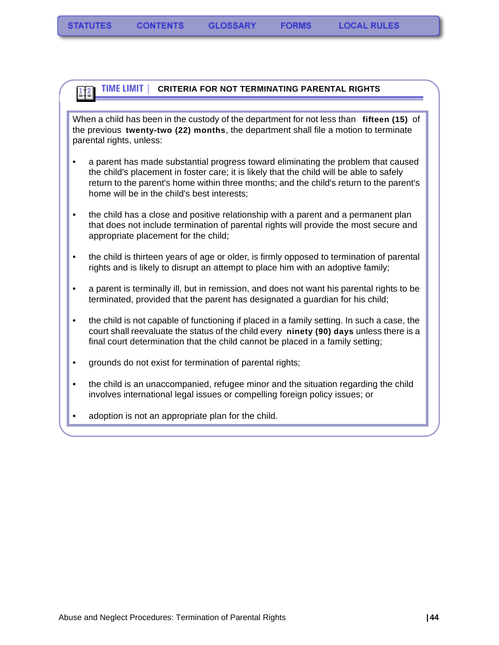#### **TIME LIMIT | CRITERIA FOR NOT TERMINATING PARENTAL RIGHTS** 112

When a child has been in the custody of the department for not less than **fifteen (15)** of the previous **twenty-two (22) months**, the department shall file a motion to terminate parental rights, unless:

- a parent has made substantial progress toward eliminating the problem that caused the child's placement in foster care; it is likely that the child will be able to safely return to the parent's home within three months; and the child's return to the parent's home will be in the child's best interests;
- the child has a close and positive relationship with a parent and a permanent plan that does not include termination of parental rights will provide the most secure and appropriate placement for the child;
- the child is thirteen years of age or older, is firmly opposed to termination of parental rights and is likely to disrupt an attempt to place him with an adoptive family;
- a parent is terminally ill, but in remission, and does not want his parental rights to be terminated, provided that the parent has designated a guardian for his child;
- the child is not capable of functioning if placed in a family setting. In such a case, the court shall reevaluate the status of the child every **ninety (90) days** unless there is a final court determination that the child cannot be placed in a family setting;
- grounds do not exist for termination of parental rights;
- the child is an unaccompanied, refugee minor and the situation regarding the child involves international legal issues or compelling foreign policy issues; or
- adoption is not an appropriate plan for the child.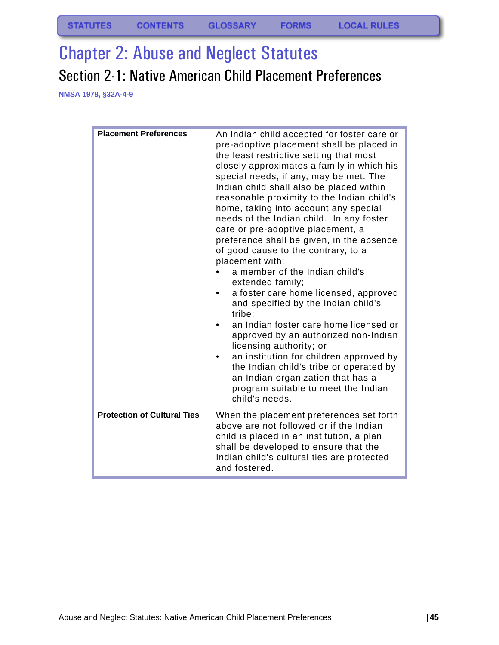# Chapter 2: Abuse and Neglect Statutes Section 2-1: Native American Child Placement Preferences

**NMSA 1978, §32A-4-9**

| <b>Placement Preferences</b>       | An Indian child accepted for foster care or<br>pre-adoptive placement shall be placed in<br>the least restrictive setting that most<br>closely approximates a family in which his<br>special needs, if any, may be met. The<br>Indian child shall also be placed within<br>reasonable proximity to the Indian child's<br>home, taking into account any special<br>needs of the Indian child. In any foster<br>care or pre-adoptive placement, a<br>preference shall be given, in the absence<br>of good cause to the contrary, to a<br>placement with:<br>a member of the Indian child's<br>extended family;<br>a foster care home licensed, approved<br>$\bullet$<br>and specified by the Indian child's<br>tribe;<br>an Indian foster care home licensed or<br>approved by an authorized non-Indian<br>licensing authority; or<br>an institution for children approved by<br>the Indian child's tribe or operated by<br>an Indian organization that has a<br>program suitable to meet the Indian<br>child's needs. |
|------------------------------------|----------------------------------------------------------------------------------------------------------------------------------------------------------------------------------------------------------------------------------------------------------------------------------------------------------------------------------------------------------------------------------------------------------------------------------------------------------------------------------------------------------------------------------------------------------------------------------------------------------------------------------------------------------------------------------------------------------------------------------------------------------------------------------------------------------------------------------------------------------------------------------------------------------------------------------------------------------------------------------------------------------------------|
| <b>Protection of Cultural Ties</b> | When the placement preferences set forth<br>above are not followed or if the Indian<br>child is placed in an institution, a plan<br>shall be developed to ensure that the<br>Indian child's cultural ties are protected<br>and fostered.                                                                                                                                                                                                                                                                                                                                                                                                                                                                                                                                                                                                                                                                                                                                                                             |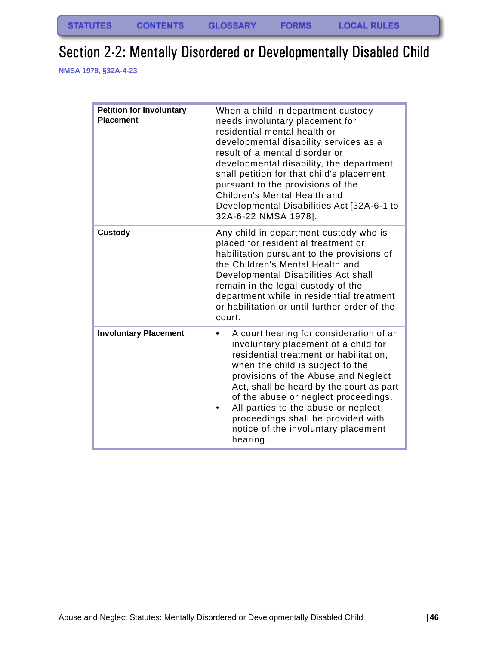## Section 2-2: Mentally Disordered or Developmentally Disabled Child

**NMSA 1978, §32A-4-23**

| <b>Petition for Involuntary</b><br><b>Placement</b> | When a child in department custody<br>needs involuntary placement for<br>residential mental health or<br>developmental disability services as a<br>result of a mental disorder or<br>developmental disability, the department<br>shall petition for that child's placement<br>pursuant to the provisions of the<br>Children's Mental Health and<br>Developmental Disabilities Act [32A-6-1 to<br>32A-6-22 NMSA 1978].                 |
|-----------------------------------------------------|---------------------------------------------------------------------------------------------------------------------------------------------------------------------------------------------------------------------------------------------------------------------------------------------------------------------------------------------------------------------------------------------------------------------------------------|
| <b>Custody</b>                                      | Any child in department custody who is<br>placed for residential treatment or<br>habilitation pursuant to the provisions of<br>the Children's Mental Health and<br>Developmental Disabilities Act shall<br>remain in the legal custody of the<br>department while in residential treatment<br>or habilitation or until further order of the<br>court.                                                                                 |
| <b>Involuntary Placement</b>                        | A court hearing for consideration of an<br>$\bullet$<br>involuntary placement of a child for<br>residential treatment or habilitation,<br>when the child is subject to the<br>provisions of the Abuse and Neglect<br>Act, shall be heard by the court as part<br>of the abuse or neglect proceedings.<br>All parties to the abuse or neglect<br>proceedings shall be provided with<br>notice of the involuntary placement<br>hearing. |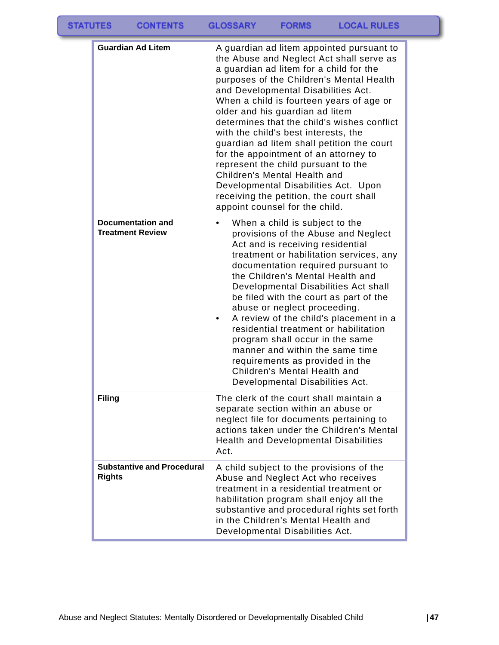| <b>STATUTES</b> | <b>CONTENTS</b>                                     | <b>GLOSSARY</b> | <b>FORMS</b>                                                                                                                                                                                                                                                                                                                                           | <b>LOCAL RULES</b>                                                                                                                                                                                                                                                                                                 |  |
|-----------------|-----------------------------------------------------|-----------------|--------------------------------------------------------------------------------------------------------------------------------------------------------------------------------------------------------------------------------------------------------------------------------------------------------------------------------------------------------|--------------------------------------------------------------------------------------------------------------------------------------------------------------------------------------------------------------------------------------------------------------------------------------------------------------------|--|
|                 | <b>Guardian Ad Litem</b>                            |                 | a guardian ad litem for a child for the<br>and Developmental Disabilities Act.<br>older and his guardian ad litem<br>with the child's best interests, the<br>for the appointment of an attorney to<br>represent the child pursuant to the<br>Children's Mental Health and<br>receiving the petition, the court shall<br>appoint counsel for the child. | A guardian ad litem appointed pursuant to<br>the Abuse and Neglect Act shall serve as<br>purposes of the Children's Mental Health<br>When a child is fourteen years of age or<br>determines that the child's wishes conflict<br>guardian ad litem shall petition the court<br>Developmental Disabilities Act. Upon |  |
|                 | <b>Documentation and</b><br><b>Treatment Review</b> | ٠               | When a child is subject to the<br>Act and is receiving residential<br>the Children's Mental Health and                                                                                                                                                                                                                                                 | provisions of the Abuse and Neglect<br>treatment or habilitation services, any<br>documentation required pursuant to                                                                                                                                                                                               |  |

**Filing** The clerk of the court shall maintain a

Act.

**Substantive and Procedural** 

**Rights**

Developmental Disabilities Act shall be filed with the court as part of the

abuse or neglect proceeding. • A review of the child's placement in a residential treatment or habilitation program shall occur in the same manner and within the same time requirements as provided in the Children's Mental Health and Developmental Disabilities Act.

separate section within an abuse or neglect file for documents pertaining to actions taken under the Children's Mental Health and Developmental Disabilities

A child subject to the provisions of the Abuse and Neglect Act who receives treatment in a residential treatment or habilitation program shall enjoy all the substantive and procedural rights set forth

in the Children's Mental Health and Developmental Disabilities Act.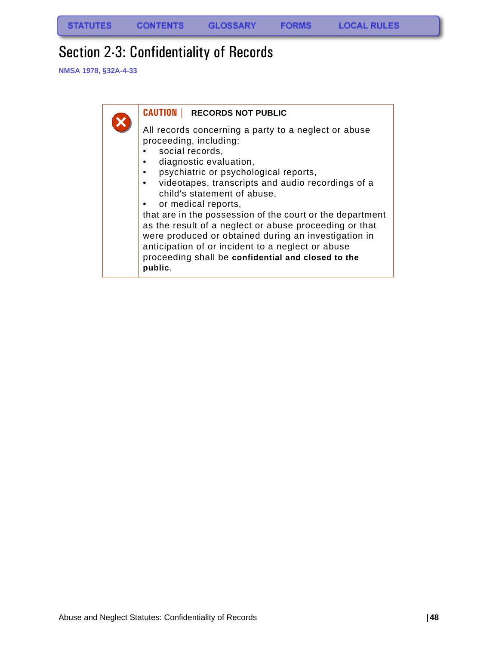## Section 2-3: Confidentiality of Records

**NMSA 1978, §32A-4-33**

| <b>CAUTION   RECORDS NOT PUBLIC</b>                                                                                                                                                                                                                                                                                                                                                                                                                                                                                                                                                  |
|--------------------------------------------------------------------------------------------------------------------------------------------------------------------------------------------------------------------------------------------------------------------------------------------------------------------------------------------------------------------------------------------------------------------------------------------------------------------------------------------------------------------------------------------------------------------------------------|
| All records concerning a party to a neglect or abuse<br>proceeding, including:<br>social records,<br>diagnostic evaluation,<br>psychiatric or psychological reports,<br>videotapes, transcripts and audio recordings of a<br>child's statement of abuse,<br>or medical reports,<br>that are in the possession of the court or the department<br>as the result of a neglect or abuse proceeding or that<br>were produced or obtained during an investigation in<br>anticipation of or incident to a neglect or abuse<br>proceeding shall be confidential and closed to the<br>public. |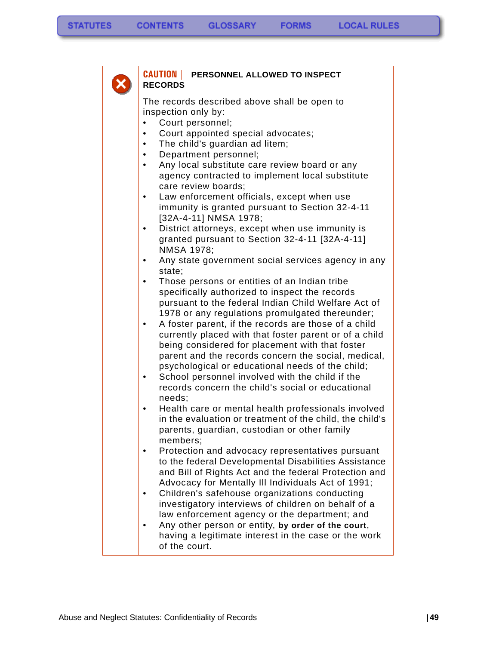| <b>CAUTION   PERSONNEL ALLOWED TO INSPECT</b><br><b>RECORDS</b>                                                                                                                                                                                                                                                                                    |
|----------------------------------------------------------------------------------------------------------------------------------------------------------------------------------------------------------------------------------------------------------------------------------------------------------------------------------------------------|
| The records described above shall be open to<br>inspection only by:<br>Court personnel;<br>Court appointed special advocates;<br>The child's guardian ad litem;<br>٠<br>Department personnel;<br>$\bullet$<br>Any local substitute care review board or any<br>$\bullet$<br>agency contracted to implement local substitute<br>care review boards; |
| Law enforcement officials, except when use<br>immunity is granted pursuant to Section 32-4-11<br>[32A-4-11] NMSA 1978;<br>District attorneys, except when use immunity is<br>granted pursuant to Section 32-4-11 [32A-4-11]                                                                                                                        |
| <b>NMSA 1978;</b><br>Any state government social services agency in any<br>state;                                                                                                                                                                                                                                                                  |
| Those persons or entities of an Indian tribe<br>٠<br>specifically authorized to inspect the records<br>pursuant to the federal Indian Child Welfare Act of<br>1978 or any regulations promulgated thereunder;                                                                                                                                      |
| A foster parent, if the records are those of a child<br>currently placed with that foster parent or of a child<br>being considered for placement with that foster<br>parent and the records concern the social, medical,<br>psychological or educational needs of the child;<br>School personnel involved with the child if the<br>٠               |
| records concern the child's social or educational<br>needs;<br>Health care or mental health professionals involved                                                                                                                                                                                                                                 |
| in the evaluation or treatment of the child, the child's<br>parents, guardian, custodian or other family<br>members;                                                                                                                                                                                                                               |
| Protection and advocacy representatives pursuant<br>to the federal Developmental Disabilities Assistance<br>and Bill of Rights Act and the federal Protection and<br>Advocacy for Mentally III Individuals Act of 1991;                                                                                                                            |
| Children's safehouse organizations conducting<br>investigatory interviews of children on behalf of a<br>law enforcement agency or the department; and                                                                                                                                                                                              |
| Any other person or entity, by order of the court,<br>having a legitimate interest in the case or the work<br>of the court.                                                                                                                                                                                                                        |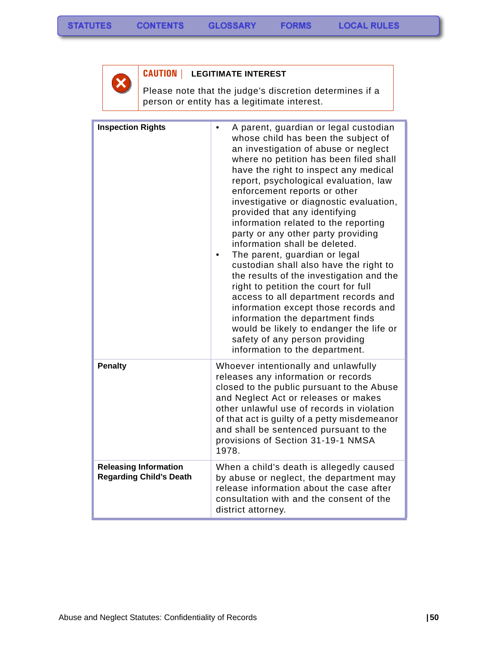

### **CAUTION | LEGITIMATE INTEREST**

Please note that the judge's discretion determines if a person or entity has a legitimate interest.

| <b>Inspection Rights</b>                                       | A parent, guardian or legal custodian<br>whose child has been the subject of<br>an investigation of abuse or neglect<br>where no petition has been filed shall<br>have the right to inspect any medical<br>report, psychological evaluation, law<br>enforcement reports or other<br>investigative or diagnostic evaluation,<br>provided that any identifying<br>information related to the reporting<br>party or any other party providing<br>information shall be deleted.<br>The parent, guardian or legal<br>custodian shall also have the right to<br>the results of the investigation and the<br>right to petition the court for full<br>access to all department records and<br>information except those records and<br>information the department finds<br>would be likely to endanger the life or<br>safety of any person providing<br>information to the department. |
|----------------------------------------------------------------|-------------------------------------------------------------------------------------------------------------------------------------------------------------------------------------------------------------------------------------------------------------------------------------------------------------------------------------------------------------------------------------------------------------------------------------------------------------------------------------------------------------------------------------------------------------------------------------------------------------------------------------------------------------------------------------------------------------------------------------------------------------------------------------------------------------------------------------------------------------------------------|
| <b>Penalty</b>                                                 | Whoever intentionally and unlawfully<br>releases any information or records<br>closed to the public pursuant to the Abuse<br>and Neglect Act or releases or makes<br>other unlawful use of records in violation<br>of that act is guilty of a petty misdemeanor<br>and shall be sentenced pursuant to the<br>provisions of Section 31-19-1 NMSA<br>1978.                                                                                                                                                                                                                                                                                                                                                                                                                                                                                                                      |
| <b>Releasing Information</b><br><b>Regarding Child's Death</b> | When a child's death is allegedly caused<br>by abuse or neglect, the department may<br>release information about the case after<br>consultation with and the consent of the<br>district attorney.                                                                                                                                                                                                                                                                                                                                                                                                                                                                                                                                                                                                                                                                             |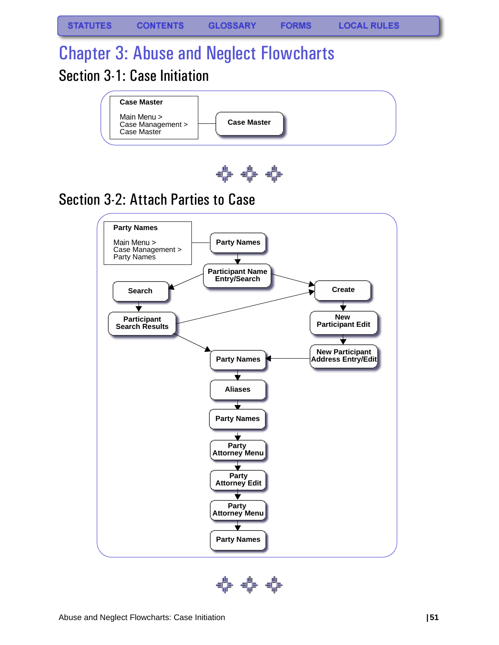# Chapter 3: Abuse and Neglect Flowcharts Section 3-1: Case Initiation





# Section 3-2: Attach Parties to Case



¢⊧¢⊧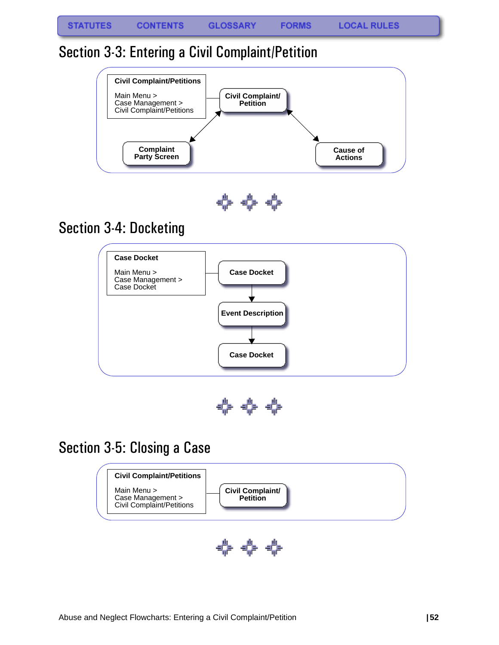### Section 3-3: Entering a Civil Complaint/Petition



## Section 3-4: Docketing



40-40-40-

### Section 3-5: Closing a Case



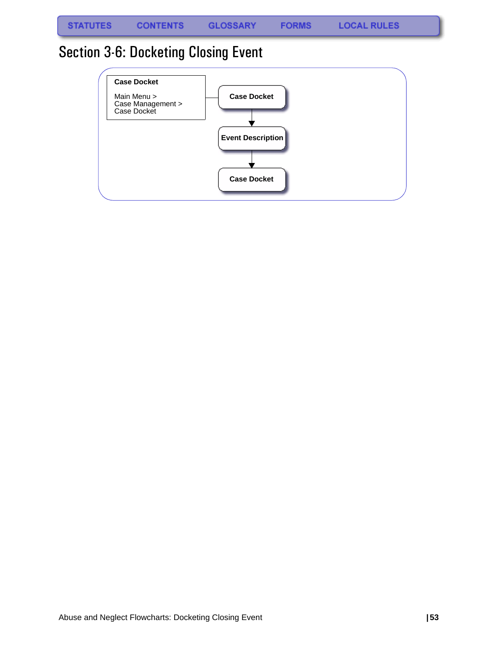**FORMS** 

## Section 3-6: Docketing Closing Event

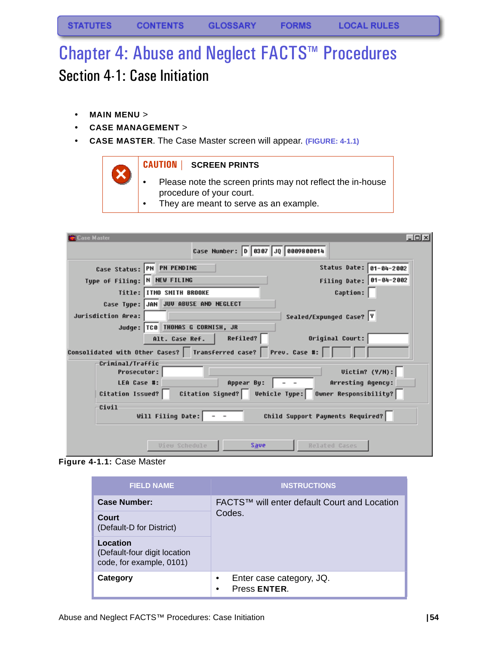# Chapter 4: Abuse and Neglect FACTS™ Procedures Section 4-1: Case Initiation

- **MAIN MENU** >
- **CASE MANAGEMENT** >
- **CASE MASTER**. The Case Master screen will appear. **(FIGURE: 4-1.1)**

### **CAUTION | SCREEN PRINTS**

- Please note the screen prints may not reflect the in-house procedure of your court.
- They are meant to serve as an example.

| <b>Case Master</b>                                    |                                                                    | $-10x$                              |
|-------------------------------------------------------|--------------------------------------------------------------------|-------------------------------------|
|                                                       | Case Number: 0 0307 JQ 0009800014                                  |                                     |
|                                                       | Case Status: PN PN PENDING                                         | Status Date: 01-04-2002             |
| Type of Filing: N NEW FILING                          |                                                                    | Filing Date: 01-04-2002             |
|                                                       | Title: ITMO SMITH BROOKE                                           | <b>Caption:</b>                     |
|                                                       | Case Type: JAN JUV ABUSE AND NEGLECT                               |                                     |
| Jurisdiction Area:                                    |                                                                    | Sealed/Expunged Case? Y             |
|                                                       | Judge: TC0 THOMAS G CORNISH, JR                                    |                                     |
|                                                       | Refiled?<br>Alt. Case Ref.                                         | Original Court:                     |
|                                                       | Consolidated with Other Cases?   Transferred case?   Prev. Case #: |                                     |
| Criminal/Traffic<br><b>Prosecutor:</b>                |                                                                    | Uictin? (Y/N):                      |
|                                                       |                                                                    |                                     |
| LEA Case #:                                           | Appear By:                                                         | .<br>Arresting Agency:              |
| Citation Issued?                                      | Citation Signed?                                                   | Vehicle Type: Owner Responsibility? |
| Civil                                                 |                                                                    |                                     |
| Will Filing Date:<br>Child Support Payments Required? |                                                                    |                                     |
|                                                       |                                                                    |                                     |
|                                                       | <b>View Schedule</b><br>Save                                       | <b>Belated Cases</b>                |

**Figure 4-1.1:** Case Master

| <b>FIELD NAME</b>                                                    | <b>INSTRUCTIONS</b>                                |  |
|----------------------------------------------------------------------|----------------------------------------------------|--|
| Case Number:                                                         | FACTS™ will enter default Court and Location       |  |
| Court<br>(Default-D for District)                                    | Codes.                                             |  |
| Location<br>(Default-four digit location<br>code, for example, 0101) |                                                    |  |
| Category                                                             | Enter case category, JQ.<br>٠<br>Press ENTER.<br>٠ |  |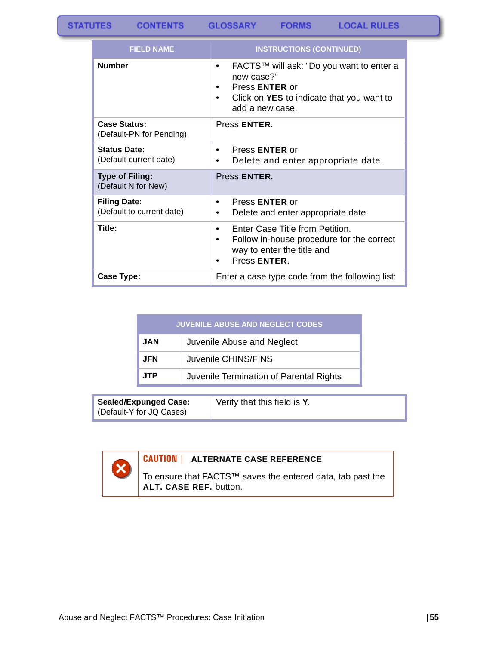| <b>FIELD NAME</b>                                | <b>INSTRUCTIONS (CONTINUED)</b>                                                                                                                                  |
|--------------------------------------------------|------------------------------------------------------------------------------------------------------------------------------------------------------------------|
| <b>Number</b>                                    | FACTS™ will ask: "Do you want to enter a<br>٠<br>new case?"<br>Press <b>ENTER</b> or<br>Click on <b>YES</b> to indicate that you want to<br>٠<br>add a new case. |
| <b>Case Status:</b><br>(Default-PN for Pending)  | Press ENTER.                                                                                                                                                     |
| <b>Status Date:</b><br>(Default-current date)    | Press <b>ENTER</b> or<br>٠<br>Delete and enter appropriate date.<br>٠                                                                                            |
| <b>Type of Filing:</b><br>(Default N for New)    | Press ENTER.                                                                                                                                                     |
| <b>Filing Date:</b><br>(Default to current date) | Press <b>ENTER</b> or<br>٠<br>Delete and enter appropriate date.                                                                                                 |
| Title:                                           | Enter Case Title from Petition.<br>$\bullet$<br>Follow in-house procedure for the correct<br>٠<br>way to enter the title and<br>Press ENTER.                     |
| Case Type:                                       | Enter a case type code from the following list:                                                                                                                  |

| <b>JUVENILE ABUSE AND NEGLECT CODES</b> |                                         |  |
|-----------------------------------------|-----------------------------------------|--|
| <b>JAN</b>                              | Juvenile Abuse and Neglect              |  |
| <b>JFN</b>                              | Juvenile CHINS/FINS                     |  |
| <b>JTP</b>                              | Juvenile Termination of Parental Rights |  |

**Sealed/Expunged Case:** (Default-Y for JQ Cases)

Verify that this field is **Y**.

### **CAUTION | ALTERNATE CASE REFERENCE**

To ensure that FACTS™ saves the entered data, tab past the **ALT. CASE REF.** button.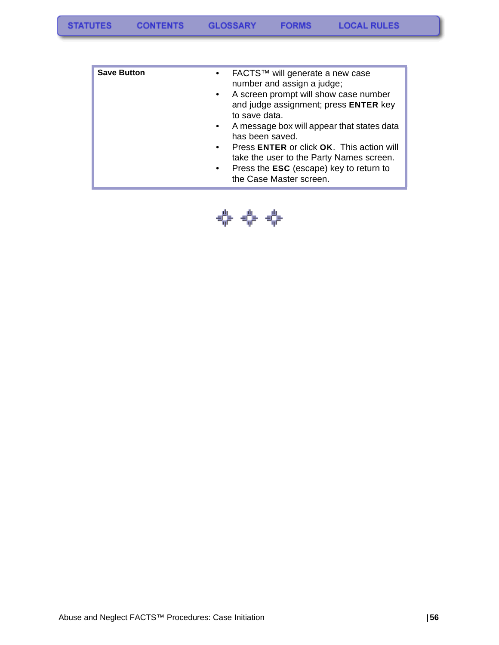| <b>Save Button</b> | FACTS™ will generate a new case<br>$\bullet$            |
|--------------------|---------------------------------------------------------|
|                    | number and assign a judge;                              |
|                    | A screen prompt will show case number<br>$\bullet$      |
|                    | and judge assignment; press ENTER key                   |
|                    | to save data.                                           |
|                    | A message box will appear that states data<br>$\bullet$ |
|                    | has been saved.                                         |
|                    | Press ENTER or click OK. This action will<br>$\bullet$  |
|                    | take the user to the Party Names screen.                |
|                    | Press the <b>ESC</b> (escape) key to return to          |
|                    | the Case Master screen.                                 |

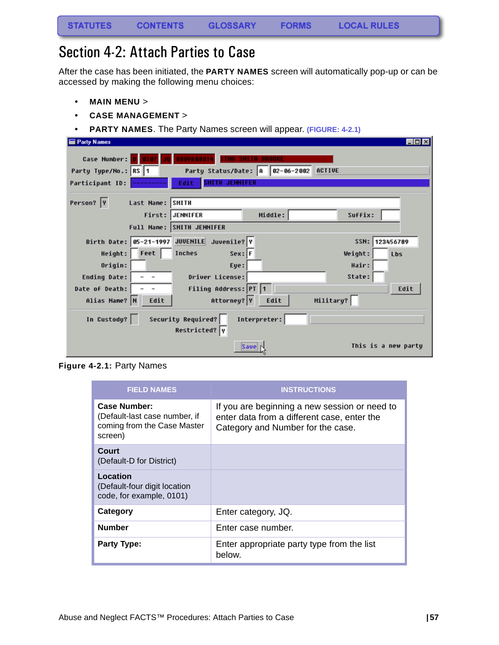## Section 4-2: Attach Parties to Case

After the case has been initiated, the **PARTY NAMES** screen will automatically pop-up or can be accessed by making the following menu choices:

- **MAIN MENU** >
- **CASE MANAGEMENT** >
- **PARTY NAMES**. The Party Names screen will appear. **(FIGURE: 4-2.1)**

| <b>Party Names</b>                              |                                             |                                        |           | $\Box$ olx          |
|-------------------------------------------------|---------------------------------------------|----------------------------------------|-----------|---------------------|
| Case Number:                                    |                                             | <b>SMITH BROOKE</b>                    |           |                     |
| Party Type/No.: RS 1                            |                                             | Party Status/Date: A 82-86-2002 ACTIVE |           |                     |
| Participant ID:                                 | <b>SMITH JENNIFER</b><br>Edit               |                                        |           |                     |
|                                                 |                                             |                                        |           |                     |
| Person? Y                                       | Last Name: SMITH                            |                                        |           |                     |
|                                                 | First: JENNIFER                             | Middle:                                | Suffix:   |                     |
|                                                 | Full Name: SMITH JENNIFER                   |                                        |           |                     |
|                                                 | Birth Date: 05-21-1997 JUVENILE Juvenile? Y |                                        | SSN:      | 123456789           |
| Height: Feet                                    | Inches                                      | $Sex:$ F                               | Weight:   | Lbs                 |
| Origin:                                         | Eye:                                        |                                        | Hair:     |                     |
| <b>Ending Date:</b><br>$\overline{\phantom{a}}$ | Driver License:                             |                                        | State:    |                     |
| Date of Death:                                  | Filing Address: PT 1                        |                                        |           | Edit                |
| Alias Name? N<br>Edit                           | Attorney? Y                                 | Edit                                   | Military? |                     |
| In Custody?                                     | Security Required?<br>Restricted? Y         | Interpreter:                           |           |                     |
|                                                 |                                             | Save                                   |           | This is a new partu |

**Figure 4-2.1:** Party Names

| <b>FIELD NAMES</b>                                                                      | <b>INSTRUCTIONS</b>                                                                                                               |
|-----------------------------------------------------------------------------------------|-----------------------------------------------------------------------------------------------------------------------------------|
| Case Number:<br>(Default-last case number, if<br>coming from the Case Master<br>screen) | If you are beginning a new session or need to<br>enter data from a different case, enter the<br>Category and Number for the case. |
| Court<br>(Default-D for District)                                                       |                                                                                                                                   |
| Location<br>(Default-four digit location<br>code, for example, 0101)                    |                                                                                                                                   |
| Category                                                                                | Enter category, JQ.                                                                                                               |
| <b>Number</b>                                                                           | Enter case number.                                                                                                                |
| <b>Party Type:</b>                                                                      | Enter appropriate party type from the list<br>below.                                                                              |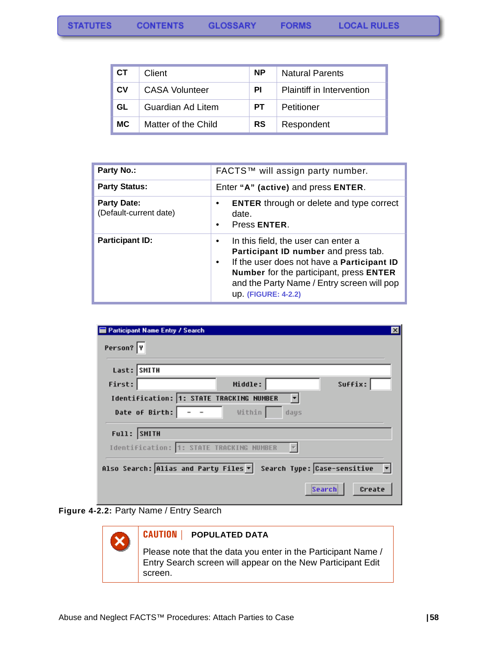| <b>CT</b> | Client                | <b>NP</b> | <b>Natural Parents</b>           |
|-----------|-----------------------|-----------|----------------------------------|
| <b>CV</b> | <b>CASA Volunteer</b> | ΡI        | <b>Plaintiff in Intervention</b> |
| GL        | Guardian Ad Litem     | PТ        | Petitioner                       |
| <b>MC</b> | Matter of the Child   | <b>RS</b> | Respondent                       |

| Party No.:                                   | FACTS™ will assign party number.                                                                                                                                                                                                                       |  |  |
|----------------------------------------------|--------------------------------------------------------------------------------------------------------------------------------------------------------------------------------------------------------------------------------------------------------|--|--|
| <b>Party Status:</b>                         | Enter "A" (active) and press ENTER.                                                                                                                                                                                                                    |  |  |
| <b>Party Date:</b><br>(Default-current date) | <b>ENTER</b> through or delete and type correct<br>date.<br>Press ENTER.<br>$\bullet$                                                                                                                                                                  |  |  |
| <b>Participant ID:</b>                       | In this field, the user can enter a<br>Participant ID number and press tab.<br>If the user does not have a Participant ID<br>$\bullet$<br>Number for the participant, press ENTER<br>and the Party Name / Entry screen will pop<br>up. (FIGURE: 4-2.2) |  |  |

| <b>Participant Name Entry / Search</b> |                                                                  | $\boldsymbol{\mathsf{x}}$ |
|----------------------------------------|------------------------------------------------------------------|---------------------------|
| Person? Y                              |                                                                  |                           |
|                                        |                                                                  |                           |
| Last: SMITH                            |                                                                  |                           |
| First:                                 | Middle:                                                          | Suffix:                   |
|                                        | Identification: 1: STATE TRACKING NUMBER                         |                           |
| Date of Birth:                         | Within                                                           | days                      |
| Full: SMITH                            |                                                                  |                           |
|                                        | Identification: 1: STATE TRACKING NUMBER                         |                           |
|                                        | Also Search: Alias and Party Files v Search Type: Case-sensitive |                           |
|                                        |                                                                  | Create<br>Search          |

<span id="page-59-0"></span>

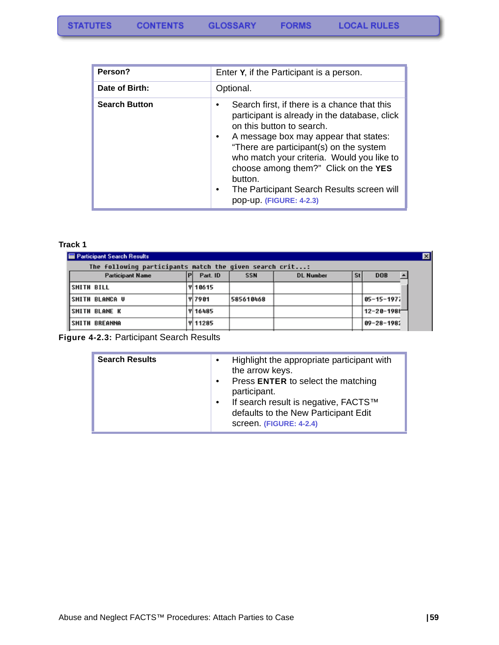| Person?              | Enter Y, if the Participant is a person.                                                                                                                                                                                                                                                                                                                                                                                        |  |  |
|----------------------|---------------------------------------------------------------------------------------------------------------------------------------------------------------------------------------------------------------------------------------------------------------------------------------------------------------------------------------------------------------------------------------------------------------------------------|--|--|
| Date of Birth:       | Optional.                                                                                                                                                                                                                                                                                                                                                                                                                       |  |  |
| <b>Search Button</b> | Search first, if there is a chance that this<br>$\bullet$<br>participant is already in the database, click<br>on this button to search.<br>A message box may appear that states:<br>$\bullet$<br>"There are participant(s) on the system<br>who match your criteria. Would you like to<br>choose among them?" Click on the YES<br>button.<br>The Participant Search Results screen will<br>$\bullet$<br>pop-up. (FIGURE: 4-2.3) |  |  |

#### **Track 1**

| Participant Search Results                              |                |            |                  |           |                    | $\vert x \vert$ |
|---------------------------------------------------------|----------------|------------|------------------|-----------|--------------------|-----------------|
| The following participants match the given search crit: |                |            |                  |           |                    |                 |
| <b>Participant Name</b>                                 | Part. ID       | <b>SSN</b> | <b>DL Number</b> | <b>St</b> | <b>DOB</b>         |                 |
| <b>SMITH BILL</b>                                       | <b>Y 18615</b> |            |                  |           |                    |                 |
| <b>ISMITH BLANCA U</b>                                  | <b>Y 7981</b>  | 585610468  |                  |           | $ 05 - 15 - 1971 $ |                 |
| <b>ISMITH BLANE K</b>                                   | <b>Y 16485</b> |            |                  |           | 12-28-1988         |                 |
| <b>ISMITH BREANNA</b>                                   | <b>V11285</b>  |            |                  |           | $09 - 28 - 1982$   |                 |
|                                                         |                |            |                  |           |                    |                 |

<span id="page-60-0"></span>**Figure 4-2.3:** Participant Search Results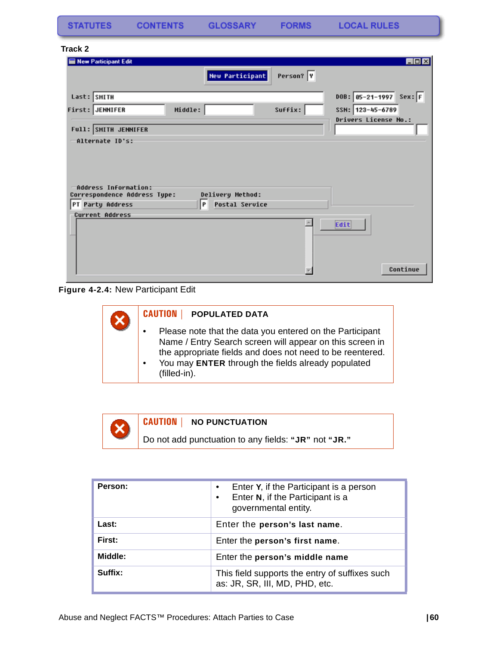**FORMS** 

#### **Track 2**

|         |                              | EDX                                                                 |
|---------|------------------------------|---------------------------------------------------------------------|
|         | Person? Y                    |                                                                     |
|         |                              | $Sex:$ F<br>$DOB: 05 - 21 - 1997$                                   |
| Middle: | Suffix:                      | SSN: 123-45-6789                                                    |
|         |                              | Drivers License No.:                                                |
|         |                              |                                                                     |
|         |                              |                                                                     |
| P       |                              |                                                                     |
|         |                              |                                                                     |
|         |                              | Edit                                                                |
|         | Correspondence Address Type: | <b>New Participant</b><br>Delivery Method:<br><b>Postal Service</b> |

**Figure 4-2.4:** New Participant Edit

| <b>CAUTION</b><br><b>POPULATED DATA</b>                                                                                                                                                                                                                 |
|---------------------------------------------------------------------------------------------------------------------------------------------------------------------------------------------------------------------------------------------------------|
| Please note that the data you entered on the Participant<br>Name / Entry Search screen will appear on this screen in<br>the appropriate fields and does not need to be reentered.<br>You may ENTER through the fields already populated<br>(filled-in). |



#### **CAUTION | NO PUNCTUATION**

Do not add punctuation to any fields: **"JR"** not **"JR."**

| Person: | Enter Y, if the Participant is a person<br>Enter N, if the Participant is a<br>governmental entity. |
|---------|-----------------------------------------------------------------------------------------------------|
| Last:   | Enter the person's last name.                                                                       |
| First:  | Enter the person's first name.                                                                      |
| Middle: | Enter the person's middle name                                                                      |
| Suffix: | This field supports the entry of suffixes such<br>as: JR, SR, III, MD, PHD, etc.                    |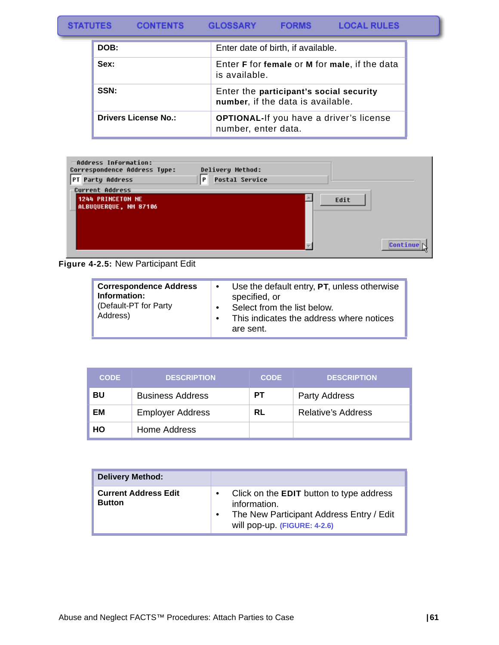| <b>LOCAL RULES</b><br><b>STATUTES</b><br><b>FORMS</b><br><b>CONTENTS</b><br><b>GLOSSARY</b> |  |
|---------------------------------------------------------------------------------------------|--|
|---------------------------------------------------------------------------------------------|--|

| DOB:                        | Enter date of birth, if available.                                           |
|-----------------------------|------------------------------------------------------------------------------|
| Sex:                        | Enter F for female or M for male, if the data<br>is available.               |
| SSN:                        | Enter the participant's social security<br>number, if the data is available. |
| <b>Drivers License No.:</b> | <b>OPTIONAL-If you have a driver's license</b><br>number, enter data.        |

| Address Information:<br>Correspondence Address Type:<br>PT Party Address | Delivery Method:<br>P<br><b>Postal Service</b> |      |          |
|--------------------------------------------------------------------------|------------------------------------------------|------|----------|
| <b>Current Address</b>                                                   |                                                |      |          |
| 1244 PRINCETON NE<br>ALBUQUERQUE, NH 87106                               |                                                | Edit |          |
|                                                                          |                                                |      | Continue |

**Figure 4-2.5:** New Participant Edit

| <b>Correspondence Address</b><br>Information:<br>(Default-PT for Party<br>Address) | Use the default entry, PT, unless otherwise<br>$\bullet$<br>specified, or<br>Select from the list below.<br>$\bullet$<br>This indicates the address where notices<br>are sent. |
|------------------------------------------------------------------------------------|--------------------------------------------------------------------------------------------------------------------------------------------------------------------------------|
|------------------------------------------------------------------------------------|--------------------------------------------------------------------------------------------------------------------------------------------------------------------------------|

| <b>CODE</b> | <b>DESCRIPTION</b>      | <b>CODE</b> | <b>DESCRIPTION</b>        |
|-------------|-------------------------|-------------|---------------------------|
| BU          | <b>Business Address</b> | PТ          | <b>Party Address</b>      |
| EМ          | <b>Employer Address</b> | RL          | <b>Relative's Address</b> |
| HO          | Home Address            |             |                           |

| <b>Delivery Method:</b>                      |                                                                                                                                                                       |
|----------------------------------------------|-----------------------------------------------------------------------------------------------------------------------------------------------------------------------|
| <b>Current Address Edit</b><br><b>Button</b> | Click on the <b>EDIT</b> button to type address<br>$\bullet$<br>information.<br>The New Participant Address Entry / Edit<br>$\bullet$<br>will pop-up. (FIGURE: 4-2.6) |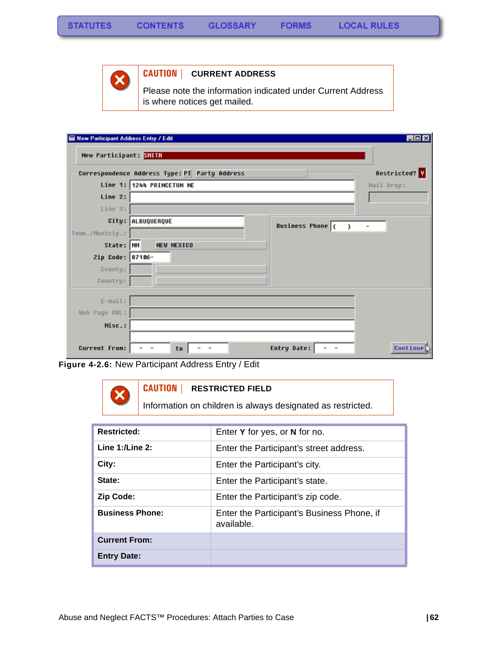

### **CAUTION | CURRENT ADDRESS**

Please note the information indicated under Current Address is where notices get mailed.

| New Participant Address Entry / Edit |                                                           | $\Box$ D $\times$ |
|--------------------------------------|-----------------------------------------------------------|-------------------|
| New Participant: SMITH               |                                                           |                   |
|                                      | Correspondence Address Type: PT Party Address             | Restricted? Y     |
|                                      | Line 1: 1244 PRINCETON NE                                 | Mail Drop:        |
| Line 2:                              |                                                           |                   |
| Line 3:                              |                                                           |                   |
|                                      | City: ALBUQUERQUE<br><b>Business Phone</b> (<br>$\lambda$ |                   |
| Town./Municip.:                      |                                                           |                   |
| State: NM                            | <b>NEW MEXICO</b>                                         |                   |
| Zip Code: 87106-                     |                                                           |                   |
| County:                              |                                                           |                   |
| Country:                             |                                                           |                   |
| $E-mail:$                            |                                                           |                   |
| Web Page URL:                        |                                                           |                   |
| Misc.:                               |                                                           |                   |
|                                      |                                                           |                   |
| <b>Current From:</b>                 | Entry Date:<br>$\overline{\phantom{a}}$<br>to<br>$\,$     | <b>Continue</b>   |

**Figure 4-2.6:** New Participant Address Entry / Edit

#### **CAUTION | RESTRICTED FIELD**

Information on children is always designated as restricted.

| <b>Restricted:</b>     | Enter Y for yes, or N for no.                            |
|------------------------|----------------------------------------------------------|
| Line $1:$ /Line $2:$   | Enter the Participant's street address.                  |
| City:                  | Enter the Participant's city.                            |
| State:                 | Enter the Participant's state.                           |
| <b>Zip Code:</b>       | Enter the Participant's zip code.                        |
| <b>Business Phone:</b> | Enter the Participant's Business Phone, if<br>available. |
| <b>Current From:</b>   |                                                          |
| <b>Entry Date:</b>     |                                                          |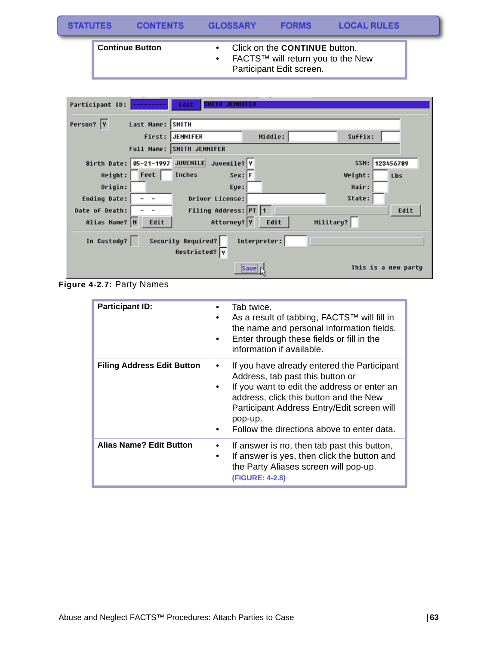| <b>STATUTES</b> |                        | <b>CONTENTS</b> | <b>GLOSSARY</b> | <b>FORMS</b>                                                                                          | <b>LOCAL RULES</b> |  |
|-----------------|------------------------|-----------------|-----------------|-------------------------------------------------------------------------------------------------------|--------------------|--|
|                 | <b>Continue Button</b> |                 |                 | Click on the <b>CONTINUE</b> button.<br>FACTS™ will return you to the New<br>Participant Edit screen. |                    |  |

| Edit<br>Participant ID:                     | <b>SMITH JENNIFER</b> |              |           |                     |
|---------------------------------------------|-----------------------|--------------|-----------|---------------------|
| Person?  Y<br>Last Name: SMITH              |                       |              |           |                     |
| First:<br>JENNIFER                          |                       | Middle:      | Suffix:   |                     |
| Full Name: SMITH JENNIFER                   |                       |              |           |                     |
| Birth Date: 05-21-1997 JUVENILE Juvenile? Y |                       |              |           | SSN: 123456789      |
| Feet<br>Height:<br><b>Inches</b>            | $Sex:$ F              |              | Weight:   | Lbs                 |
| Origin:                                     | Eye:                  |              | Hair:     |                     |
| <b>Ending Date:</b>                         | Driver License:       |              | State:    |                     |
| Date of Death:                              | Filing Address: PT 1  |              |           | Edit                |
| Alias Name? N<br>Edit                       | Attorney? Y           | Edit         | Military? |                     |
| <b>Security Required?</b><br>In Custody?    | Restricted? Y         | Interpreter: |           |                     |
|                                             |                       | Save         |           | This is a new party |

**Figure 4-2.7:** Party Names

| <b>Participant ID:</b>            | Tab twice.<br>As a result of tabbing, FACTS™ will fill in<br>the name and personal information fields.<br>Enter through these fields or fill in the<br>information if available.                                                                                                |
|-----------------------------------|---------------------------------------------------------------------------------------------------------------------------------------------------------------------------------------------------------------------------------------------------------------------------------|
| <b>Filing Address Edit Button</b> | If you have already entered the Participant<br>Address, tab past this button or<br>If you want to edit the address or enter an<br>address, click this button and the New<br>Participant Address Entry/Edit screen will<br>pop-up.<br>Follow the directions above to enter data. |
| <b>Alias Name? Edit Button</b>    | If answer is no, then tab past this button,<br>٠<br>If answer is yes, then click the button and<br>٠<br>the Party Aliases screen will pop-up.<br>(FIGURE: 4-2.8)                                                                                                                |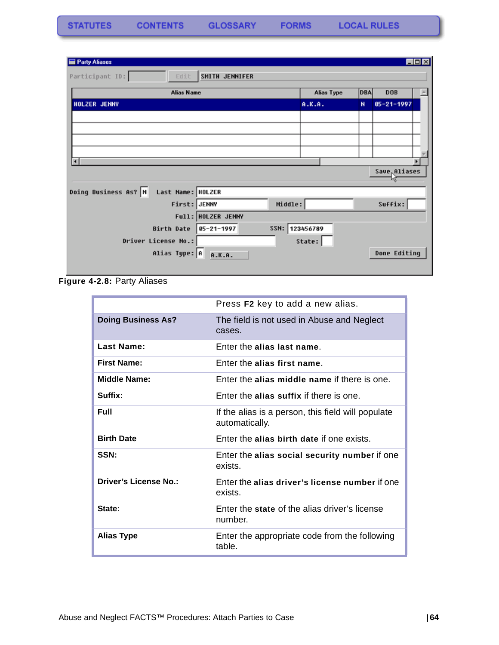| Party Aliases                             |                    |                |                   |            |                  | $\Box$ o $\boxtimes$ |
|-------------------------------------------|--------------------|----------------|-------------------|------------|------------------|----------------------|
| Participant ID:<br>Edit.                  | SMITH JENNIFER     |                |                   |            |                  |                      |
| <b>Alias Name</b>                         |                    |                | <b>Alias Type</b> | <b>DBA</b> | <b>DOB</b>       |                      |
| HOLZER JENNY                              |                    |                | A.K.A.            | N          | $05 - 21 - 1997$ |                      |
|                                           |                    |                |                   |            |                  |                      |
|                                           |                    |                |                   |            |                  |                      |
|                                           |                    |                |                   |            |                  |                      |
|                                           |                    |                |                   |            |                  |                      |
|                                           |                    |                |                   |            |                  | ×                    |
|                                           |                    |                |                   |            | Save Aliases     |                      |
| Doing Business As? N<br>Last Name: HOLZER |                    |                |                   |            |                  |                      |
| First: JENNY                              |                    | Middle:        |                   |            | Suffix:          |                      |
|                                           | Full: HOLZER JENNY |                |                   |            |                  |                      |
| Birth Date                                | $05 - 21 - 1997$   | SSN: 123456789 |                   |            |                  |                      |
| Driver License No.:                       |                    |                | State:            |            |                  |                      |
| Alias Type: A                             | A.K.A.             |                |                   |            | Done Editing     |                      |
|                                           |                    |                |                   |            |                  |                      |

**Figure 4-2.8:** Party Aliases

|                           | Press F2 key to add a new alias.                                     |
|---------------------------|----------------------------------------------------------------------|
| <b>Doing Business As?</b> | The field is not used in Abuse and Neglect<br>cases.                 |
| Last Name:                | Enter the alias last name.                                           |
| <b>First Name:</b>        | Enter the alias first name.                                          |
| <b>Middle Name:</b>       | Enter the alias middle name if there is one.                         |
| Suffix:                   | Enter the alias suffix if there is one.                              |
| <b>Full</b>               | If the alias is a person, this field will populate<br>automatically. |
| <b>Birth Date</b>         | Enter the alias birth date if one exists.                            |
| SSN:                      | Enter the alias social security number if one<br>exists              |
| Driver's License No.:     | Enter the alias driver's license number if one<br>exists.            |
| State:                    | Enter the state of the alias driver's license<br>number.             |
| <b>Alias Type</b>         | Enter the appropriate code from the following<br>table.              |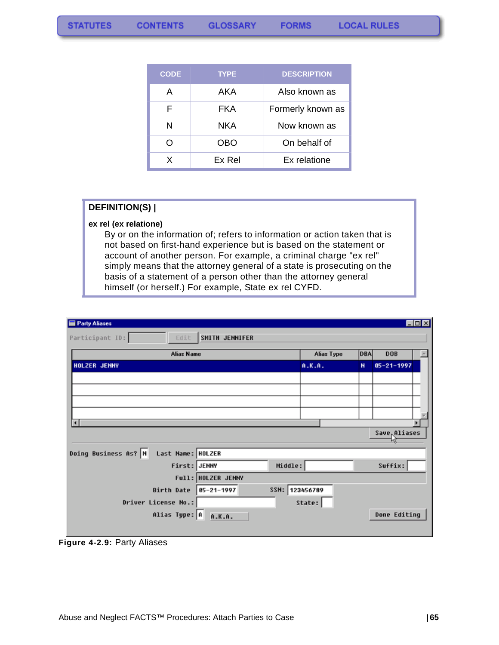| <b>CODE</b> | <b>TYPE</b> | <b>DESCRIPTION</b> |
|-------------|-------------|--------------------|
| A           | AKA         | Also known as      |
| F           | FKA         | Formerly known as  |
| N           | NKA         | Now known as       |
| ∩           | OBO         | On behalf of       |
| x           | Ex Rel      | Ex relatione       |

#### **DEFINITION(S) |**

#### **ex rel (ex relatione)**

By or on the information of; refers to information or action taken that is not based on first-hand experience but is based on the statement or account of another person. For example, a criminal charge "ex rel" simply means that the attorney general of a state is prosecuting on the basis of a statement of a person other than the attorney general himself (or herself.) For example, State ex rel CYFD.

| Party Aliases                             |                                    |            |              |                           | EOX |
|-------------------------------------------|------------------------------------|------------|--------------|---------------------------|-----|
| Participant ID:<br>Edit.                  | SMITH JENNIFER                     |            |              |                           |     |
| <b>Alias Name</b>                         |                                    | Alias Type | <b>DBA</b>   | <b>DOB</b>                |     |
| HOLZER JENNY                              |                                    | A.K.A.     | $\mathbf{N}$ | $05 - 21 - 1997$          |     |
|                                           |                                    |            |              |                           |     |
|                                           |                                    |            |              |                           |     |
|                                           |                                    |            |              |                           |     |
|                                           |                                    |            |              |                           |     |
| ∎                                         |                                    |            |              | Save <sub>r</sub> Aliases | ٠   |
|                                           |                                    |            |              |                           |     |
| Doing Business As? N<br>Last Name: HOLZER |                                    |            |              |                           |     |
| First: JENNY                              | Middle:                            |            |              | Suffix:                   |     |
|                                           | Full: HOLZER JENNY                 |            |              |                           |     |
| Birth Date                                | SSN: 123456789<br>$95 - 21 - 1997$ |            |              |                           |     |
| Driver License No.:                       |                                    | State:     |              |                           |     |
| Alias Type: A A.K.A.                      |                                    |            |              | Done Editing              |     |
|                                           |                                    |            |              |                           |     |

**Figure 4-2.9:** Party Aliases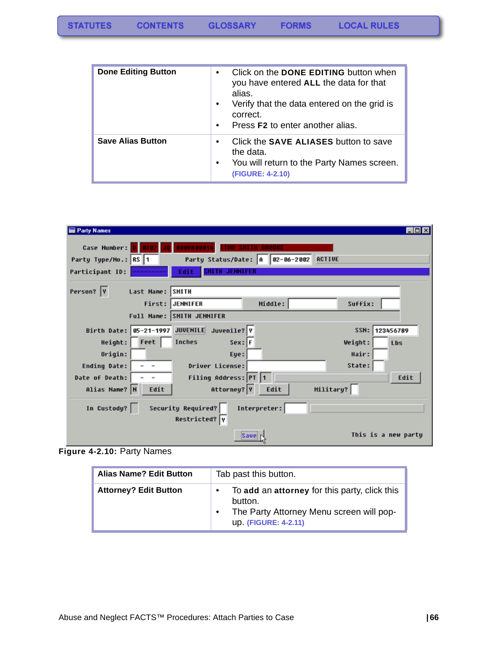| <b>Done Editing Button</b> | Click on the <b>DONE EDITING</b> button when<br>$\bullet$<br>you have entered ALL the data for that<br>alias.<br>Verify that the data entered on the grid is<br>$\bullet$<br>correct.<br>Press <b>F2</b> to enter another alias.<br>$\bullet$ |
|----------------------------|-----------------------------------------------------------------------------------------------------------------------------------------------------------------------------------------------------------------------------------------------|
| <b>Save Alias Button</b>   | Click the <b>SAVE ALIASES</b> button to save<br>$\bullet$<br>the data.<br>You will return to the Party Names screen.<br>$\bullet$<br>(FIGURE: 4-2.10)                                                                                         |

| <b>Party Names</b>                          |                                        | $\Box$ olx          |
|---------------------------------------------|----------------------------------------|---------------------|
| Case Number:                                | 0009800014<br><b>SMITH BROOKE</b>      |                     |
| Party Type/No.: RS 1                        | Party Status/Date: A 82-86-2002 ACTIVE |                     |
| Participant ID:                             | <b>SMITH JENNIFER</b><br>Edit          |                     |
| Person? Y<br>Last Name: SMITH               |                                        |                     |
|                                             | First: JENNIFER<br>Middle:             | Suffix:             |
|                                             | Full Name: SMITH JENNIFER              |                     |
| Birth Date: 05-21-1997 JUVENILE Juvenile? Y |                                        | 123456789<br>SSN:   |
| Height: Feet                                | $Sex:$ F<br>Inches                     | Weight:<br>Lbs      |
| Origin:                                     | Eye:                                   | Hair:               |
| Ending Date:                                | Driver License:                        | State:              |
| Date of Death:                              | Filing Address: PT 1                   | Edit                |
| Alias Name? N<br>Edit                       | Attorney? Y<br>Edit                    | Military?           |
| In Custody?                                 | Security Required?<br>Interpreter:     |                     |
|                                             | Restricted? Y                          |                     |
|                                             | Save                                   | This is a new party |

**Figure 4-2.10:** Party Names

| <b>Alias Name? Edit Button</b> | Tab past this button.                                                                                                               |  |  |  |
|--------------------------------|-------------------------------------------------------------------------------------------------------------------------------------|--|--|--|
| <b>Attorney? Edit Button</b>   | To add an attorney for this party, click this<br>button.<br>The Party Attorney Menu screen will pop-<br><b>up. (FIGURE: 4-2.11)</b> |  |  |  |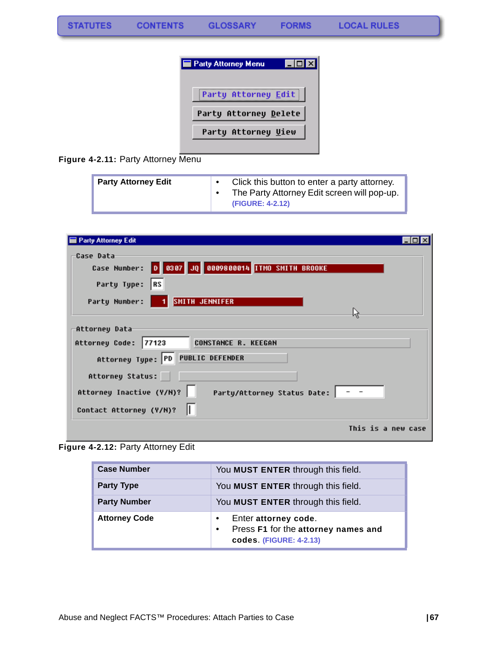

Figure 4-2.11: Party Attorney Menu

| <b>Party Attorney Edit</b> | Click this button to enter a party attorney.<br>The Party Attorney Edit screen will pop-up.<br>(FIGURE: 4-2.12) |
|----------------------------|-----------------------------------------------------------------------------------------------------------------|
|----------------------------|-----------------------------------------------------------------------------------------------------------------|

| <b>Party Attorney Edit</b>                                       |  |
|------------------------------------------------------------------|--|
| Case Data<br>Case Number: 0 0307 JQ 0009800014 ITMO SMITH BROOKE |  |
| ∥RS<br>Party Type:                                               |  |
| SMITH JENNIFER<br>Party Number:                                  |  |
| Attorney Data                                                    |  |
| <b>CONSTANCE R. KEEGAN</b><br>77123<br>Attorney Code:            |  |
| Attorney Type: PD PUBLIC DEFENDER                                |  |
| Attorney Status:                                                 |  |
| Attorney Inactive (Y/M)?<br>Party/Attorney Status Date:   - -    |  |
| Contact Attorney (Y/N)?                                          |  |
| This is a new case                                               |  |

**Figure 4-2.12:** Party Attorney Edit

| <b>Case Number</b>   | You MUST ENTER through this field.                                                                  |
|----------------------|-----------------------------------------------------------------------------------------------------|
| <b>Party Type</b>    | You MUST ENTER through this field.                                                                  |
| <b>Party Number</b>  | You MUST ENTER through this field.                                                                  |
| <b>Attorney Code</b> | Enter attorney code.<br>Press F1 for the attorney names and<br>$\bullet$<br>codes. (FIGURE: 4-2.13) |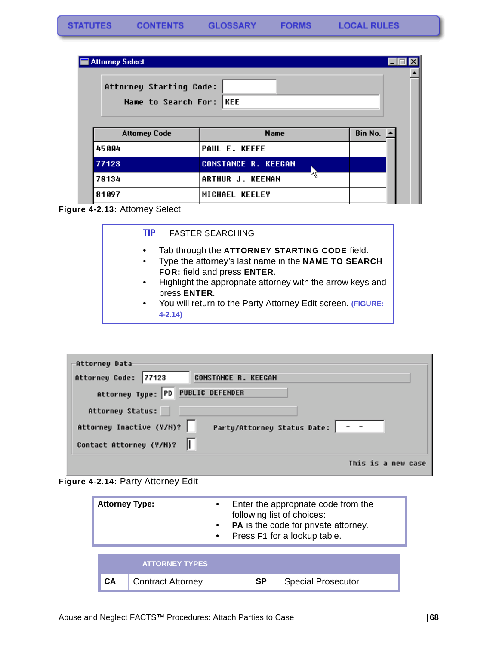**FORMS** 

| <b>Attorney Select</b>                             |                            |                       |
|----------------------------------------------------|----------------------------|-----------------------|
| Attorney Starting Code:<br>Name to Search For: KEE |                            |                       |
| <b>Attorney Code</b>                               | <b>Name</b>                | Bin No. $\rightarrow$ |
| 45004                                              | <b>PAUL E. KEEFE</b>       |                       |
| 77123                                              | <b>CONSTANCE R. KEEGAN</b> |                       |
| 78134                                              | ARTHUR J. KEENAN           |                       |
| 81097                                              | MICHAEL KEELEY             |                       |

#### <span id="page-69-0"></span>**Figure 4-2.13:** Attorney Select



| Attorneu Data                                                             |
|---------------------------------------------------------------------------|
| Attorney Code: 77123<br><b>CONSTANCE R. KEEGAN</b>                        |
| Attorney Type: PD PUBLIC DEFENDER                                         |
| Attorney Status:                                                          |
| Attorney Inactive (Y/N)?<br>Party/Attorney Status Date: $\vert - - \vert$ |
| Contact Attorney (Y/N)?                                                   |
| This is a new case                                                        |

<span id="page-69-1"></span>

| <b>Attorney Type:</b>                                   |  | $\bullet$<br>$\bullet$<br>$\bullet$ | Enter the appropriate code from the<br>following list of choices:<br>PA is the code for private attorney.<br>Press F1 for a lookup table. |           |                           |
|---------------------------------------------------------|--|-------------------------------------|-------------------------------------------------------------------------------------------------------------------------------------------|-----------|---------------------------|
| <b>ATTORNEY TYPES</b><br>CА<br><b>Contract Attorney</b> |  |                                     |                                                                                                                                           |           |                           |
|                                                         |  |                                     |                                                                                                                                           | <b>SP</b> | <b>Special Prosecutor</b> |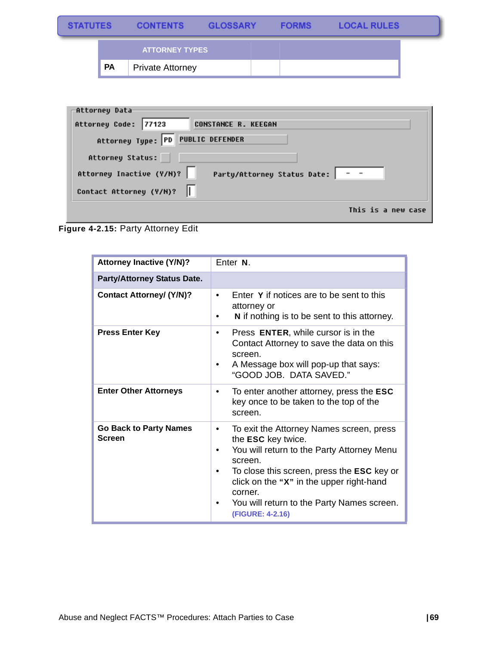| <b>STATUTES</b> |                       | <b>CONTENTS</b>         | <b>GLOSSARY</b> | <b>FORMS</b> | <b>LOCAL RULES</b> |  |
|-----------------|-----------------------|-------------------------|-----------------|--------------|--------------------|--|
|                 | <b>ATTORNEY TYPES</b> |                         |                 |              |                    |  |
|                 | PA                    | <b>Private Attorney</b> |                 |              |                    |  |

| -Attorney Data                                                |
|---------------------------------------------------------------|
| Attorney Code: 77123<br><b>CONSTANCE R. KEEGAN</b>            |
| Attorney Type: PD PUBLIC DEFENDER                             |
| Attorney Status:                                              |
| Attorney Inactive (Y/N)?<br>Party/Attorney Status Date:   - - |
| Contact Attorney (Y/N)?                                       |
| This is a new case                                            |

**Figure 4-2.15:** Party Attorney Edit

| <b>Attorney Inactive (Y/N)?</b>                | Enter <sub>N.</sub>                                                                                                                                                                                                                                                                                        |  |
|------------------------------------------------|------------------------------------------------------------------------------------------------------------------------------------------------------------------------------------------------------------------------------------------------------------------------------------------------------------|--|
| <b>Party/Attorney Status Date.</b>             |                                                                                                                                                                                                                                                                                                            |  |
| <b>Contact Attorney/ (Y/N)?</b>                | Enter Y if notices are to be sent to this<br>$\bullet$<br>attorney or<br>N if nothing is to be sent to this attorney.                                                                                                                                                                                      |  |
| <b>Press Enter Key</b>                         | Press ENTER, while cursor is in the<br>٠<br>Contact Attorney to save the data on this<br>screen.<br>A Message box will pop-up that says:<br>"GOOD JOB. DATA SAVED."                                                                                                                                        |  |
| <b>Enter Other Attorneys</b>                   | To enter another attorney, press the ESC<br>$\bullet$<br>key once to be taken to the top of the<br>screen.                                                                                                                                                                                                 |  |
| <b>Go Back to Party Names</b><br><b>Screen</b> | To exit the Attorney Names screen, press<br>٠<br>the ESC key twice.<br>You will return to the Party Attorney Menu<br>screen.<br>To close this screen, press the <b>ESC</b> key or<br>click on the "X" in the upper right-hand<br>corner.<br>You will return to the Party Names screen.<br>(FIGURE: 4-2.16) |  |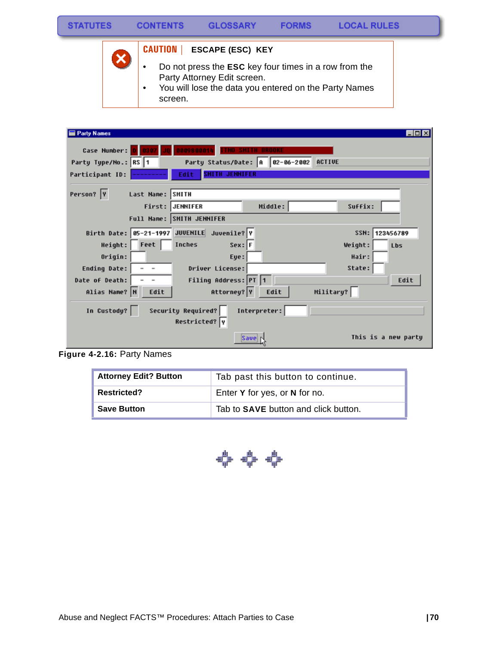

### **CAUTION | ESCAPE (ESC) KEY**

- Do not press the **ESC** key four times in a row from the Party Attorney Edit screen.
- You will lose the data you entered on the Party Names screen.

| <b>Party Names</b>                          |                                        |              |           | -1012               |
|---------------------------------------------|----------------------------------------|--------------|-----------|---------------------|
| Case Number:                                | 0009800014                             |              |           |                     |
| Party Type/No.: RS 1                        | Party Status/Date: A 82-86-2002 ACTIVE |              |           |                     |
| Participant ID:                             | <b>SMITH JENNIFER</b><br>Edit          |              |           |                     |
| Person?  Y<br>Last Name: SMITH              |                                        |              |           |                     |
| First: JENNIFER                             |                                        | Middle:      | Suffix:   |                     |
| Full Name: SMITH JENNIFER                   |                                        |              |           |                     |
| Birth Date: 05-21-1997 JUVENILE Juvenile? Y |                                        |              |           | SSN: 123456789      |
| Height: Feet                                | $Sex:$ F<br>Inches                     |              | Weight:   | Lbs                 |
| Origin:                                     | Eye:                                   |              | Hair:     |                     |
| Ending Date:<br>$\overline{\phantom{a}}$    | Driver License:                        |              | State:    |                     |
| Date of Death:                              | Filing Address: PT 1                   |              |           | Edit                |
| Alias Name? N<br>Edit                       | Attorney? Y                            | Edit         | Military? |                     |
| In Custody?                                 | Security Required?<br>Restricted? Y    | Interpreter: |           |                     |
|                                             | Save                                   |              |           | This is a new party |

**Figure 4-2.16:** Party Names

| <b>Attorney Edit? Button</b> | Tab past this button to continue.           |  |  |
|------------------------------|---------------------------------------------|--|--|
| <b>Restricted?</b>           | Enter Y for yes, or N for no.               |  |  |
| <b>Save Button</b>           | Tab to <b>SAVE</b> button and click button. |  |  |

← ← ←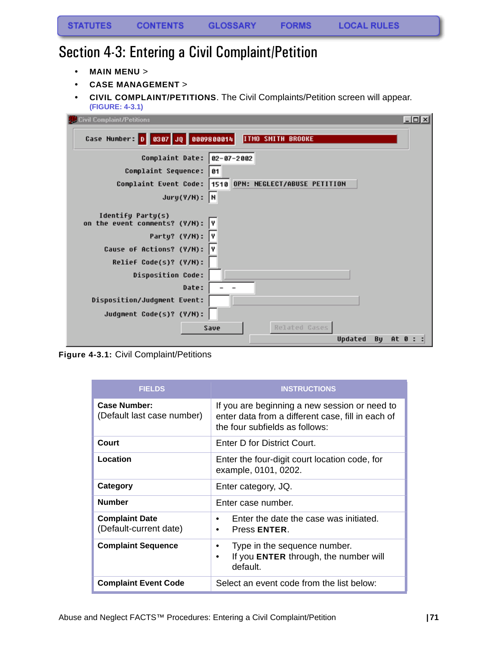# Section 4-3: Entering a Civil Complaint/Petition

- **MAIN MENU** >
- **CASE MANAGEMENT** >
- **CIVIL COMPLAINT/PETITIONS**. The Civil Complaints/Petition screen will appear. **(FIGURE: 4-3.1)**

| Civil Complaint/Petitions                                     | $\Box$ o $\times$ |
|---------------------------------------------------------------|-------------------|
| Case Number: 0 0307 JQ 0009800014<br><b>ITMO SMITH BROOKE</b> |                   |
| Complaint Date: 02-07-2002                                    |                   |
| Complaint Sequence:<br>81                                     |                   |
| 1510 OPN: NEGLECT/ABUSE PETITION<br>Complaint Event Code:     |                   |
| $Jury(Y/N):$ N                                                |                   |
| Identify Party(s)<br>on the event comments? (Y/N):<br>I۷      |                   |
| Party? (Y/N): Y                                               |                   |
| Cause of Actions? (Y/N):<br>I۷                                |                   |
| Relief Code(s)? (Y/N):                                        |                   |
| <b>Disposition Code:</b>                                      |                   |
| Date:                                                         |                   |
| Disposition/Judgment Event:                                   |                   |
| Judgment Code(s)? (Y/N):                                      |                   |
| Related Gases<br>Save                                         |                   |
| Updated<br>Bu                                                 | At 0 : :          |

**Figure 4-3.1:** Civil Complaint/Petitions

| <b>FIELDS</b>                                     | <b>INSTRUCTIONS</b>                                                                                                                  |
|---------------------------------------------------|--------------------------------------------------------------------------------------------------------------------------------------|
| <b>Case Number:</b><br>(Default last case number) | If you are beginning a new session or need to<br>enter data from a different case, fill in each of<br>the four subfields as follows: |
| Court                                             | Enter D for District Court.                                                                                                          |
| Location                                          | Enter the four-digit court location code, for<br>example, 0101, 0202.                                                                |
| Category                                          | Enter category, JQ.                                                                                                                  |
| <b>Number</b>                                     | Enter case number.                                                                                                                   |
| <b>Complaint Date</b><br>(Default-current date)   | Enter the date the case was initiated.<br>Press ENTER.<br>$\bullet$                                                                  |
| <b>Complaint Sequence</b>                         | Type in the sequence number.<br>If you ENTER through, the number will<br>٠<br>default.                                               |
| <b>Complaint Event Code</b>                       | Select an event code from the list below:                                                                                            |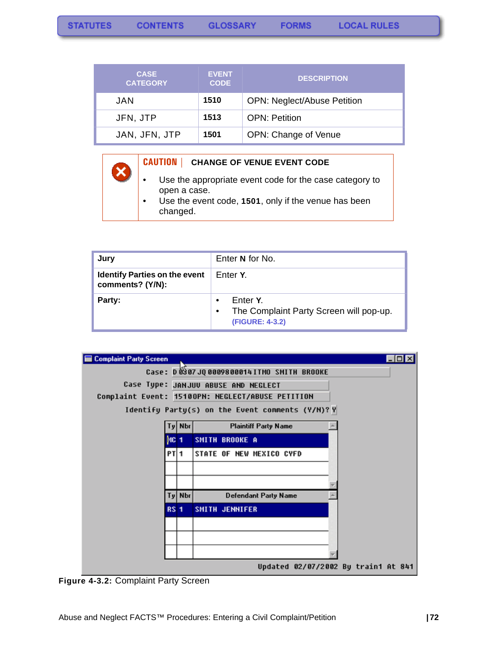| <b>CASE</b><br><b>CATEGORY</b> | <b>EVENT</b><br><b>CODE</b> | <b>DESCRIPTION</b>                 |
|--------------------------------|-----------------------------|------------------------------------|
| JAN.                           | 1510                        | <b>OPN: Neglect/Abuse Petition</b> |
| JFN, JTP                       | 1513                        | <b>OPN: Petition</b>               |
| JAN, JFN, JTP                  | 1501                        | OPN: Change of Venue               |

#### **CAUTION | CHANGE OF VENUE EVENT CODE**

- Use the appropriate event code for the case category to open a case.
- Use the event code, **1501**, only if the venue has been changed.

| Jury                                                     | Enter N for No.                                                                                  |
|----------------------------------------------------------|--------------------------------------------------------------------------------------------------|
| <b>Identify Parties on the event</b><br>comments? (Y/N): | Enter Y.                                                                                         |
| Party:                                                   | Enter Y.<br>$\bullet$<br>The Complaint Party Screen will pop-up.<br>$\bullet$<br>(FIGURE: 4-3.2) |



**Figure 4-3.2:** Complaint Party Screen

 $\boldsymbol{\mathsf{x}}$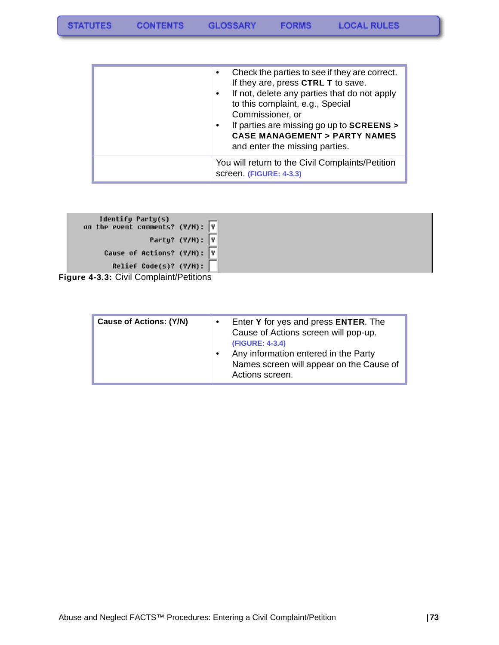| Check the parties to see if they are correct.<br>If they are, press CTRL T to save.<br>If not, delete any parties that do not apply<br>to this complaint, e.g., Special<br>Commissioner, or<br>If parties are missing go up to SCREENS ><br>$\bullet$<br><b>CASE MANAGEMENT &gt; PARTY NAMES</b><br>and enter the missing parties. |
|------------------------------------------------------------------------------------------------------------------------------------------------------------------------------------------------------------------------------------------------------------------------------------------------------------------------------------|
| You will return to the Civil Complaints/Petition<br>screen. (FIGURE: 4-3.3)                                                                                                                                                                                                                                                        |

| Identify Party(s)<br>on the event comments? (Y/N): $\boxed{V}$ |                 |
|----------------------------------------------------------------|-----------------|
|                                                                | Party? (Y/N): Y |
| Cause of Actions? (Y/N): Y                                     |                 |
| Relief Code(s)? (Y/M):                                         |                 |
| $\mu$ re 1-2-2 $\cdot$ Civil Comploint/Dotitions               |                 |

**Figure 4-3.3:** Civil Complaint/Petitions

| <b>Cause of Actions: (Y/N)</b> | Enter Y for yes and press ENTER. The<br>Cause of Actions screen will pop-up.<br>(FIGURE: 4-3.4)<br>Any information entered in the Party<br>Names screen will appear on the Cause of<br>Actions screen. |
|--------------------------------|--------------------------------------------------------------------------------------------------------------------------------------------------------------------------------------------------------|
|--------------------------------|--------------------------------------------------------------------------------------------------------------------------------------------------------------------------------------------------------|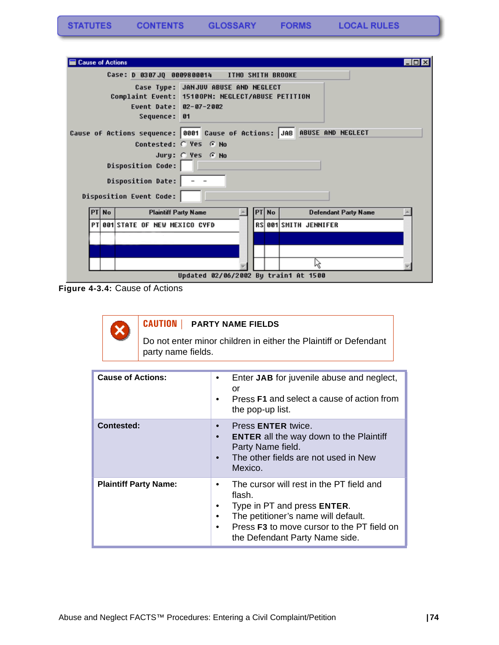| <b>Cause of Actions</b>                                                                                                              | $\Box$ o $\times$ |
|--------------------------------------------------------------------------------------------------------------------------------------|-------------------|
| Case: D 0307JQ 0009800014 ITMO SMITH BROOKE                                                                                          |                   |
| Case Type: JANJUV ABUSE AND NEGLECT<br>Complaint Event: 15100PN: NEGLECT/ABUSE PETITION<br>Event Date: 02-07-2002<br>Sequence:<br>61 |                   |
| ABUSE AND NEGLECT<br>Cause of Actions sequence: 0001 Cause of Actions: JAB                                                           |                   |
| Contested: C Yes G No                                                                                                                |                   |
| Jury: @ Yes @ No<br><b>Disposition Code:</b>                                                                                         |                   |
| Disposition Date:                                                                                                                    |                   |
| Disposition Event Code:                                                                                                              |                   |
| <b>No</b><br><b>Plaintiff Party Name</b><br>PT No<br><b>Defendant Party Name</b><br>PT                                               |                   |
| PT 001 STATE OF NEW MEXICO CYFD<br>RS 001 SMITH JENNIFER                                                                             |                   |
|                                                                                                                                      |                   |
|                                                                                                                                      |                   |
| μç                                                                                                                                   |                   |
| Updated 02/06/2002 By train1 At 1500                                                                                                 |                   |

**Figure 4-3.4:** Cause of Actions



## **CAUTION | PARTY NAME FIELDS**

Do not enter minor children in either the Plaintiff or Defendant party name fields.

| <b>Cause of Actions:</b>     | Enter JAB for juvenile abuse and neglect,<br>or<br>Press F1 and select a cause of action from<br>the pop-up list.                                                                                               |
|------------------------------|-----------------------------------------------------------------------------------------------------------------------------------------------------------------------------------------------------------------|
| <b>Contested:</b>            | Press <b>ENTER</b> twice.<br><b>ENTER</b> all the way down to the Plaintiff<br>Party Name field.<br>The other fields are not used in New<br>Mexico.                                                             |
| <b>Plaintiff Party Name:</b> | The cursor will rest in the PT field and<br>flash.<br>Type in PT and press ENTER.<br>The petitioner's name will default.<br>Press <b>F3</b> to move cursor to the PT field on<br>the Defendant Party Name side. |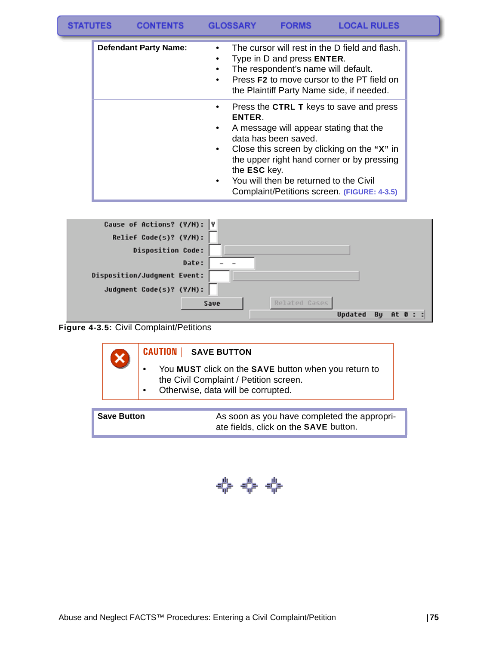| <b>STATUTES</b> | <b>CONTENTS</b>              | <b>GLOSSARY</b>                                   | <b>FORMS</b>                                                              | <b>LOCAL RULES</b>                                                                                                                                                                                                            |
|-----------------|------------------------------|---------------------------------------------------|---------------------------------------------------------------------------|-------------------------------------------------------------------------------------------------------------------------------------------------------------------------------------------------------------------------------|
|                 | <b>Defendant Party Name:</b> | ٠<br>٠<br>٠<br>٠                                  | Type in D and press <b>ENTER</b> .<br>The respondent's name will default. | The cursor will rest in the D field and flash.<br>Press <b>F2</b> to move cursor to the PT field on<br>the Plaintiff Party Name side, if needed.                                                                              |
|                 |                              | ٠<br>ENTER.<br>٠<br>٠<br>the <b>ESC</b> key.<br>٠ | data has been saved.<br>You will then be returned to the Civil            | Press the CTRL T keys to save and press<br>A message will appear stating that the<br>Close this screen by clicking on the "X" in<br>the upper right hand corner or by pressing<br>Complaint/Petitions screen. (FIGURE: 4-3.5) |

| Cause of Actions? (Y/N): Y  |                           |
|-----------------------------|---------------------------|
| Relief Code(s)? (Y/N):      |                           |
| <b>Disposition Code:</b>    |                           |
| Date:                       |                           |
| Disposition/Judgment Event: |                           |
| Judgment Code(s)? (Y/N):    |                           |
| Save                        | Related Gases             |
|                             | Updated<br>At 0 : :<br>Bu |

**Figure 4-3.5:** Civil Complaint/Petitions

| You MUST click on the SAVE button when you return to<br>the Civil Complaint / Petition screen. |  | <b>CAUTION   SAVE BUTTON</b> |
|------------------------------------------------------------------------------------------------|--|------------------------------|
| Otherwise, data will be corrupted.                                                             |  |                              |

|--|

$$
\Leftrightarrow \Leftrightarrow \Leftrightarrow
$$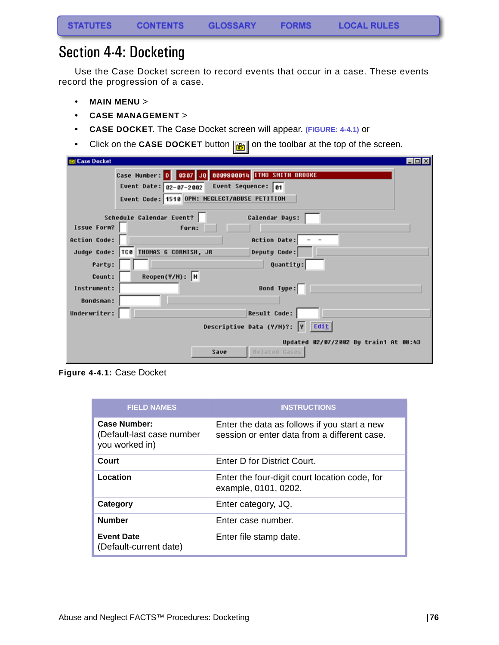# Section 4-4: Docketing

Use the Case Docket screen to record events that occur in a case. These events record the progression of a case.

- **MAIN MENU** >
- **CASE MANAGEMENT** >
- **CASE DOCKET**. The Case Docket screen will appear. **(FIGURE: 4-4.1)** or
- Click on the **CASE DOCKET** button  $\boxed{\mathbf{B}}$  on the toolbar at the top of the screen.

| <b>Case Docket</b>                                             | $-$ 0 $\times$ |
|----------------------------------------------------------------|----------------|
| Case Number: 0 8307 JQ 8889880014 ITMO SMITH BROOKE            |                |
| Event Sequence: 01<br>Event Date: 02-07-2002                   |                |
| Event Code: 1510 OPN: NEGLECT/ABUSE PETITION                   |                |
| Schedule Calendar Event?<br>Calendar Days:                     |                |
| <b>Issue Form?</b><br>Forn:                                    |                |
| Action Date:<br><b>Action Code:</b>                            |                |
| Judge Code: TCB THOMAS G CORNISH, JR<br>Deputy Code:           |                |
| Quantity:<br>Party:                                            |                |
| $Reopen(Y/N):$ N<br>Count:                                     |                |
| Bond Type:<br>Instrument:                                      |                |
| <b>Bondsman:</b>                                               |                |
| <b>Result Code:</b><br>Underwriter:                            |                |
| Descriptive Data (Y/M)?: Y Edit                                |                |
| Updated 02/07/2002 By train1 At 08:43<br>Related Gases<br>Save |                |

**Figure 4-4.1:** Case Docket

| <b>FIELD NAMES</b>                                                 | <b>INSTRUCTIONS</b>                                                                          |
|--------------------------------------------------------------------|----------------------------------------------------------------------------------------------|
| <b>Case Number:</b><br>(Default-last case number<br>you worked in) | Enter the data as follows if you start a new<br>session or enter data from a different case. |
| Court                                                              | Enter D for District Court.                                                                  |
| Location                                                           | Enter the four-digit court location code, for<br>example, 0101, 0202.                        |
| Category                                                           | Enter category, JQ.                                                                          |
| <b>Number</b>                                                      | Enter case number.                                                                           |
| <b>Event Date</b><br>(Default-current date)                        | Enter file stamp date.                                                                       |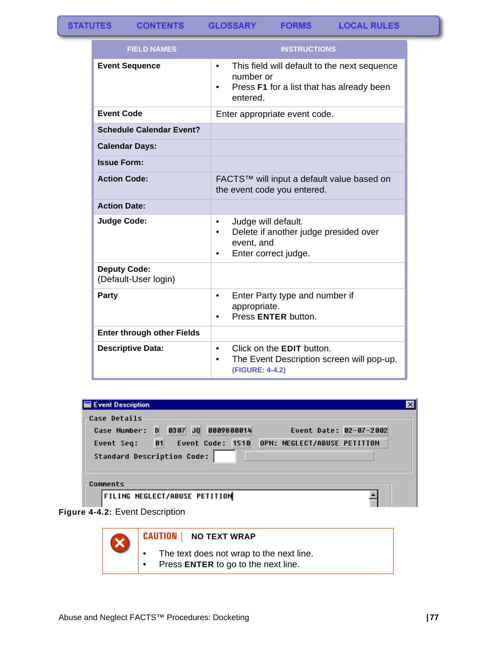**GLOSSARY FORMS** 

| <b>FIELD NAMES</b>                          | <b>INSTRUCTIONS</b>                                                                                                                  |  |
|---------------------------------------------|--------------------------------------------------------------------------------------------------------------------------------------|--|
| <b>Event Sequence</b>                       | This field will default to the next sequence<br>٠<br>number or<br>Press F1 for a list that has already been<br>$\bullet$<br>entered. |  |
| <b>Event Code</b>                           | Enter appropriate event code.                                                                                                        |  |
| <b>Schedule Calendar Event?</b>             |                                                                                                                                      |  |
| <b>Calendar Days:</b>                       |                                                                                                                                      |  |
| <b>Issue Form:</b>                          |                                                                                                                                      |  |
| <b>Action Code:</b>                         | FACTS™ will input a default value based on<br>the event code you entered.                                                            |  |
| <b>Action Date:</b>                         |                                                                                                                                      |  |
| <b>Judge Code:</b>                          | Judge will default.<br>٠<br>Delete if another judge presided over<br>٠<br>event, and<br>Enter correct judge.<br>٠                    |  |
| <b>Deputy Code:</b><br>(Default-User login) |                                                                                                                                      |  |
| <b>Party</b>                                | Enter Party type and number if<br>$\bullet$<br>appropriate.<br>Press ENTER button.<br>$\bullet$                                      |  |
| <b>Enter through other Fields</b>           |                                                                                                                                      |  |
| <b>Descriptive Data:</b>                    | Click on the <b>EDIT</b> button.<br>٠<br>The Event Description screen will pop-up.<br>$\bullet$<br>(FIGURE: 4-4.2)                   |  |

| Event Description                                                                                                                                                                                  |  |
|----------------------------------------------------------------------------------------------------------------------------------------------------------------------------------------------------|--|
| -Case Details<br>0307 JQ 0009800014<br>Event Date: 02-07-2002<br>D<br>Case Number:<br>Event Seq: 01<br><b>Event Code: 1510</b><br>OPN: NEGLECT/ABUSE PETITION<br><b>Standard Description Code:</b> |  |
| Comments                                                                                                                                                                                           |  |
| <b>FILING NEGLECT/ABUSE PETITION</b>                                                                                                                                                               |  |

**Figure 4-4.2:** Event Description



### **CAUTION | NO TEXT WRAP**

- The text does not wrap to the next line.
- Press **ENTER** to go to the next line.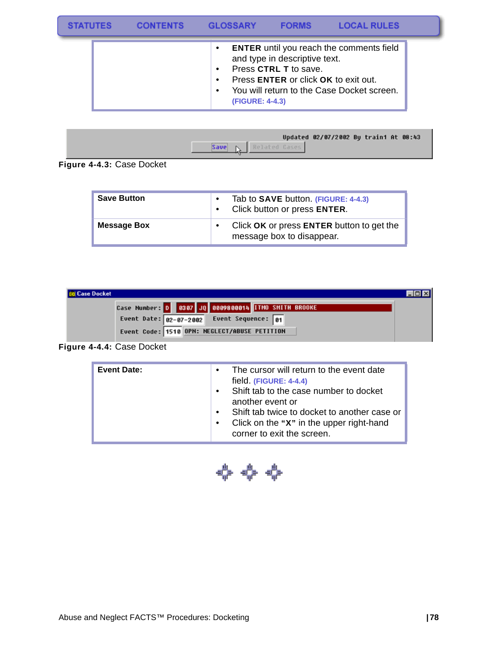| <b>TATLITES</b> |                          | <b>GLOSSARY</b> | <b>FORMS</b>                                                                                                 | <b>LOCAL RULES</b>                                                                            |  |
|-----------------|--------------------------|-----------------|--------------------------------------------------------------------------------------------------------------|-----------------------------------------------------------------------------------------------|--|
|                 | $\bullet$<br>٠<br>٠<br>٠ | (FIGURE: 4-4.3) | and type in descriptive text.<br>Press CTRL T to save.<br>Press <b>ENTER</b> or click <b>OK</b> to exit out. | <b>ENTER</b> until you reach the comments field<br>You will return to the Case Docket screen. |  |



**Figure 4-4.3:** Case Docket

| <b>Save Button</b> | $\bullet$<br>$\bullet$ | Tab to <b>SAVE</b> button. (FIGURE: 4-4.3)<br>Click button or press ENTER. |
|--------------------|------------------------|----------------------------------------------------------------------------|
| <b>Message Box</b> |                        | Click OK or press ENTER button to get the<br>message box to disappear.     |

| <b>DI Case Docket</b> |                                                     |  |
|-----------------------|-----------------------------------------------------|--|
|                       | Case Number: 0 0307 JQ 0809800014 TTMO SMITH BROOKE |  |
|                       | Event Date: $02-07-2002$ Event Sequence: 01         |  |
|                       | Event Code: 1510 OPN: NEGLECT/ABUSE PETITION        |  |

## **Figure 4-4.4:** Case Docket

| field (FIGURE: 4-4.4)<br>Shift tab to the case number to docket<br>$\bullet$<br>another event or<br>Shift tab twice to docket to another case or<br>$\bullet$<br>Click on the "X" in the upper right-hand<br>$\bullet$<br>corner to exit the screen. |
|------------------------------------------------------------------------------------------------------------------------------------------------------------------------------------------------------------------------------------------------------|
|------------------------------------------------------------------------------------------------------------------------------------------------------------------------------------------------------------------------------------------------------|

**← ← ←**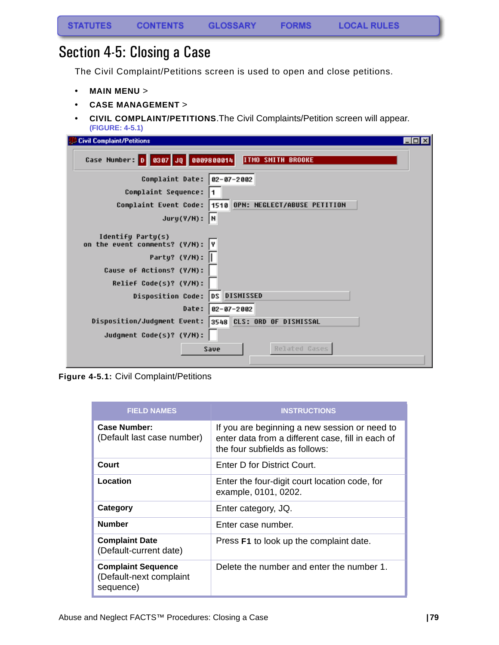# Section 4-5: Closing a Case

The Civil Complaint/Petitions screen is used to open and close petitions.

- **MAIN MENU** >
- **CASE MANAGEMENT** >
- **CIVIL COMPLAINT/PETITIONS**.The Civil Complaints/Petition screen will appear. **(FIGURE: 4-5.1)**

| EOX<br><b>Civil Complaint/Petitions</b>                                                            |
|----------------------------------------------------------------------------------------------------|
| Case Number: 0 0307 JQ 0809800014<br><b>ITMO SMITH BROOKE</b>                                      |
| Complaint Date: 02-07-2002                                                                         |
| Complaint Sequence:                                                                                |
| Complaint Event Code:  1510 OPN: NEGLECT/ABUSE PETITION                                            |
| Jury(Y/N):  N                                                                                      |
| Identify Party(s)<br>on the event comments? (Y/N):<br>Party? (Y/N):   <br>Cause of Actions? (Y/N): |
| Relief Code(s)? (Y/N):                                                                             |
| <b>DISMISSED</b><br> DS <br><b>Disposition Code:</b>                                               |
| Date:  <br>$02 - 07 - 2002$                                                                        |
| Disposition/Judgment Event:<br><b>3548 CLS: ORD OF DISMISSAL</b>                                   |
| Judgment Code(s)? (Y/N):                                                                           |
| Related Gases<br>Save                                                                              |

**Figure 4-5.1:** Civil Complaint/Petitions

| <b>FIELD NAMES</b>                                                | <b>INSTRUCTIONS</b>                                                                                                                  |
|-------------------------------------------------------------------|--------------------------------------------------------------------------------------------------------------------------------------|
| Case Number:<br>(Default last case number)                        | If you are beginning a new session or need to<br>enter data from a different case, fill in each of<br>the four subfields as follows: |
| Court                                                             | Enter D for District Court.                                                                                                          |
| Location                                                          | Enter the four-digit court location code, for<br>example, 0101, 0202.                                                                |
| Category                                                          | Enter category, JQ.                                                                                                                  |
| <b>Number</b>                                                     | Enter case number.                                                                                                                   |
| <b>Complaint Date</b><br>(Default-current date)                   | Press F1 to look up the complaint date.                                                                                              |
| <b>Complaint Sequence</b><br>(Default-next complaint<br>sequence) | Delete the number and enter the number 1.                                                                                            |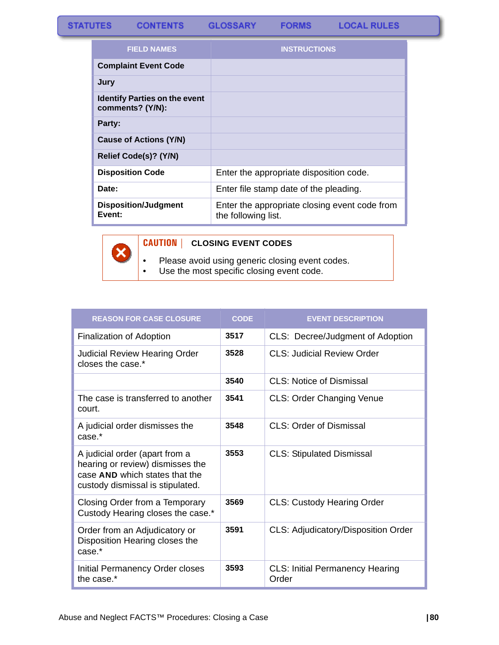**FORMS** 

| <b>FIELD NAMES</b>                                       | <b>INSTRUCTIONS</b>                                                  |
|----------------------------------------------------------|----------------------------------------------------------------------|
| <b>Complaint Event Code</b>                              |                                                                      |
| Jury                                                     |                                                                      |
| <b>Identify Parties on the event</b><br>comments? (Y/N): |                                                                      |
| Party:                                                   |                                                                      |
| <b>Cause of Actions (Y/N)</b>                            |                                                                      |
| Relief Code(s)? (Y/N)                                    |                                                                      |
| <b>Disposition Code</b>                                  | Enter the appropriate disposition code.                              |
| Date:                                                    | Enter file stamp date of the pleading.                               |
| <b>Disposition/Judgment</b><br>Event:                    | Enter the appropriate closing event code from<br>the following list. |



## **CAUTION | CLOSING EVENT CODES**

• Please avoid using generic closing event codes.

• Use the most specific closing event code.

| <b>REASON FOR CASE CLOSURE</b>                                                                                                           | <b>CODE</b> | <b>EVENT DESCRIPTION</b>                        |
|------------------------------------------------------------------------------------------------------------------------------------------|-------------|-------------------------------------------------|
| Finalization of Adoption                                                                                                                 | 3517        | CLS: Decree/Judgment of Adoption                |
| <b>Judicial Review Hearing Order</b><br>closes the case.*                                                                                | 3528        | CLS: Judicial Review Order                      |
|                                                                                                                                          | 3540        | <b>CLS: Notice of Dismissal</b>                 |
| The case is transferred to another<br>court.                                                                                             | 3541        | CLS: Order Changing Venue                       |
| A judicial order dismisses the<br>case.*                                                                                                 | 3548        | <b>CLS: Order of Dismissal</b>                  |
| A judicial order (apart from a<br>hearing or review) dismisses the<br>case AND which states that the<br>custody dismissal is stipulated. | 3553        | <b>CLS: Stipulated Dismissal</b>                |
| Closing Order from a Temporary<br>Custody Hearing closes the case.*                                                                      | 3569        | <b>CLS: Custody Hearing Order</b>               |
| Order from an Adjudicatory or<br>Disposition Hearing closes the<br>$case.*$                                                              | 3591        | CLS: Adjudicatory/Disposition Order             |
| Initial Permanency Order closes<br>the case.*                                                                                            | 3593        | <b>CLS: Initial Permanency Hearing</b><br>Order |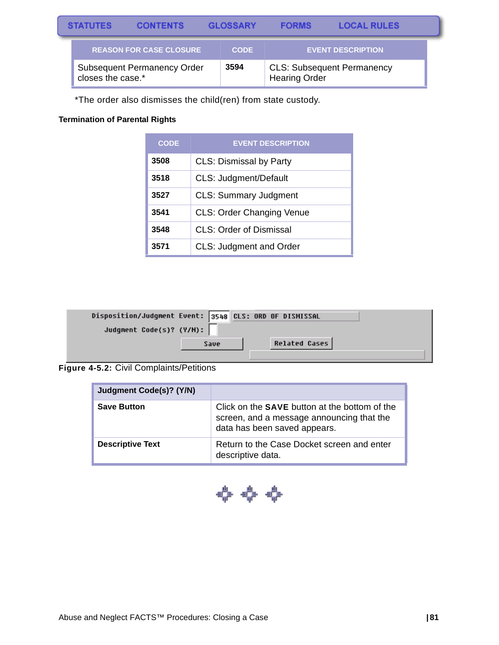| <b>STATUTES</b>                                         | <b>CONTENTS</b>                |      | <b>GLOSSARY</b>      | <b>FORMS</b>                      | <b>LOCAL RULES</b>       |  |
|---------------------------------------------------------|--------------------------------|------|----------------------|-----------------------------------|--------------------------|--|
|                                                         | <b>REASON FOR CASE CLOSURE</b> |      | <b>CODE</b>          |                                   | <b>EVENT DESCRIPTION</b> |  |
| <b>Subsequent Permanency Order</b><br>closes the case.* |                                | 3594 | <b>Hearing Order</b> | <b>CLS: Subsequent Permanency</b> |                          |  |

\*The order also dismisses the child(ren) from state custody.

### **Termination of Parental Rights**

| <b>CODE</b> | <b>EVENT DESCRIPTION</b>         |
|-------------|----------------------------------|
| 3508        | <b>CLS: Dismissal by Party</b>   |
| 3518        | CLS: Judgment/Default            |
| 3527        | <b>CLS: Summary Judgment</b>     |
| 3541        | <b>CLS: Order Changing Venue</b> |
| 3548        | <b>CLS: Order of Dismissal</b>   |
| 3571        | <b>CLS: Judgment and Order</b>   |

| Disposition/Judgment Event: 3548 CLS: ORD OF DISMISSAL |      |                      |  |
|--------------------------------------------------------|------|----------------------|--|
| Judgment Code(s)? (Y/N):                               |      |                      |  |
|                                                        | Save | <b>Related Cases</b> |  |
|                                                        |      |                      |  |

### **Figure 4-5.2:** Civil Complaints/Petitions

| Judgment Code(s)? (Y/N) |                                                                                                                                   |
|-------------------------|-----------------------------------------------------------------------------------------------------------------------------------|
| <b>Save Button</b>      | Click on the <b>SAVE</b> button at the bottom of the<br>screen, and a message announcing that the<br>data has been saved appears. |
| <b>Descriptive Text</b> | Return to the Case Docket screen and enter<br>descriptive data.                                                                   |